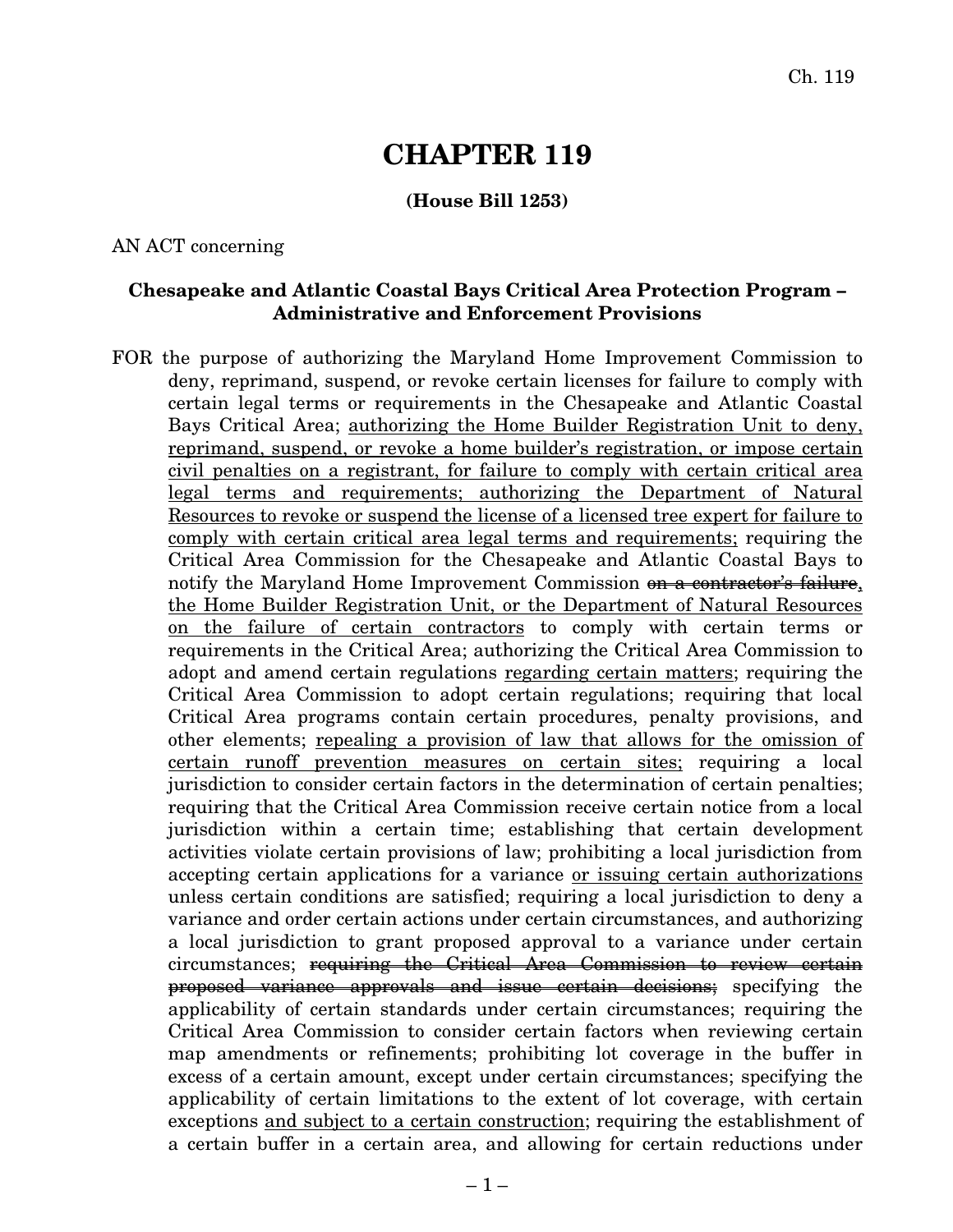# **CHAPTER 119**

#### **(House Bill 1253)**

#### AN ACT concerning

#### **Chesapeake and Atlantic Coastal Bays Critical Area Protection Program – Administrative and Enforcement Provisions**

FOR the purpose of authorizing the Maryland Home Improvement Commission to deny, reprimand, suspend, or revoke certain licenses for failure to comply with certain legal terms or requirements in the Chesapeake and Atlantic Coastal Bays Critical Area; authorizing the Home Builder Registration Unit to deny, reprimand, suspend, or revoke a home builder's registration, or impose certain civil penalties on a registrant, for failure to comply with certain critical area legal terms and requirements; authorizing the Department of Natural Resources to revoke or suspend the license of a licensed tree expert for failure to comply with certain critical area legal terms and requirements; requiring the Critical Area Commission for the Chesapeake and Atlantic Coastal Bays to notify the Maryland Home Improvement Commission on a contractor's failure, the Home Builder Registration Unit, or the Department of Natural Resources on the failure of certain contractors to comply with certain terms or requirements in the Critical Area; authorizing the Critical Area Commission to adopt and amend certain regulations regarding certain matters; requiring the Critical Area Commission to adopt certain regulations; requiring that local Critical Area programs contain certain procedures, penalty provisions, and other elements; repealing a provision of law that allows for the omission of certain runoff prevention measures on certain sites; requiring a local jurisdiction to consider certain factors in the determination of certain penalties; requiring that the Critical Area Commission receive certain notice from a local jurisdiction within a certain time; establishing that certain development activities violate certain provisions of law; prohibiting a local jurisdiction from accepting certain applications for a variance or issuing certain authorizations unless certain conditions are satisfied; requiring a local jurisdiction to deny a variance and order certain actions under certain circumstances, and authorizing a local jurisdiction to grant proposed approval to a variance under certain circumstances; requiring the Critical Area Commission to review certain proposed variance approvals and issue certain decisions; specifying the applicability of certain standards under certain circumstances; requiring the Critical Area Commission to consider certain factors when reviewing certain map amendments or refinements; prohibiting lot coverage in the buffer in excess of a certain amount, except under certain circumstances; specifying the applicability of certain limitations to the extent of lot coverage, with certain exceptions and subject to a certain construction; requiring the establishment of a certain buffer in a certain area, and allowing for certain reductions under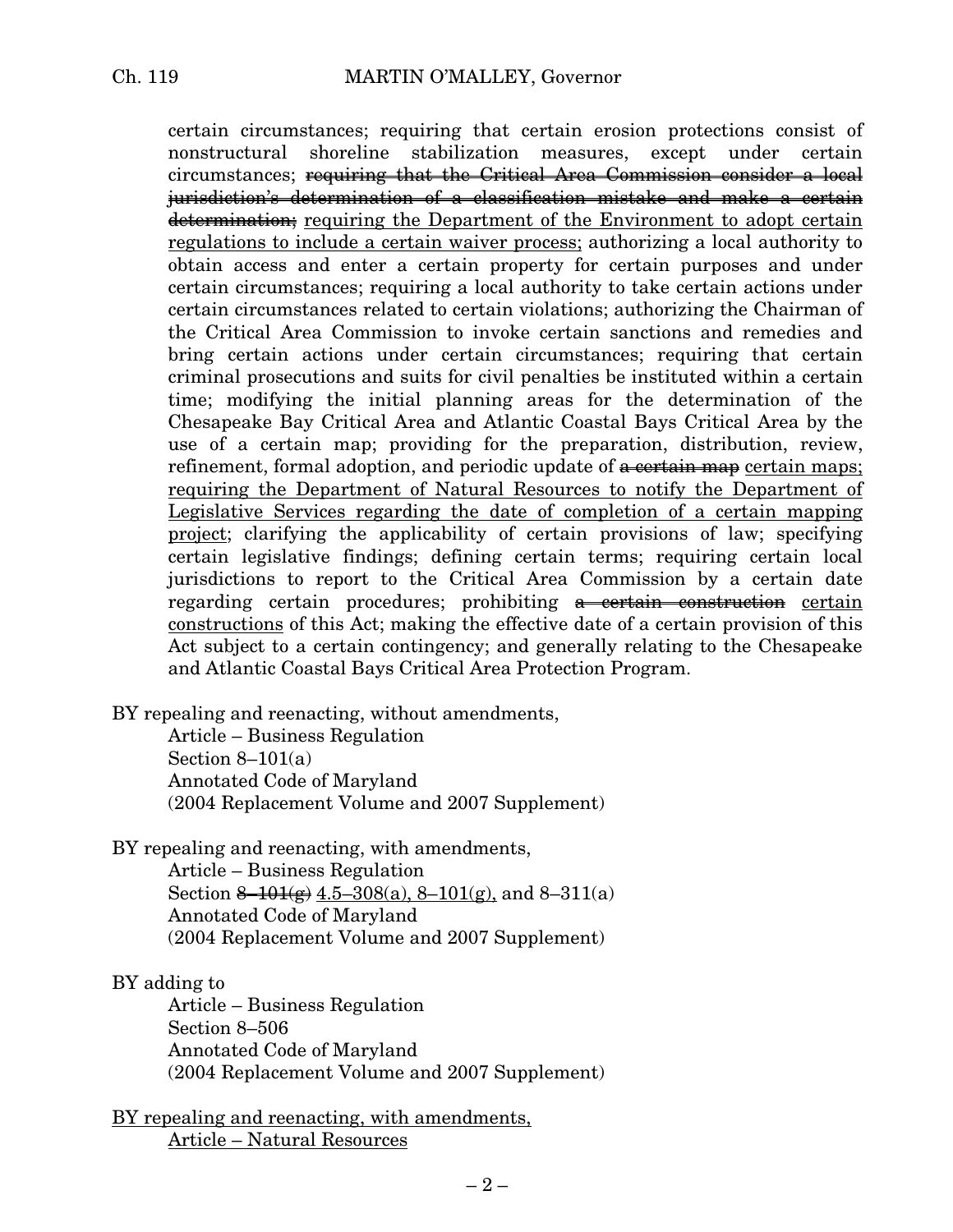certain circumstances; requiring that certain erosion protections consist of nonstructural shoreline stabilization measures, except under certain circumstances; requiring that the Critical Area Commission consider a local jurisdiction's determination of a classification mistake and make a certain determination; requiring the Department of the Environment to adopt certain regulations to include a certain waiver process; authorizing a local authority to obtain access and enter a certain property for certain purposes and under certain circumstances; requiring a local authority to take certain actions under certain circumstances related to certain violations; authorizing the Chairman of the Critical Area Commission to invoke certain sanctions and remedies and bring certain actions under certain circumstances; requiring that certain criminal prosecutions and suits for civil penalties be instituted within a certain time; modifying the initial planning areas for the determination of the Chesapeake Bay Critical Area and Atlantic Coastal Bays Critical Area by the use of a certain map; providing for the preparation, distribution, review, refinement, formal adoption, and periodic update of  $\alpha$  certain maps; requiring the Department of Natural Resources to notify the Department of Legislative Services regarding the date of completion of a certain mapping project; clarifying the applicability of certain provisions of law; specifying certain legislative findings; defining certain terms; requiring certain local jurisdictions to report to the Critical Area Commission by a certain date regarding certain procedures; prohibiting a certain construction certain constructions of this Act; making the effective date of a certain provision of this Act subject to a certain contingency; and generally relating to the Chesapeake and Atlantic Coastal Bays Critical Area Protection Program.

BY repealing and reenacting, without amendments,

Article – Business Regulation Section  $8-101(a)$ Annotated Code of Maryland (2004 Replacement Volume and 2007 Supplement)

BY repealing and reenacting, with amendments,

Article – Business Regulation Section  $\frac{8-101(g)}{g}$  4.5–308(a), 8–101(g), and 8–311(a) Annotated Code of Maryland (2004 Replacement Volume and 2007 Supplement)

#### BY adding to

Article – Business Regulation Section 8–506 Annotated Code of Maryland (2004 Replacement Volume and 2007 Supplement)

BY repealing and reenacting, with amendments, Article – Natural Resources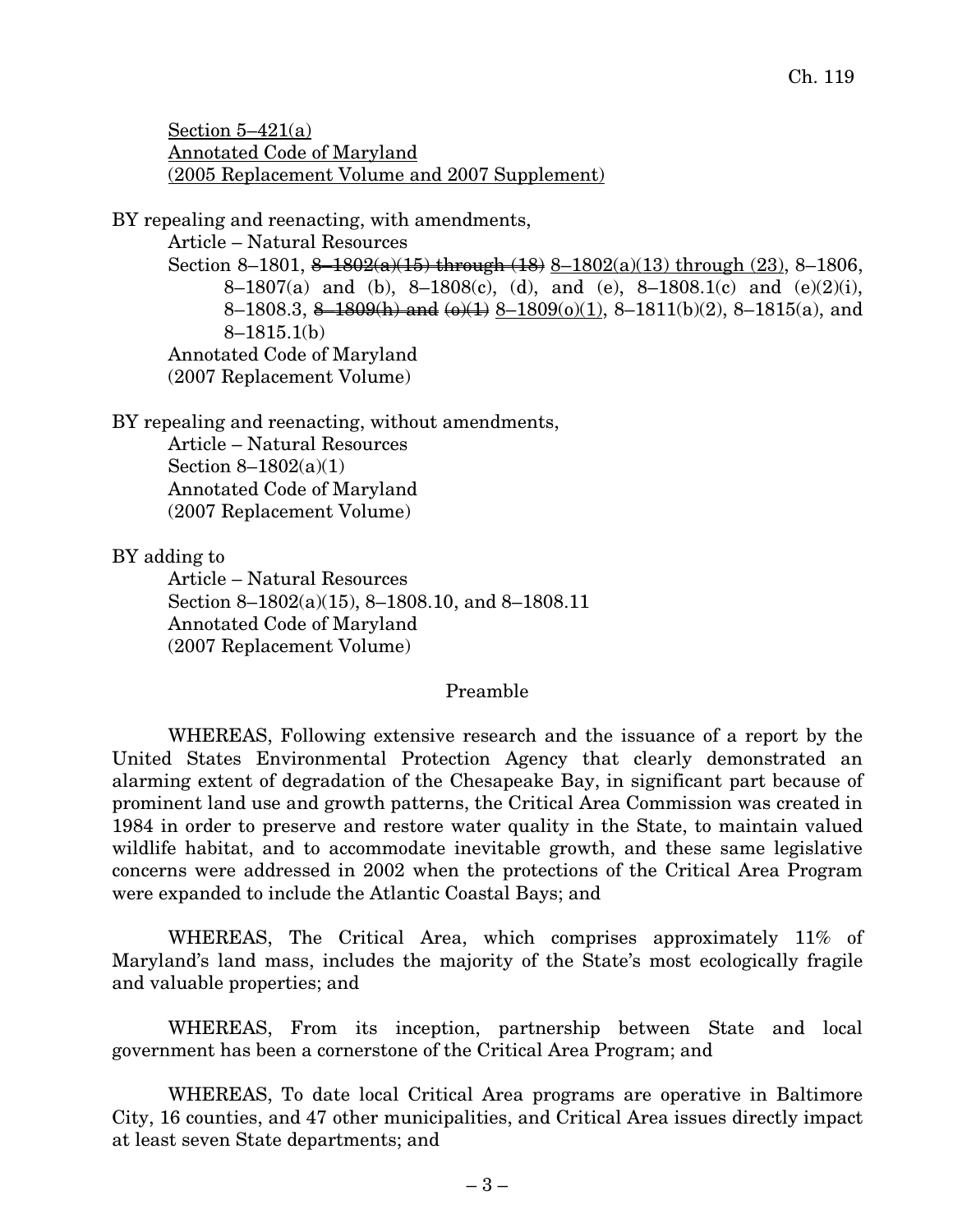Section  $5-421(a)$ Annotated Code of Maryland (2005 Replacement Volume and 2007 Supplement)

BY repealing and reenacting, with amendments,

Article – Natural Resources

Section 8–1801,  $8-1802(a)(15)$  through  $(18)$  8–1802(a)(13) through (23), 8–1806, 8–1807(a) and (b), 8–1808(c), (d), and (e), 8–1808.1(c) and (e)(2)(i), 8–1808.3, 8–1809(h) and  $(\omega)(1)$  8–1809(o)(1), 8–1811(b)(2), 8–1815(a), and 8–1815.1(b) Annotated Code of Maryland (2007 Replacement Volume)

BY repealing and reenacting, without amendments, Article – Natural Resources Section 8–1802(a)(1) Annotated Code of Maryland (2007 Replacement Volume)

BY adding to

Article – Natural Resources Section 8–1802(a)(15), 8–1808.10, and 8–1808.11 Annotated Code of Maryland (2007 Replacement Volume)

#### Preamble

WHEREAS, Following extensive research and the issuance of a report by the United States Environmental Protection Agency that clearly demonstrated an alarming extent of degradation of the Chesapeake Bay, in significant part because of prominent land use and growth patterns, the Critical Area Commission was created in 1984 in order to preserve and restore water quality in the State, to maintain valued wildlife habitat, and to accommodate inevitable growth, and these same legislative concerns were addressed in 2002 when the protections of the Critical Area Program were expanded to include the Atlantic Coastal Bays; and

WHEREAS, The Critical Area, which comprises approximately 11% of Maryland's land mass, includes the majority of the State's most ecologically fragile and valuable properties; and

WHEREAS, From its inception, partnership between State and local government has been a cornerstone of the Critical Area Program; and

WHEREAS, To date local Critical Area programs are operative in Baltimore City, 16 counties, and 47 other municipalities, and Critical Area issues directly impact at least seven State departments; and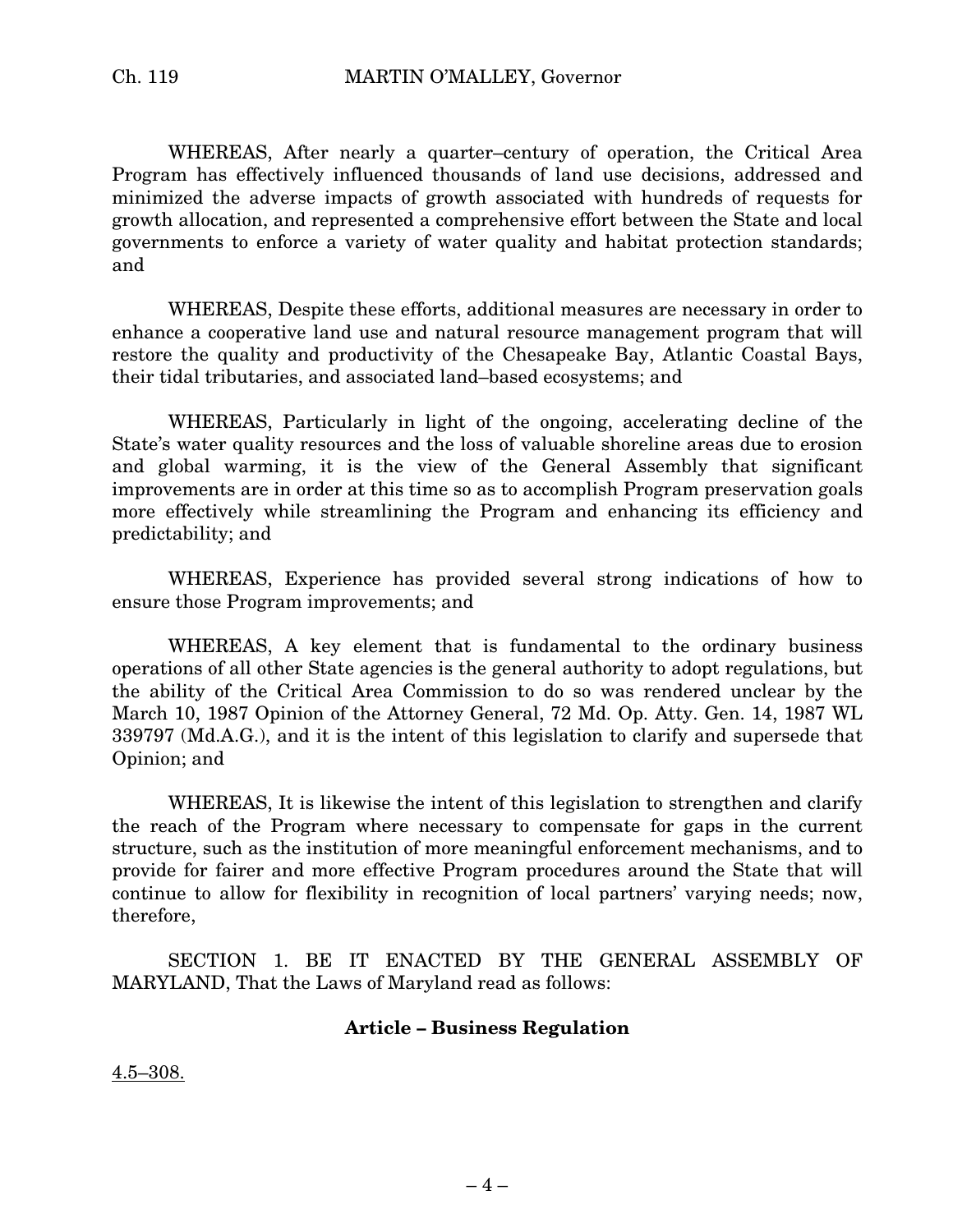WHEREAS, After nearly a quarter–century of operation, the Critical Area Program has effectively influenced thousands of land use decisions, addressed and minimized the adverse impacts of growth associated with hundreds of requests for growth allocation, and represented a comprehensive effort between the State and local governments to enforce a variety of water quality and habitat protection standards; and

WHEREAS, Despite these efforts, additional measures are necessary in order to enhance a cooperative land use and natural resource management program that will restore the quality and productivity of the Chesapeake Bay, Atlantic Coastal Bays, their tidal tributaries, and associated land–based ecosystems; and

WHEREAS, Particularly in light of the ongoing, accelerating decline of the State's water quality resources and the loss of valuable shoreline areas due to erosion and global warming, it is the view of the General Assembly that significant improvements are in order at this time so as to accomplish Program preservation goals more effectively while streamlining the Program and enhancing its efficiency and predictability; and

WHEREAS, Experience has provided several strong indications of how to ensure those Program improvements; and

WHEREAS, A key element that is fundamental to the ordinary business operations of all other State agencies is the general authority to adopt regulations, but the ability of the Critical Area Commission to do so was rendered unclear by the March 10, 1987 Opinion of the Attorney General, 72 Md. Op. Atty. Gen. 14, 1987 WL 339797 (Md.A.G.), and it is the intent of this legislation to clarify and supersede that Opinion; and

WHEREAS, It is likewise the intent of this legislation to strengthen and clarify the reach of the Program where necessary to compensate for gaps in the current structure, such as the institution of more meaningful enforcement mechanisms, and to provide for fairer and more effective Program procedures around the State that will continue to allow for flexibility in recognition of local partners' varying needs; now, therefore,

SECTION 1. BE IT ENACTED BY THE GENERAL ASSEMBLY OF MARYLAND, That the Laws of Maryland read as follows:

#### **Article – Business Regulation**

4.5–308.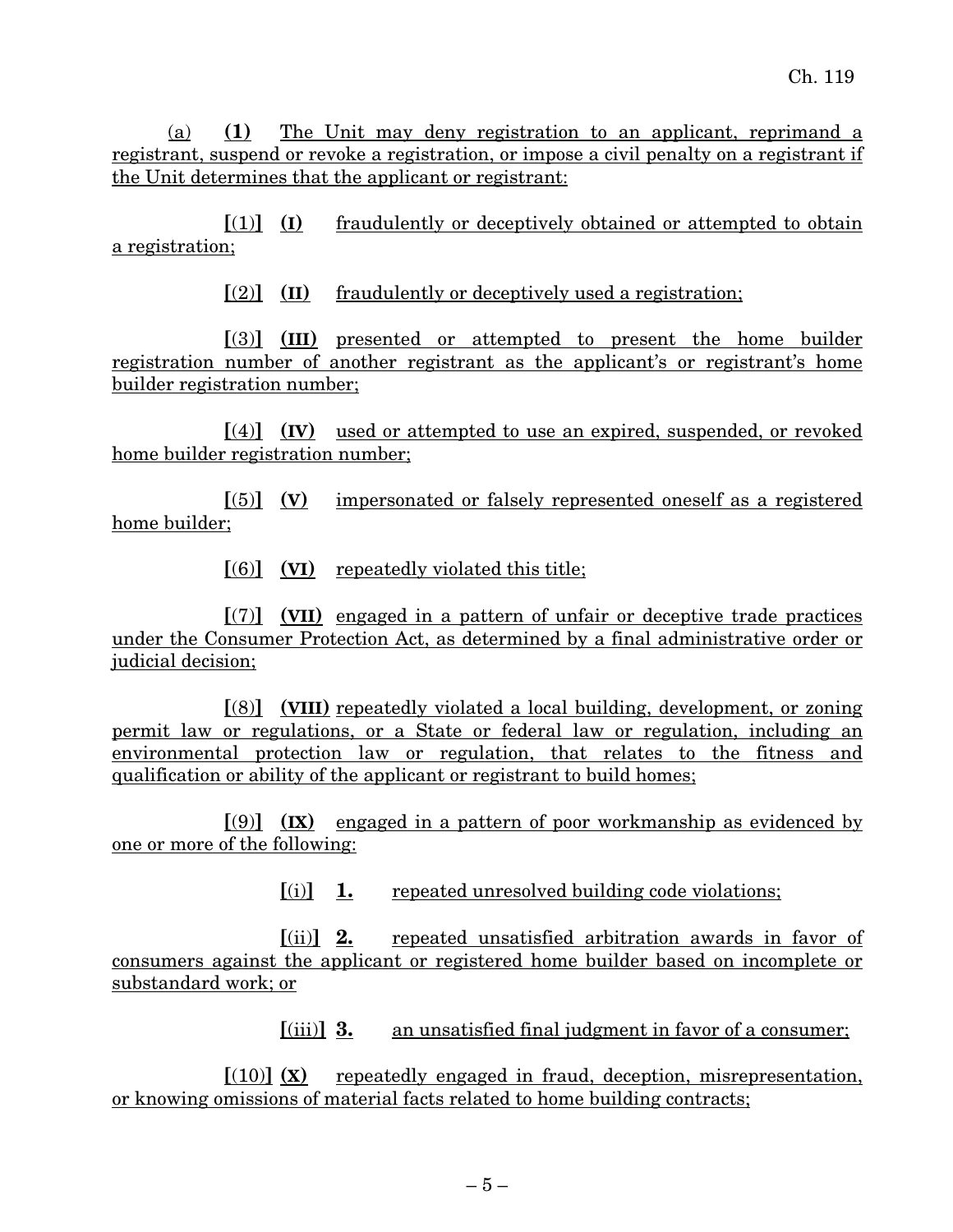(a) **(1)** The Unit may deny registration to an applicant, reprimand a registrant, suspend or revoke a registration, or impose a civil penalty on a registrant if the Unit determines that the applicant or registrant:

**[**(1)**] (I)** fraudulently or deceptively obtained or attempted to obtain a registration;

**[**(2)**] (II)** fraudulently or deceptively used a registration;

**[**(3)**] (III)** presented or attempted to present the home builder registration number of another registrant as the applicant's or registrant's home builder registration number;

**[**(4)**] (IV)** used or attempted to use an expired, suspended, or revoked home builder registration number;

**[**(5)**] (V)** impersonated or falsely represented oneself as a registered home builder;

**[**(6)**] (VI)** repeatedly violated this title;

**[**(7)**] (VII)** engaged in a pattern of unfair or deceptive trade practices under the Consumer Protection Act, as determined by a final administrative order or judicial decision:

**[**(8)**] (VIII)** repeatedly violated a local building, development, or zoning permit law or regulations, or a State or federal law or regulation, including an environmental protection law or regulation, that relates to the fitness and qualification or ability of the applicant or registrant to build homes;

**[**(9)**] (IX)** engaged in a pattern of poor workmanship as evidenced by one or more of the following:

**[**(i)**] 1.** repeated unresolved building code violations;

**[**(ii)**] 2.** repeated unsatisfied arbitration awards in favor of consumers against the applicant or registered home builder based on incomplete or substandard work; or

**[**(iii)**] 3.** an unsatisfied final judgment in favor of a consumer;

**[**(10)**] (X)** repeatedly engaged in fraud, deception, misrepresentation, or knowing omissions of material facts related to home building contracts;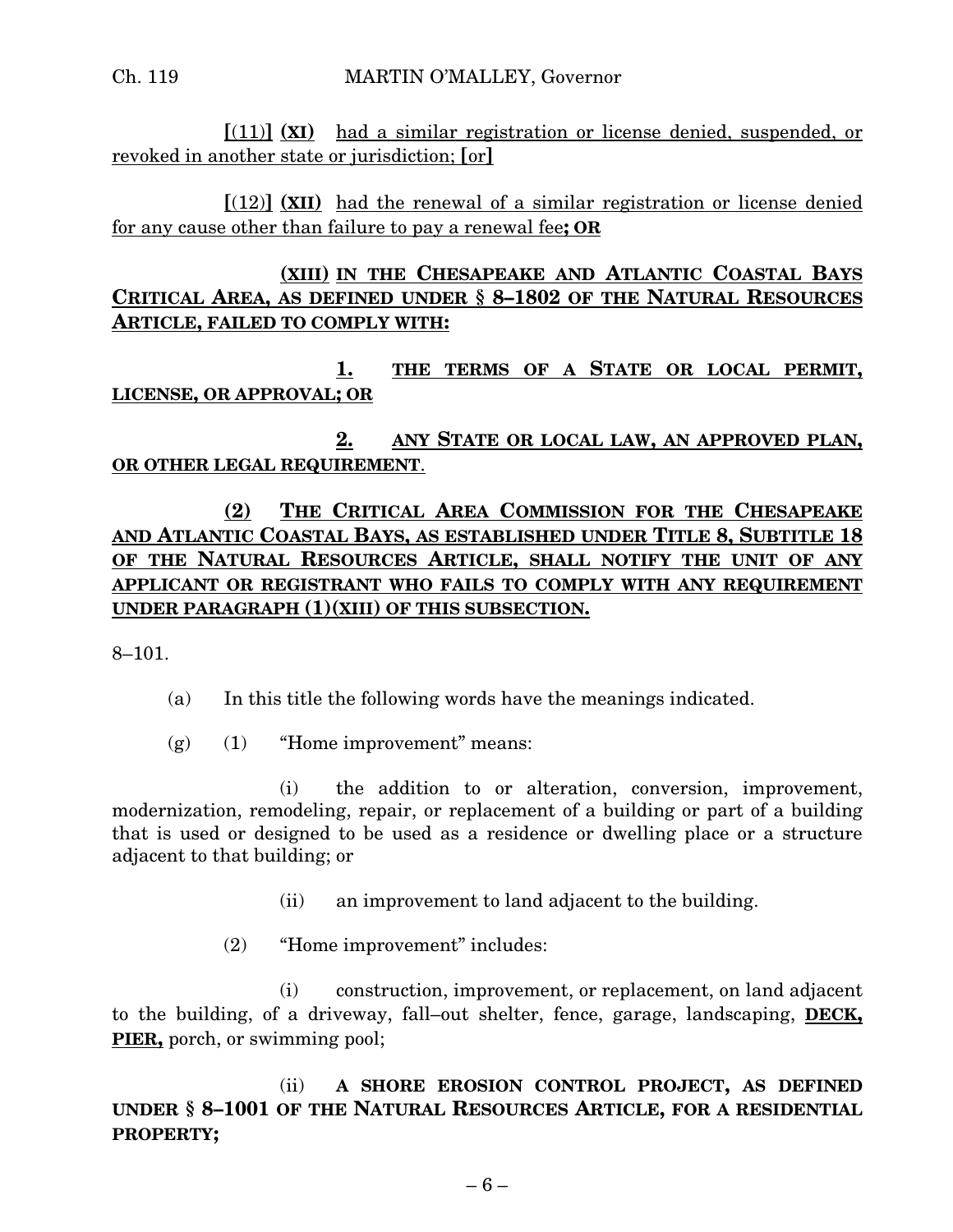**[**(11)**] (XI)** had a similar registration or license denied, suspended, or revoked in another state or jurisdiction; **[**or**]**

**[**(12)**] (XII)** had the renewal of a similar registration or license denied for any cause other than failure to pay a renewal fee**; OR**

## **(XIII) IN THE CHESAPEAKE AND ATLANTIC COASTAL BAYS CRITICAL AREA, AS DEFINED UNDER § 8–1802 OF THE NATURAL RESOURCES ARTICLE, FAILED TO COMPLY WITH:**

**1. THE TERMS OF A STATE OR LOCAL PERMIT, LICENSE, OR APPROVAL; OR**

**2. ANY STATE OR LOCAL LAW, AN APPROVED PLAN, OR OTHER LEGAL REQUIREMENT**.

## **(2) THE CRITICAL AREA COMMISSION FOR THE CHESAPEAKE AND ATLANTIC COASTAL BAYS, AS ESTABLISHED UNDER TITLE 8, SUBTITLE 18 OF THE NATURAL RESOURCES ARTICLE, SHALL NOTIFY THE UNIT OF ANY APPLICANT OR REGISTRANT WHO FAILS TO COMPLY WITH ANY REQUIREMENT UNDER PARAGRAPH (1)(XIII) OF THIS SUBSECTION.**

8–101.

- (a) In this title the following words have the meanings indicated.
- (g) (1) "Home improvement" means:

(i) the addition to or alteration, conversion, improvement, modernization, remodeling, repair, or replacement of a building or part of a building that is used or designed to be used as a residence or dwelling place or a structure adjacent to that building; or

- (ii) an improvement to land adjacent to the building.
- (2) "Home improvement" includes:

(i) construction, improvement, or replacement, on land adjacent to the building, of a driveway, fall–out shelter, fence, garage, landscaping, **DECK, PIER,** porch, or swimming pool;

(ii) **A SHORE EROSION CONTROL PROJECT, AS DEFINED UNDER § 8–1001 OF THE NATURAL RESOURCES ARTICLE, FOR A RESIDENTIAL PROPERTY;**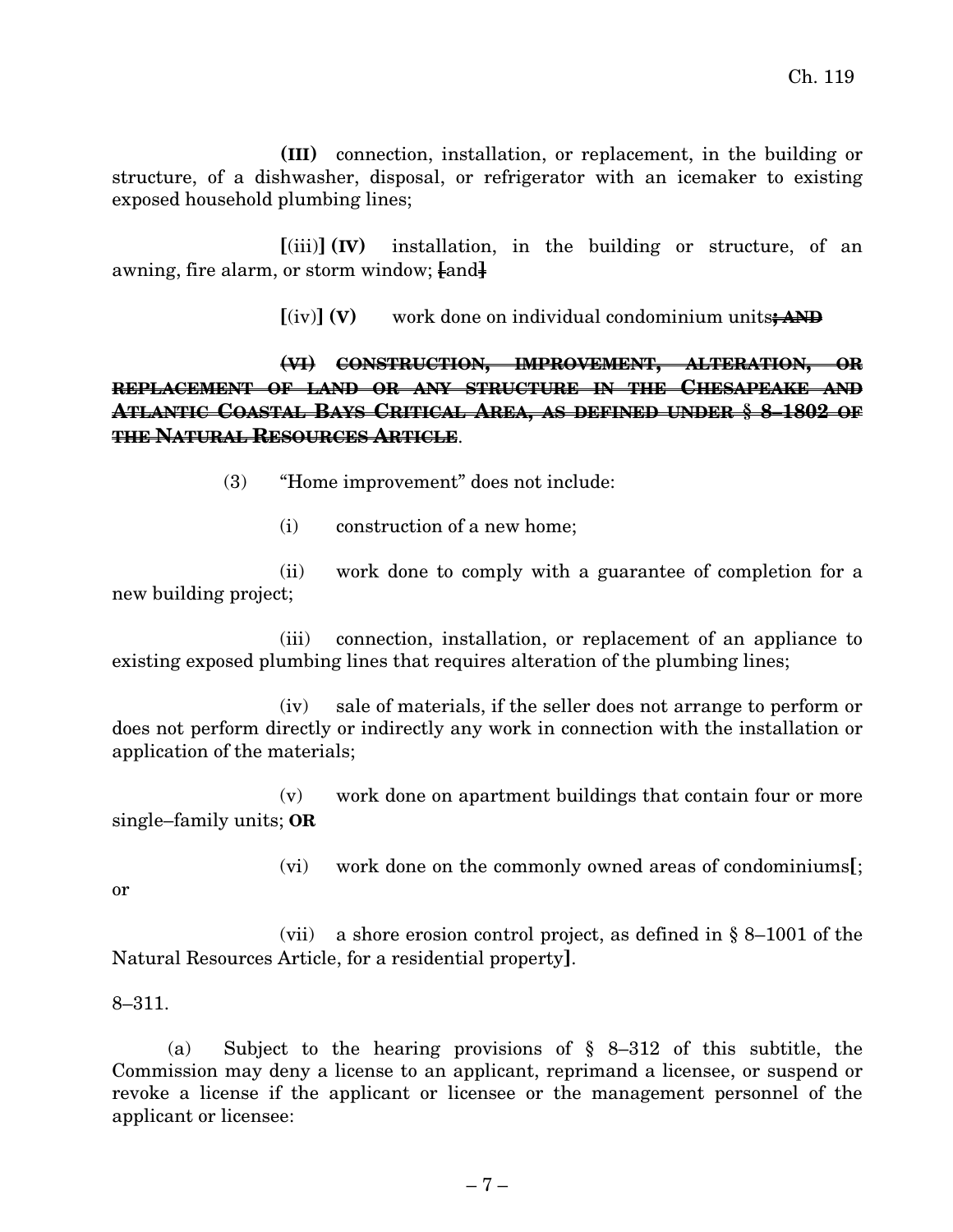**(III)** connection, installation, or replacement, in the building or structure, of a dishwasher, disposal, or refrigerator with an icemaker to existing exposed household plumbing lines;

**[**(iii)**] (IV)** installation, in the building or structure, of an awning, fire alarm, or storm window; **[**and**]**

**[**(iv)**] (V)** work done on individual condominium units**; AND**

## **(VI) CONSTRUCTION, IMPROVEMENT, ALTERATION, OR REPLACEMENT OF LAND OR ANY STRUCTURE IN THE CHESAPEAKE AND ATLANTIC COASTAL BAYS CRITICAL AREA, AS DEFINED UNDER § 8–1802 OF THE NATURAL RESOURCES ARTICLE**.

(3) "Home improvement" does not include:

(i) construction of a new home;

(ii) work done to comply with a guarantee of completion for a new building project;

(iii) connection, installation, or replacement of an appliance to existing exposed plumbing lines that requires alteration of the plumbing lines;

(iv) sale of materials, if the seller does not arrange to perform or does not perform directly or indirectly any work in connection with the installation or application of the materials;

(v) work done on apartment buildings that contain four or more single–family units; **OR**

(vi) work done on the commonly owned areas of condominiums**[**;

or

(vii) a shore erosion control project, as defined in § 8–1001 of the Natural Resources Article, for a residential property**]**.

8–311.

(a) Subject to the hearing provisions of § 8–312 of this subtitle, the Commission may deny a license to an applicant, reprimand a licensee, or suspend or revoke a license if the applicant or licensee or the management personnel of the applicant or licensee: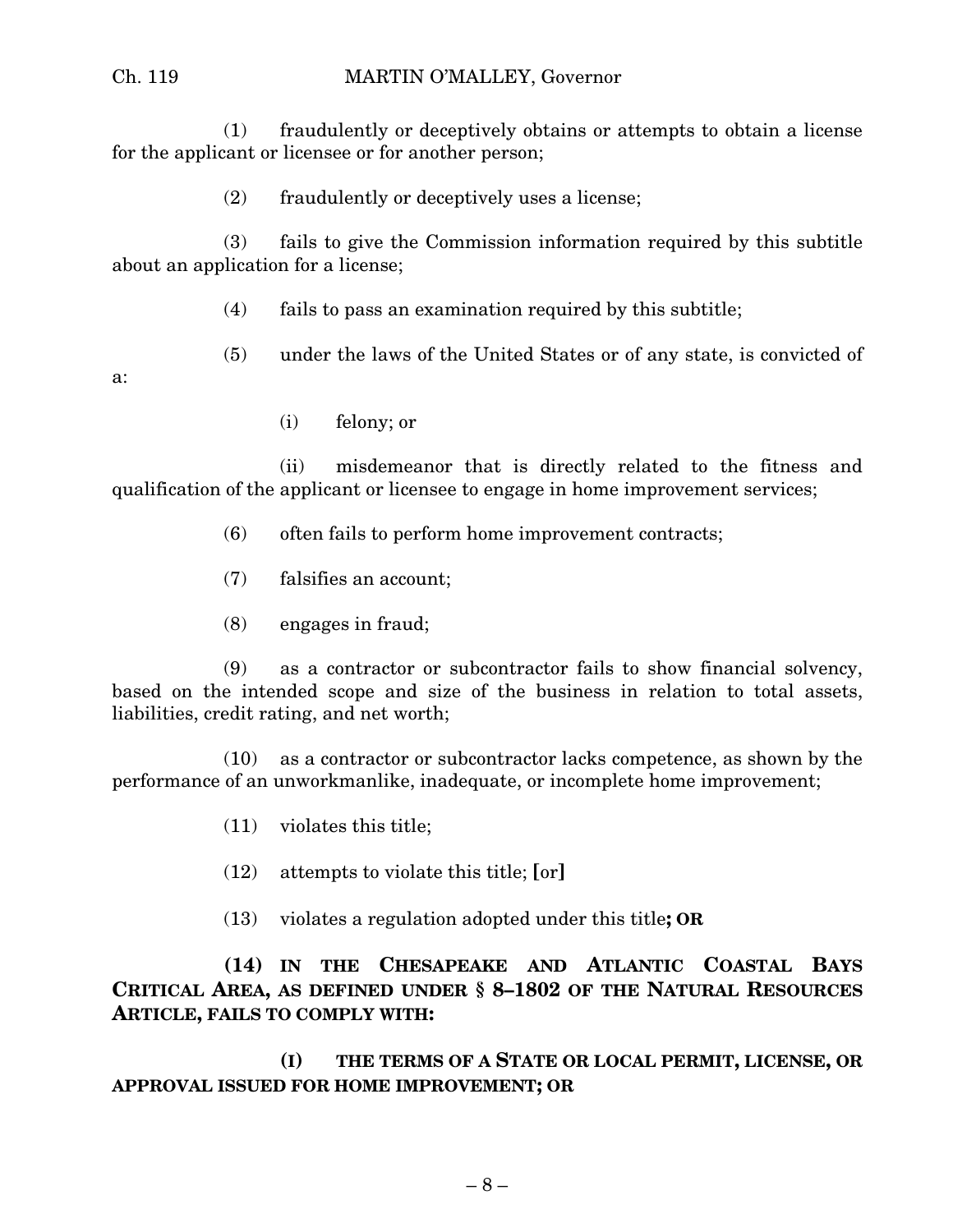#### Ch. 119 MARTIN O'MALLEY, Governor

(1) fraudulently or deceptively obtains or attempts to obtain a license for the applicant or licensee or for another person;

(2) fraudulently or deceptively uses a license;

(3) fails to give the Commission information required by this subtitle about an application for a license;

- (4) fails to pass an examination required by this subtitle;
- (5) under the laws of the United States or of any state, is convicted of

a:

(i) felony; or

(ii) misdemeanor that is directly related to the fitness and qualification of the applicant or licensee to engage in home improvement services;

- (6) often fails to perform home improvement contracts;
- (7) falsifies an account;
- (8) engages in fraud;

(9) as a contractor or subcontractor fails to show financial solvency, based on the intended scope and size of the business in relation to total assets, liabilities, credit rating, and net worth;

(10) as a contractor or subcontractor lacks competence, as shown by the performance of an unworkmanlike, inadequate, or incomplete home improvement;

- (11) violates this title;
- (12) attempts to violate this title; **[**or**]**
- (13) violates a regulation adopted under this title**; OR**

**(14) IN THE CHESAPEAKE AND ATLANTIC COASTAL BAYS CRITICAL AREA, AS DEFINED UNDER § 8–1802 OF THE NATURAL RESOURCES ARTICLE, FAILS TO COMPLY WITH:**

**(I) THE TERMS OF A STATE OR LOCAL PERMIT, LICENSE, OR APPROVAL ISSUED FOR HOME IMPROVEMENT; OR**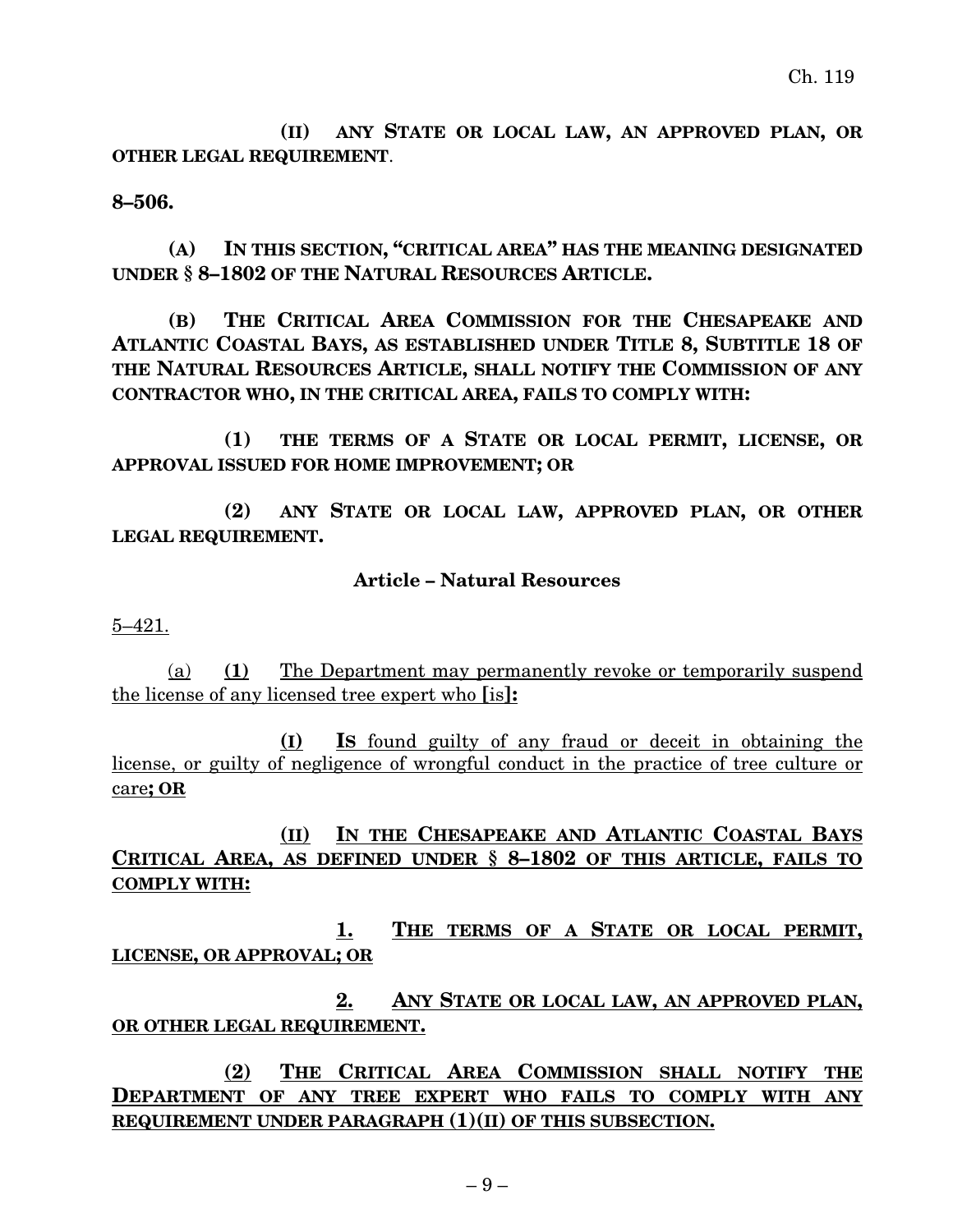**(II) ANY STATE OR LOCAL LAW, AN APPROVED PLAN, OR OTHER LEGAL REQUIREMENT**.

#### **8–506.**

**(A) IN THIS SECTION, "CRITICAL AREA" HAS THE MEANING DESIGNATED UNDER § 8–1802 OF THE NATURAL RESOURCES ARTICLE.**

**(B) THE CRITICAL AREA COMMISSION FOR THE CHESAPEAKE AND ATLANTIC COASTAL BAYS, AS ESTABLISHED UNDER TITLE 8, SUBTITLE 18 OF THE NATURAL RESOURCES ARTICLE, SHALL NOTIFY THE COMMISSION OF ANY CONTRACTOR WHO, IN THE CRITICAL AREA, FAILS TO COMPLY WITH:**

**(1) THE TERMS OF A STATE OR LOCAL PERMIT, LICENSE, OR APPROVAL ISSUED FOR HOME IMPROVEMENT; OR**

**(2) ANY STATE OR LOCAL LAW, APPROVED PLAN, OR OTHER LEGAL REQUIREMENT.**

#### **Article – Natural Resources**

5–421.

(a) **(1)** The Department may permanently revoke or temporarily suspend the license of any licensed tree expert who **[**is**]:**

**(I) IS** found guilty of any fraud or deceit in obtaining the license, or guilty of negligence of wrongful conduct in the practice of tree culture or care**; OR**

**(II) IN THE CHESAPEAKE AND ATLANTIC COASTAL BAYS CRITICAL AREA, AS DEFINED UNDER § 8–1802 OF THIS ARTICLE, FAILS TO COMPLY WITH:**

**1. THE TERMS OF A STATE OR LOCAL PERMIT, LICENSE, OR APPROVAL; OR**

**2. ANY STATE OR LOCAL LAW, AN APPROVED PLAN, OR OTHER LEGAL REQUIREMENT.**

**(2) THE CRITICAL AREA COMMISSION SHALL NOTIFY THE DEPARTMENT OF ANY TREE EXPERT WHO FAILS TO COMPLY WITH ANY REQUIREMENT UNDER PARAGRAPH (1)(II) OF THIS SUBSECTION.**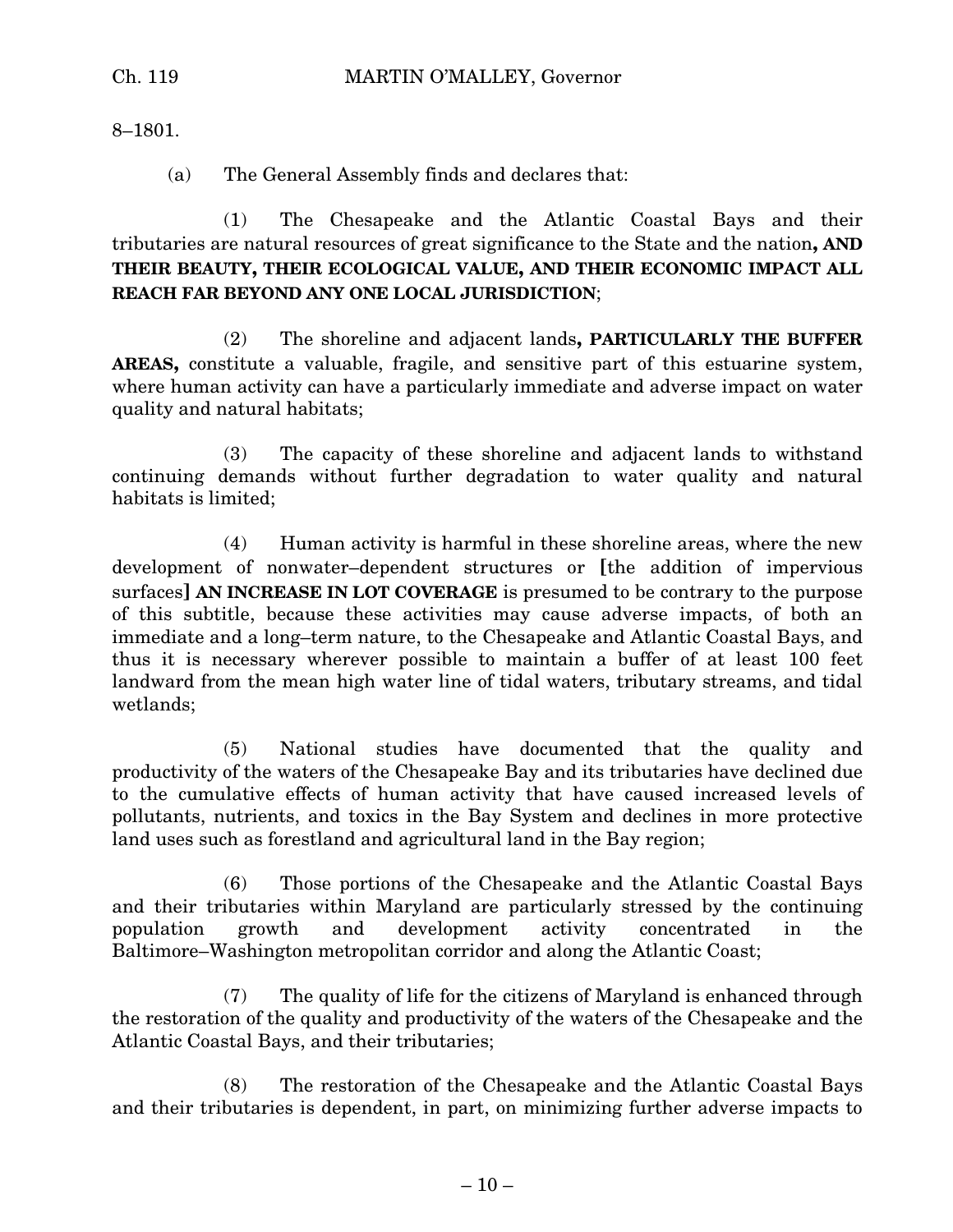8–1801.

(a) The General Assembly finds and declares that:

(1) The Chesapeake and the Atlantic Coastal Bays and their tributaries are natural resources of great significance to the State and the nation**, AND THEIR BEAUTY, THEIR ECOLOGICAL VALUE, AND THEIR ECONOMIC IMPACT ALL REACH FAR BEYOND ANY ONE LOCAL JURISDICTION**;

(2) The shoreline and adjacent lands**, PARTICULARLY THE BUFFER AREAS,** constitute a valuable, fragile, and sensitive part of this estuarine system, where human activity can have a particularly immediate and adverse impact on water quality and natural habitats;

(3) The capacity of these shoreline and adjacent lands to withstand continuing demands without further degradation to water quality and natural habitats is limited;

(4) Human activity is harmful in these shoreline areas, where the new development of nonwater–dependent structures or **[**the addition of impervious surfaces**] AN INCREASE IN LOT COVERAGE** is presumed to be contrary to the purpose of this subtitle, because these activities may cause adverse impacts, of both an immediate and a long–term nature, to the Chesapeake and Atlantic Coastal Bays, and thus it is necessary wherever possible to maintain a buffer of at least 100 feet landward from the mean high water line of tidal waters, tributary streams, and tidal wetlands;

(5) National studies have documented that the quality and productivity of the waters of the Chesapeake Bay and its tributaries have declined due to the cumulative effects of human activity that have caused increased levels of pollutants, nutrients, and toxics in the Bay System and declines in more protective land uses such as forestland and agricultural land in the Bay region;

(6) Those portions of the Chesapeake and the Atlantic Coastal Bays and their tributaries within Maryland are particularly stressed by the continuing population growth and development activity concentrated in the Baltimore–Washington metropolitan corridor and along the Atlantic Coast;

(7) The quality of life for the citizens of Maryland is enhanced through the restoration of the quality and productivity of the waters of the Chesapeake and the Atlantic Coastal Bays, and their tributaries;

(8) The restoration of the Chesapeake and the Atlantic Coastal Bays and their tributaries is dependent, in part, on minimizing further adverse impacts to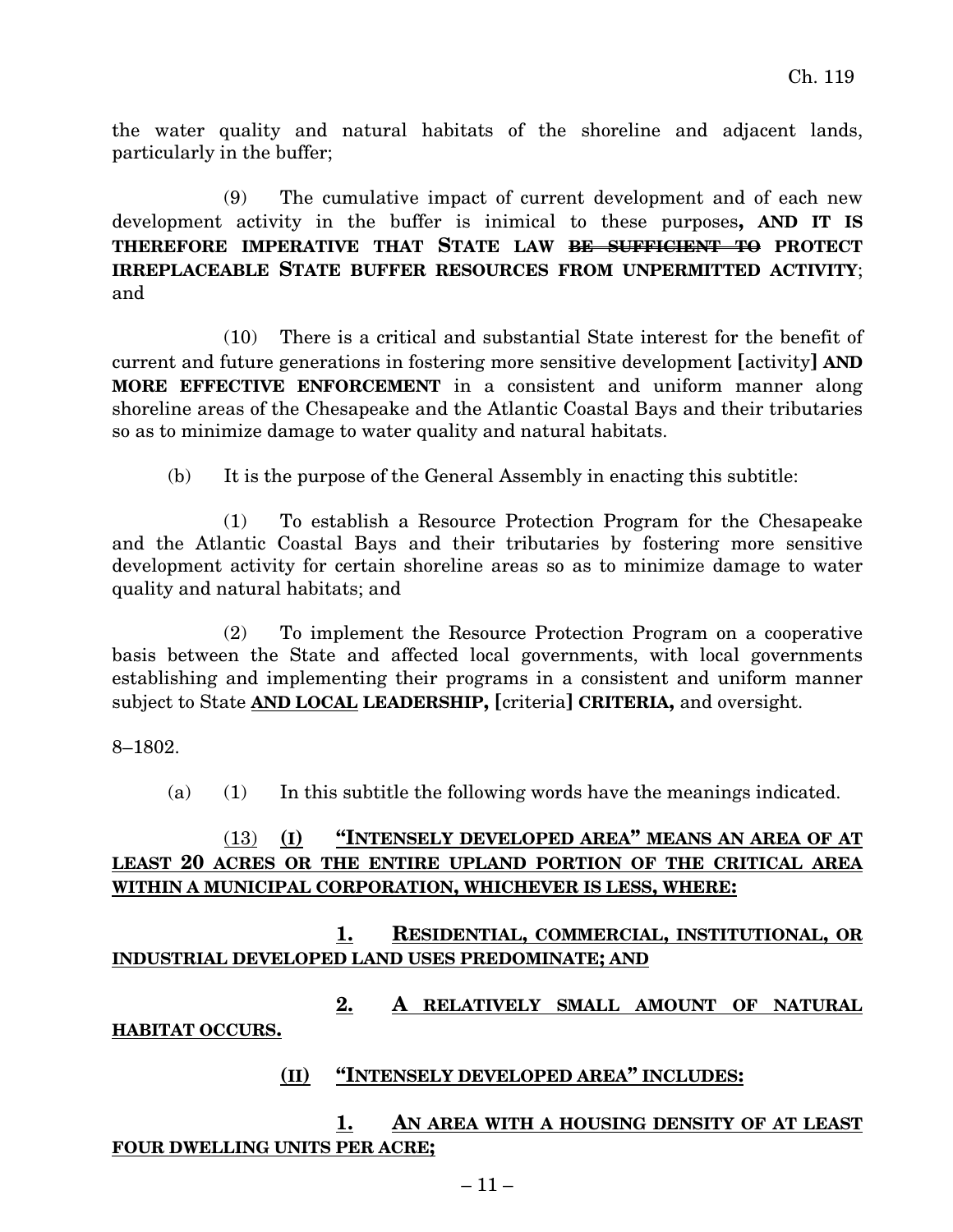the water quality and natural habitats of the shoreline and adjacent lands, particularly in the buffer;

(9) The cumulative impact of current development and of each new development activity in the buffer is inimical to these purposes**, AND IT IS THEREFORE IMPERATIVE THAT STATE LAW BE SUFFICIENT TO PROTECT IRREPLACEABLE STATE BUFFER RESOURCES FROM UNPERMITTED ACTIVITY**; and

(10) There is a critical and substantial State interest for the benefit of current and future generations in fostering more sensitive development **[**activity**] AND MORE EFFECTIVE ENFORCEMENT** in a consistent and uniform manner along shoreline areas of the Chesapeake and the Atlantic Coastal Bays and their tributaries so as to minimize damage to water quality and natural habitats.

(b) It is the purpose of the General Assembly in enacting this subtitle:

(1) To establish a Resource Protection Program for the Chesapeake and the Atlantic Coastal Bays and their tributaries by fostering more sensitive development activity for certain shoreline areas so as to minimize damage to water quality and natural habitats; and

(2) To implement the Resource Protection Program on a cooperative basis between the State and affected local governments, with local governments establishing and implementing their programs in a consistent and uniform manner subject to State **AND LOCAL LEADERSHIP, [**criteria**] CRITERIA,** and oversight.

#### 8–1802.

(a) (1) In this subtitle the following words have the meanings indicated.

### (13) **(I) "INTENSELY DEVELOPED AREA" MEANS AN AREA OF AT LEAST 20 ACRES OR THE ENTIRE UPLAND PORTION OF THE CRITICAL AREA WITHIN A MUNICIPAL CORPORATION, WHICHEVER IS LESS, WHERE:**

**1. RESIDENTIAL, COMMERCIAL, INSTITUTIONAL, OR INDUSTRIAL DEVELOPED LAND USES PREDOMINATE; AND**

**2. A RELATIVELY SMALL AMOUNT OF NATURAL HABITAT OCCURS.**

#### **(II) "INTENSELY DEVELOPED AREA" INCLUDES:**

## **1. AN AREA WITH A HOUSING DENSITY OF AT LEAST FOUR DWELLING UNITS PER ACRE;**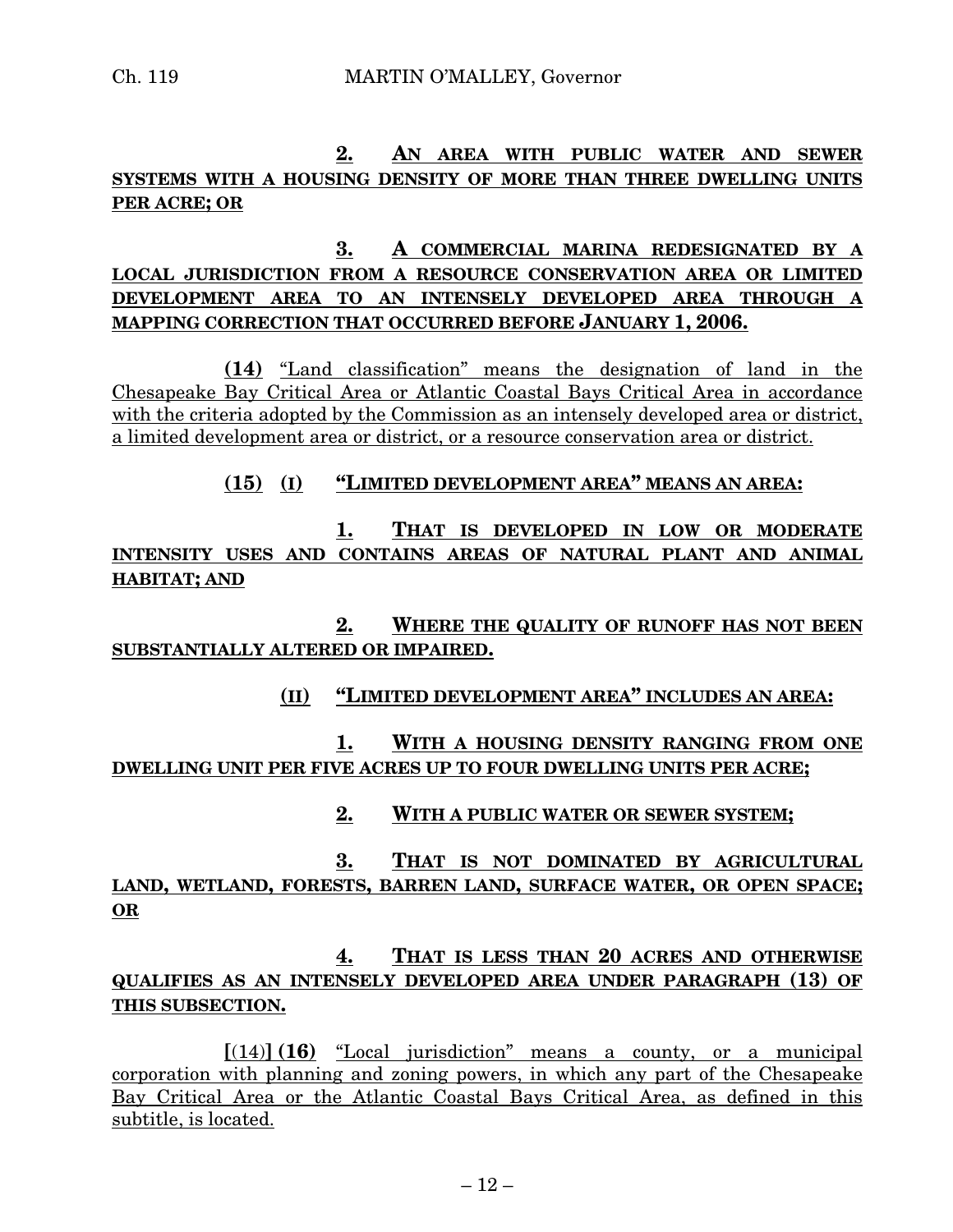## **2. AN AREA WITH PUBLIC WATER AND SEWER SYSTEMS WITH A HOUSING DENSITY OF MORE THAN THREE DWELLING UNITS PER ACRE; OR**

## **3. A COMMERCIAL MARINA REDESIGNATED BY A LOCAL JURISDICTION FROM A RESOURCE CONSERVATION AREA OR LIMITED DEVELOPMENT AREA TO AN INTENSELY DEVELOPED AREA THROUGH A MAPPING CORRECTION THAT OCCURRED BEFORE JANUARY 1, 2006.**

**(14)** "Land classification" means the designation of land in the Chesapeake Bay Critical Area or Atlantic Coastal Bays Critical Area in accordance with the criteria adopted by the Commission as an intensely developed area or district, a limited development area or district, or a resource conservation area or district.

#### **(15) (I) "LIMITED DEVELOPMENT AREA" MEANS AN AREA:**

**1. THAT IS DEVELOPED IN LOW OR MODERATE INTENSITY USES AND CONTAINS AREAS OF NATURAL PLANT AND ANIMAL HABITAT; AND**

**2. WHERE THE QUALITY OF RUNOFF HAS NOT BEEN SUBSTANTIALLY ALTERED OR IMPAIRED.**

#### **(II) "LIMITED DEVELOPMENT AREA" INCLUDES AN AREA:**

**1. WITH A HOUSING DENSITY RANGING FROM ONE DWELLING UNIT PER FIVE ACRES UP TO FOUR DWELLING UNITS PER ACRE;**

#### **2. WITH A PUBLIC WATER OR SEWER SYSTEM;**

**3. THAT IS NOT DOMINATED BY AGRICULTURAL LAND, WETLAND, FORESTS, BARREN LAND, SURFACE WATER, OR OPEN SPACE; OR**

## **4. THAT IS LESS THAN 20 ACRES AND OTHERWISE QUALIFIES AS AN INTENSELY DEVELOPED AREA UNDER PARAGRAPH (13) OF THIS SUBSECTION.**

**[**(14)**] (16)** "Local jurisdiction" means a county, or a municipal corporation with planning and zoning powers, in which any part of the Chesapeake Bay Critical Area or the Atlantic Coastal Bays Critical Area, as defined in this subtitle, is located.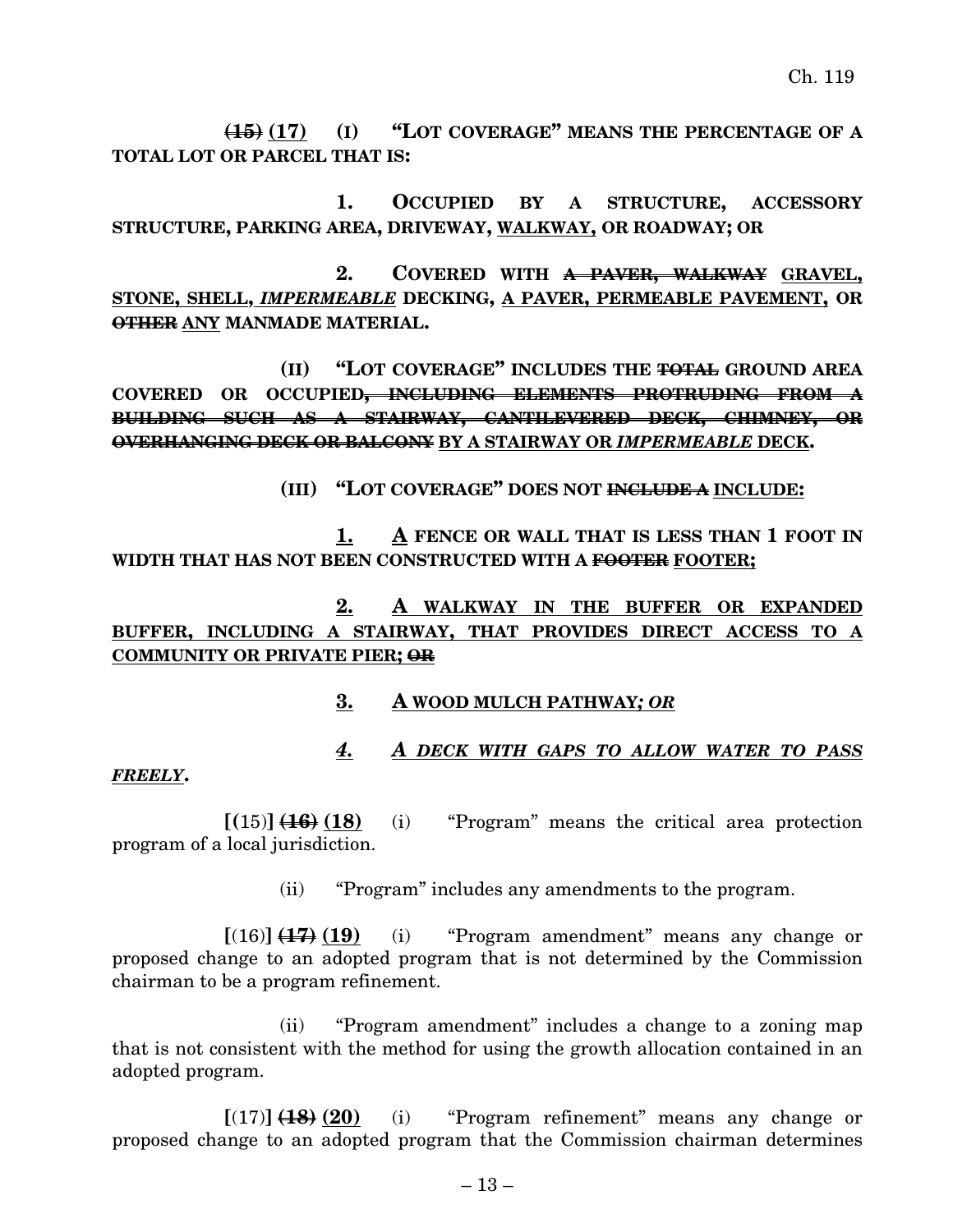**(15) (17) (I) "LOT COVERAGE" MEANS THE PERCENTAGE OF A TOTAL LOT OR PARCEL THAT IS:**

**1. OCCUPIED BY A STRUCTURE, ACCESSORY STRUCTURE, PARKING AREA, DRIVEWAY, WALKWAY, OR ROADWAY; OR**

**2. COVERED WITH A PAVER, WALKWAY GRAVEL, STONE, SHELL,** *IMPERMEABLE* **DECKING, A PAVER, PERMEABLE PAVEMENT, OR OTHER ANY MANMADE MATERIAL.**

**(II) "LOT COVERAGE" INCLUDES THE TOTAL GROUND AREA COVERED OR OCCUPIED, INCLUDING ELEMENTS PROTRUDING FROM A BUILDING SUCH AS A STAIRWAY, CANTILEVERED DECK, CHIMNEY, OR OVERHANGING DECK OR BALCONY BY A STAIRWAY OR** *IMPERMEABLE* **DECK.**

**(III) "LOT COVERAGE" DOES NOT INCLUDE A INCLUDE:**

**1. A FENCE OR WALL THAT IS LESS THAN 1 FOOT IN WIDTH THAT HAS NOT BEEN CONSTRUCTED WITH A FOOTER FOOTER;**

## **2. A WALKWAY IN THE BUFFER OR EXPANDED BUFFER, INCLUDING A STAIRWAY, THAT PROVIDES DIRECT ACCESS TO A COMMUNITY OR PRIVATE PIER; OR**

#### **3. A WOOD MULCH PATHWAY***; OR*

# *4. A DECK WITH GAPS TO ALLOW WATER TO PASS*

#### *FREELY***.**

 $[(15)] \left( \frac{16}{18} \right) (18)$  (i) "Program" means the critical area protection program of a local jurisdiction.

(ii) "Program" includes any amendments to the program.

 $[(16)]$   $(17)$   $(19)$  (i) "Program amendment" means any change or proposed change to an adopted program that is not determined by the Commission chairman to be a program refinement.

(ii) "Program amendment" includes a change to a zoning map that is not consistent with the method for using the growth allocation contained in an adopted program.

 $[(17)]$   $(18)(20)$  (i) "Program refinement" means any change or proposed change to an adopted program that the Commission chairman determines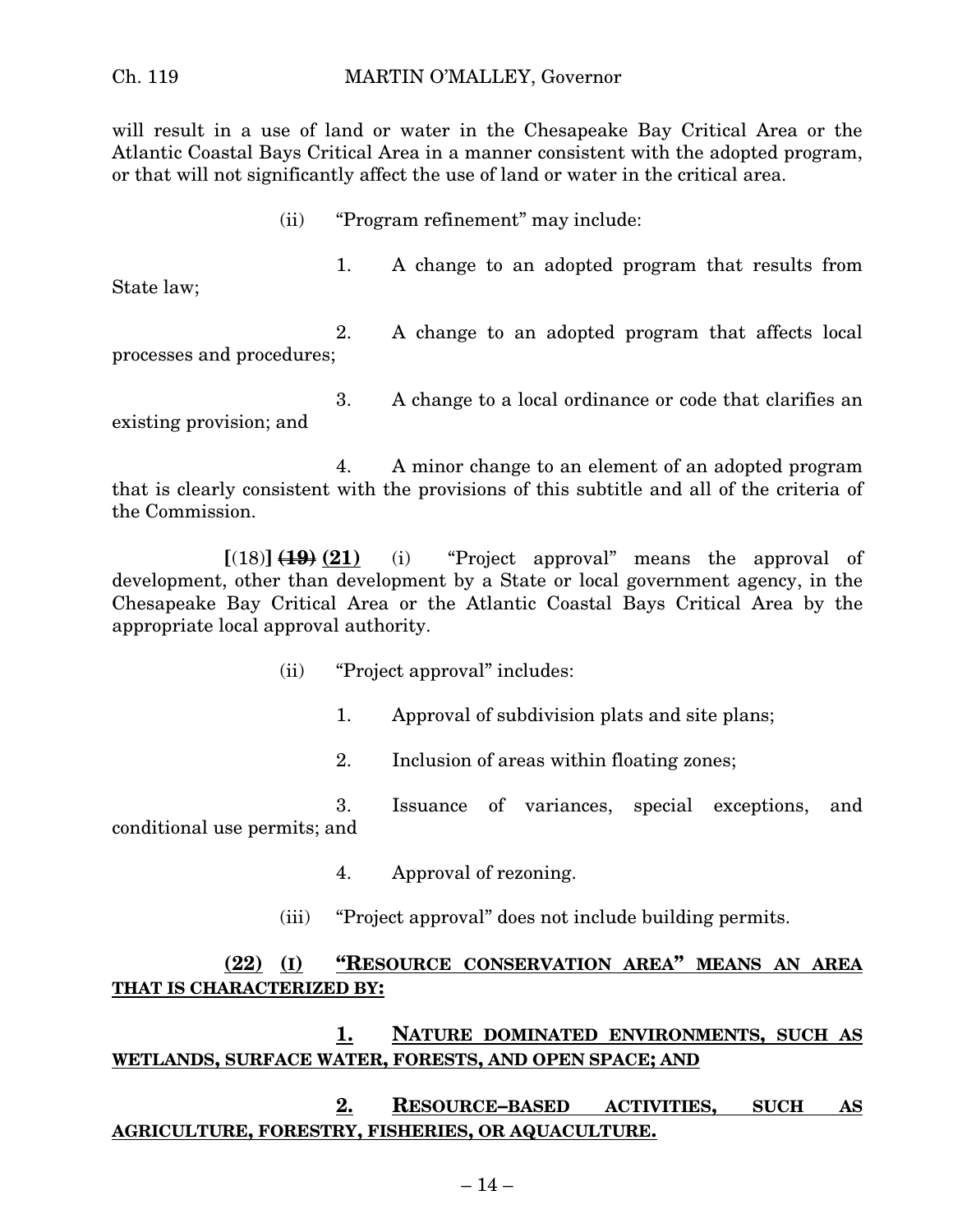will result in a use of land or water in the Chesapeake Bay Critical Area or the Atlantic Coastal Bays Critical Area in a manner consistent with the adopted program, or that will not significantly affect the use of land or water in the critical area.

(ii) "Program refinement" may include:

1. A change to an adopted program that results from State law;

2. A change to an adopted program that affects local processes and procedures;

3. A change to a local ordinance or code that clarifies an existing provision; and

4. A minor change to an element of an adopted program that is clearly consistent with the provisions of this subtitle and all of the criteria of the Commission.

 $[(18)]$   $(19)$   $(21)$  (i) "Project approval" means the approval of development, other than development by a State or local government agency, in the Chesapeake Bay Critical Area or the Atlantic Coastal Bays Critical Area by the appropriate local approval authority.

- (ii) "Project approval" includes:
	- 1. Approval of subdivision plats and site plans;
	- 2. Inclusion of areas within floating zones;

3. Issuance of variances, special exceptions, and conditional use permits; and

- 4. Approval of rezoning.
- (iii) "Project approval" does not include building permits.

#### **(22) (I) "RESOURCE CONSERVATION AREA" MEANS AN AREA THAT IS CHARACTERIZED BY:**

#### **1. NATURE DOMINATED ENVIRONMENTS, SUCH AS WETLANDS, SURFACE WATER, FORESTS, AND OPEN SPACE; AND**

#### **2. RESOURCE–BASED ACTIVITIES, SUCH AS AGRICULTURE, FORESTRY, FISHERIES, OR AQUACULTURE.**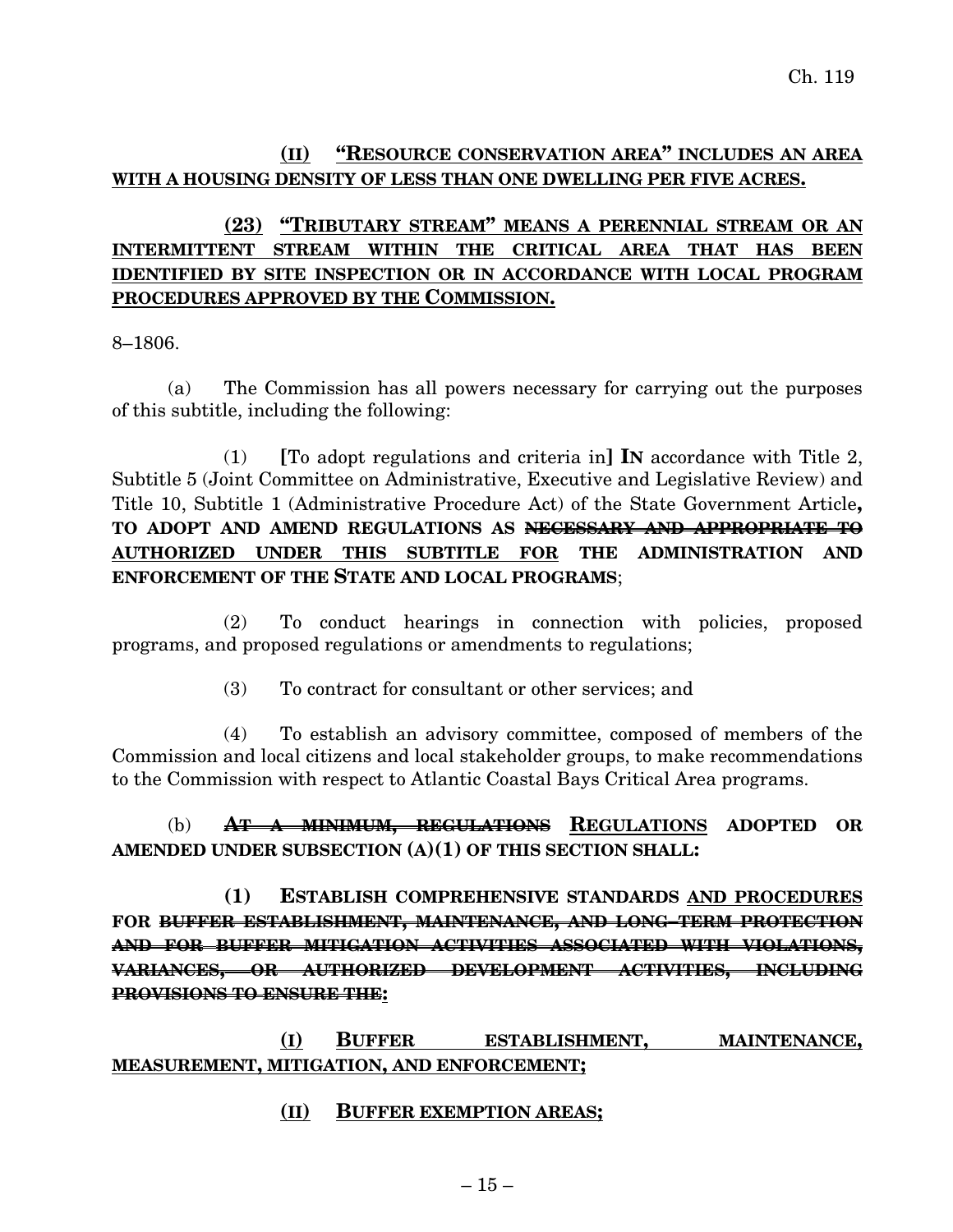#### **(II) "RESOURCE CONSERVATION AREA" INCLUDES AN AREA WITH A HOUSING DENSITY OF LESS THAN ONE DWELLING PER FIVE ACRES.**

## **(23) "TRIBUTARY STREAM" MEANS A PERENNIAL STREAM OR AN INTERMITTENT STREAM WITHIN THE CRITICAL AREA THAT HAS BEEN IDENTIFIED BY SITE INSPECTION OR IN ACCORDANCE WITH LOCAL PROGRAM PROCEDURES APPROVED BY THE COMMISSION.**

8–1806.

(a) The Commission has all powers necessary for carrying out the purposes of this subtitle, including the following:

(1) **[**To adopt regulations and criteria in**] IN** accordance with Title 2, Subtitle 5 (Joint Committee on Administrative, Executive and Legislative Review) and Title 10, Subtitle 1 (Administrative Procedure Act) of the State Government Article**, TO ADOPT AND AMEND REGULATIONS AS NECESSARY AND APPROPRIATE TO AUTHORIZED UNDER THIS SUBTITLE FOR THE ADMINISTRATION AND ENFORCEMENT OF THE STATE AND LOCAL PROGRAMS**;

(2) To conduct hearings in connection with policies, proposed programs, and proposed regulations or amendments to regulations;

(3) To contract for consultant or other services; and

(4) To establish an advisory committee, composed of members of the Commission and local citizens and local stakeholder groups, to make recommendations to the Commission with respect to Atlantic Coastal Bays Critical Area programs.

(b) **AT A MINIMUM, REGULATIONS REGULATIONS ADOPTED OR AMENDED UNDER SUBSECTION (A)(1) OF THIS SECTION SHALL:**

**(1) ESTABLISH COMPREHENSIVE STANDARDS AND PROCEDURES FOR BUFFER ESTABLISHMENT, MAINTENANCE, AND LONG–TERM PROTECTION AND FOR BUFFER MITIGATION ACTIVITIES ASSOCIATED WITH VIOLATIONS, VARIANCES, OR AUTHORIZED DEVELOPMENT ACTIVITIES, INCLUDING PROVISIONS TO ENSURE THE:**

**(I) BUFFER ESTABLISHMENT, MAINTENANCE, MEASUREMENT, MITIGATION, AND ENFORCEMENT;**

#### **(II) BUFFER EXEMPTION AREAS;**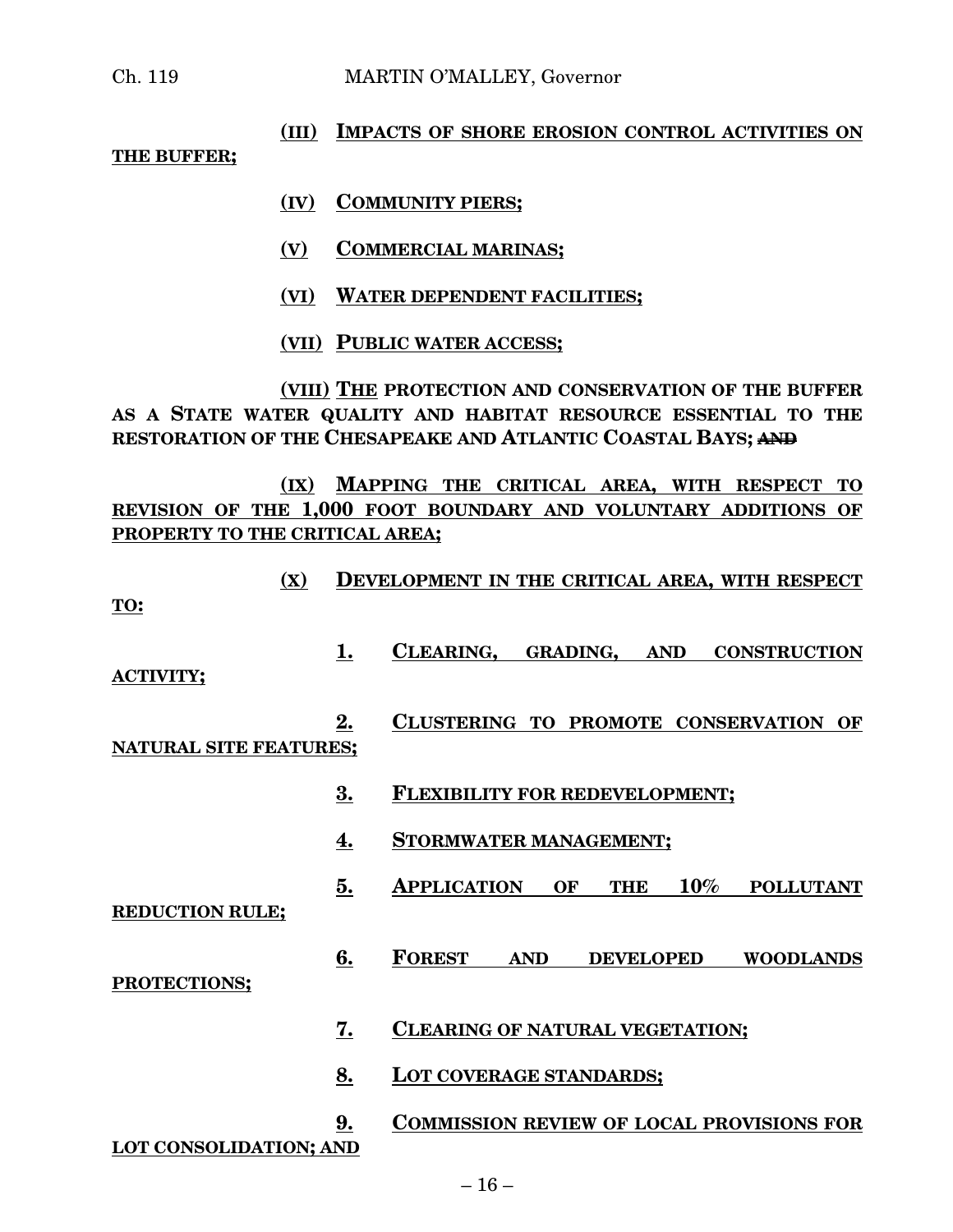## **(III) IMPACTS OF SHORE EROSION CONTROL ACTIVITIES ON THE BUFFER;**

- **(IV) COMMUNITY PIERS;**
- **(V) COMMERCIAL MARINAS;**
- **(VI) WATER DEPENDENT FACILITIES;**
- **(VII) PUBLIC WATER ACCESS;**

**(VIII) THE PROTECTION AND CONSERVATION OF THE BUFFER AS A STATE WATER QUALITY AND HABITAT RESOURCE ESSENTIAL TO THE RESTORATION OF THE CHESAPEAKE AND ATLANTIC COASTAL BAYS; AND**

**(IX) MAPPING THE CRITICAL AREA, WITH RESPECT TO REVISION OF THE 1,000 FOOT BOUNDARY AND VOLUNTARY ADDITIONS OF PROPERTY TO THE CRITICAL AREA;**

| (X)                           |           | DEVELOPMENT IN THE CRITICAL AREA, WITH RESPECT                           |
|-------------------------------|-----------|--------------------------------------------------------------------------|
| TO:                           |           |                                                                          |
| <b>ACTIVITY;</b>              | 1.        | CLEARING.<br><b>GRADING.</b><br><b>AND</b><br><b>CONSTRUCTION</b>        |
| <b>NATURAL SITE FEATURES;</b> | <u>2.</u> | CLUSTERING TO PROMOTE CONSERVATION<br>OF                                 |
|                               | 3.        | <b>FLEXIBILITY FOR REDEVELOPMENT;</b>                                    |
|                               | 4.        | <b>STORMWATER MANAGEMENT;</b>                                            |
| <b>REDUCTION RULE;</b>        | 5.        | 10%<br><b>APPLICATION</b><br><b>OF</b><br><b>THE</b><br><b>POLLUTANT</b> |
| PROTECTIONS;                  | 6.        | <b>FOREST</b><br><b>AND</b><br><b>DEVELOPED</b><br><b>WOODLANDS</b>      |
|                               | 7.        | <b>CLEARING OF NATURAL VEGETATION;</b>                                   |
|                               | <u>8.</u> | <b>LOT COVERAGE STANDARDS;</b>                                           |
| <b>LOT CONSOLIDATION; AND</b> | 9.        | <b>COMMISSION REVIEW OF LOCAL PROVISIONS FOR</b>                         |
|                               |           | 1C                                                                       |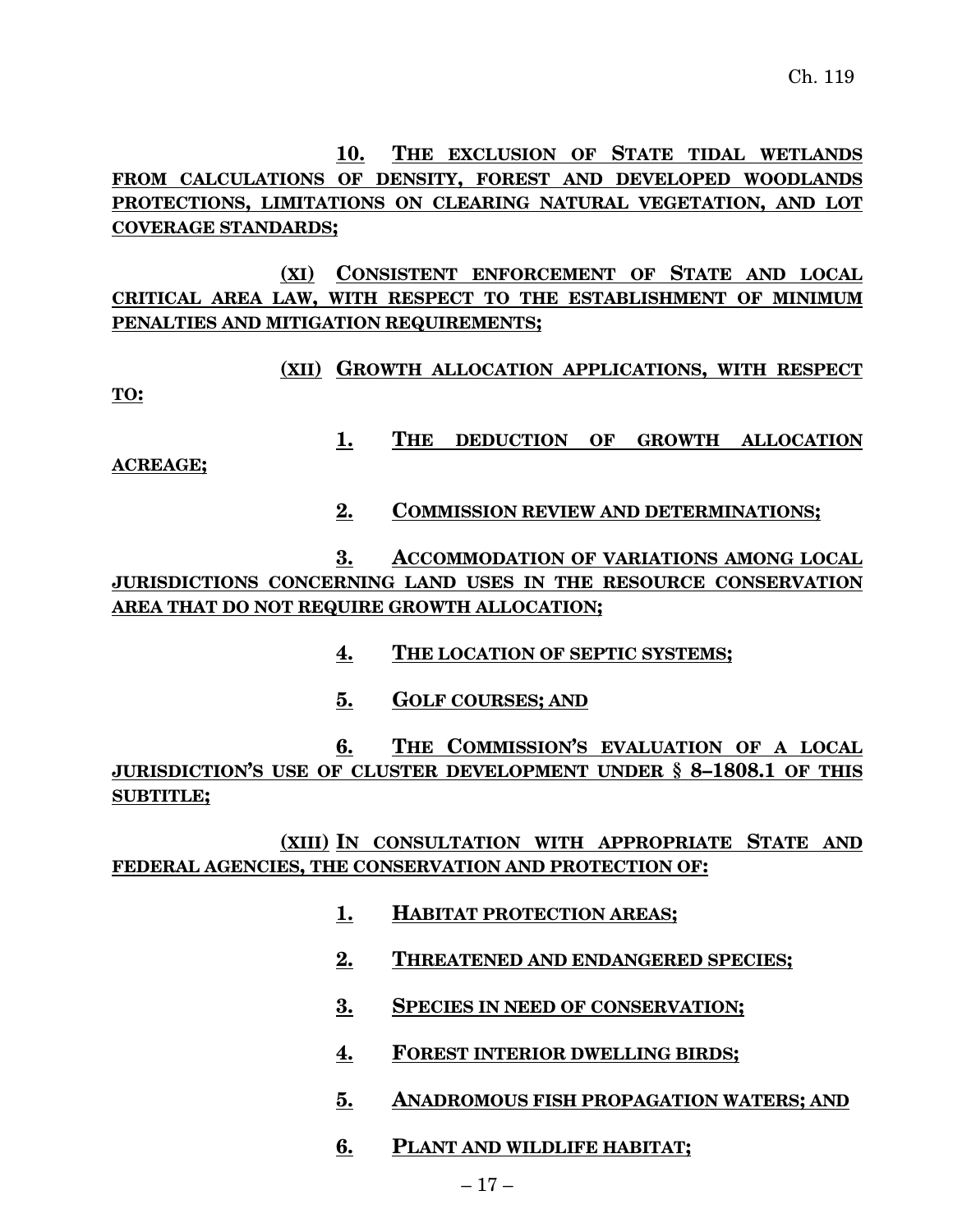**10. THE EXCLUSION OF STATE TIDAL WETLANDS FROM CALCULATIONS OF DENSITY, FOREST AND DEVELOPED WOODLANDS PROTECTIONS, LIMITATIONS ON CLEARING NATURAL VEGETATION, AND LOT COVERAGE STANDARDS;**

**(XI) CONSISTENT ENFORCEMENT OF STATE AND LOCAL CRITICAL AREA LAW, WITH RESPECT TO THE ESTABLISHMENT OF MINIMUM PENALTIES AND MITIGATION REQUIREMENTS;**

**(XII) GROWTH ALLOCATION APPLICATIONS, WITH RESPECT TO:**

**1. THE DEDUCTION OF GROWTH ALLOCATION**

**ACREAGE;**

**2. COMMISSION REVIEW AND DETERMINATIONS;**

**3. ACCOMMODATION OF VARIATIONS AMONG LOCAL JURISDICTIONS CONCERNING LAND USES IN THE RESOURCE CONSERVATION AREA THAT DO NOT REQUIRE GROWTH ALLOCATION;**

- **4. THE LOCATION OF SEPTIC SYSTEMS;**
- **5. GOLF COURSES; AND**

**6. THE COMMISSION'S EVALUATION OF A LOCAL JURISDICTION'S USE OF CLUSTER DEVELOPMENT UNDER § 8–1808.1 OF THIS SUBTITLE;**

**(XIII) IN CONSULTATION WITH APPROPRIATE STATE AND FEDERAL AGENCIES, THE CONSERVATION AND PROTECTION OF:**

- **1. HABITAT PROTECTION AREAS;**
- **2. THREATENED AND ENDANGERED SPECIES;**
- **3. SPECIES IN NEED OF CONSERVATION;**
- **4. FOREST INTERIOR DWELLING BIRDS;**
- **5. ANADROMOUS FISH PROPAGATION WATERS; AND**
- **6. PLANT AND WILDLIFE HABITAT;**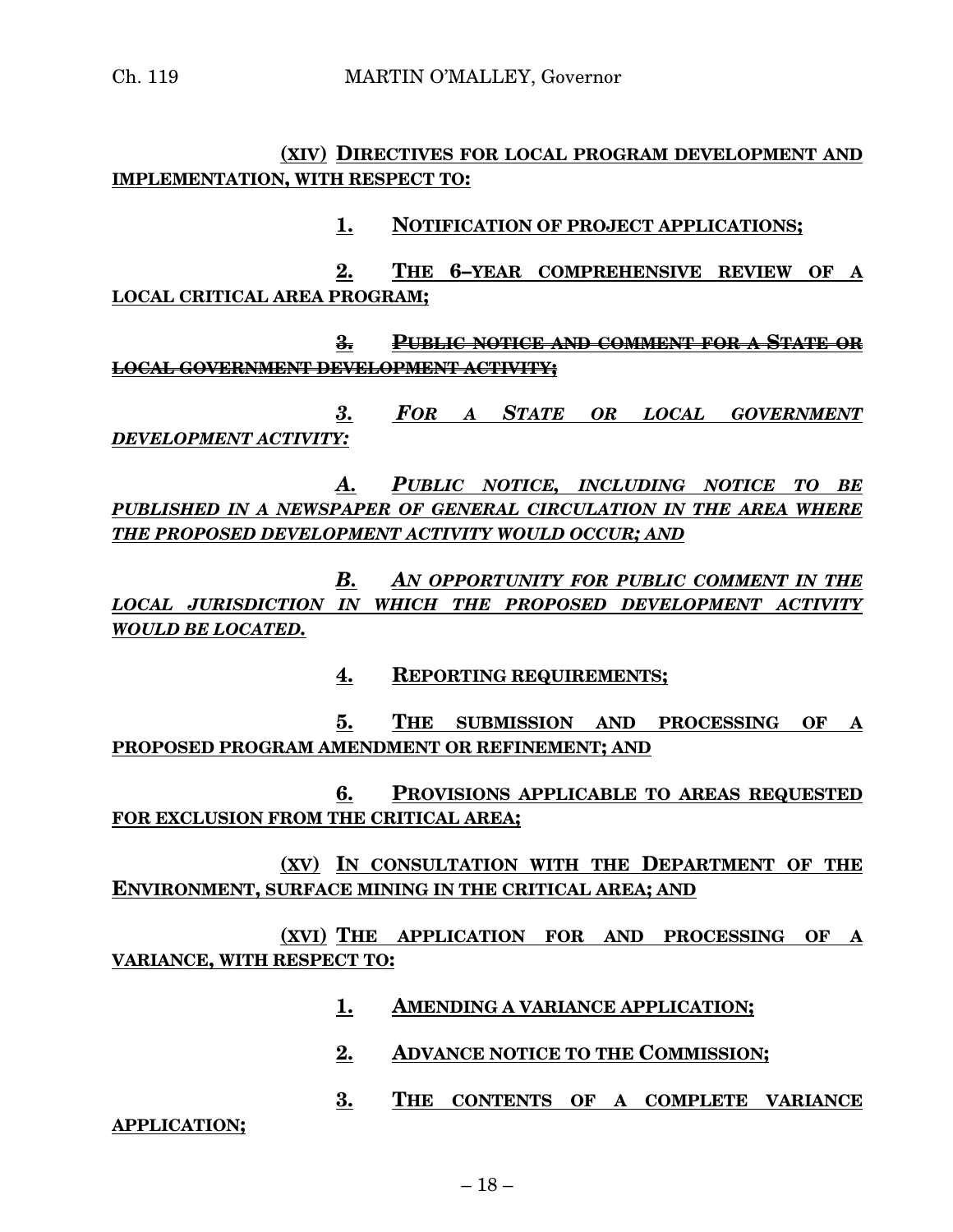#### **(XIV) DIRECTIVES FOR LOCAL PROGRAM DEVELOPMENT AND IMPLEMENTATION, WITH RESPECT TO:**

#### **1. NOTIFICATION OF PROJECT APPLICATIONS;**

**2. THE 6–YEAR COMPREHENSIVE REVIEW OF A LOCAL CRITICAL AREA PROGRAM;**

**3. PUBLIC NOTICE AND COMMENT FOR A STATE OR LOCAL GOVERNMENT DEVELOPMENT ACTIVITY;**

*3. FOR A STATE OR LOCAL GOVERNMENT DEVELOPMENT ACTIVITY:*

*A. PUBLIC NOTICE, INCLUDING NOTICE TO BE PUBLISHED IN A NEWSPAPER OF GENERAL CIRCULATION IN THE AREA WHERE THE PROPOSED DEVELOPMENT ACTIVITY WOULD OCCUR; AND*

*B. AN OPPORTUNITY FOR PUBLIC COMMENT IN THE LOCAL JURISDICTION IN WHICH THE PROPOSED DEVELOPMENT ACTIVITY WOULD BE LOCATED.*

**4. REPORTING REQUIREMENTS;**

**5. THE SUBMISSION AND PROCESSING OF A PROPOSED PROGRAM AMENDMENT OR REFINEMENT; AND**

**6. PROVISIONS APPLICABLE TO AREAS REQUESTED FOR EXCLUSION FROM THE CRITICAL AREA;**

**(XV) IN CONSULTATION WITH THE DEPARTMENT OF THE ENVIRONMENT, SURFACE MINING IN THE CRITICAL AREA; AND**

**(XVI) THE APPLICATION FOR AND PROCESSING OF A VARIANCE, WITH RESPECT TO:**

- **1. AMENDING A VARIANCE APPLICATION;**
- **2. ADVANCE NOTICE TO THE COMMISSION;**
- **3. THE CONTENTS OF A COMPLETE VARIANCE**

**APPLICATION;**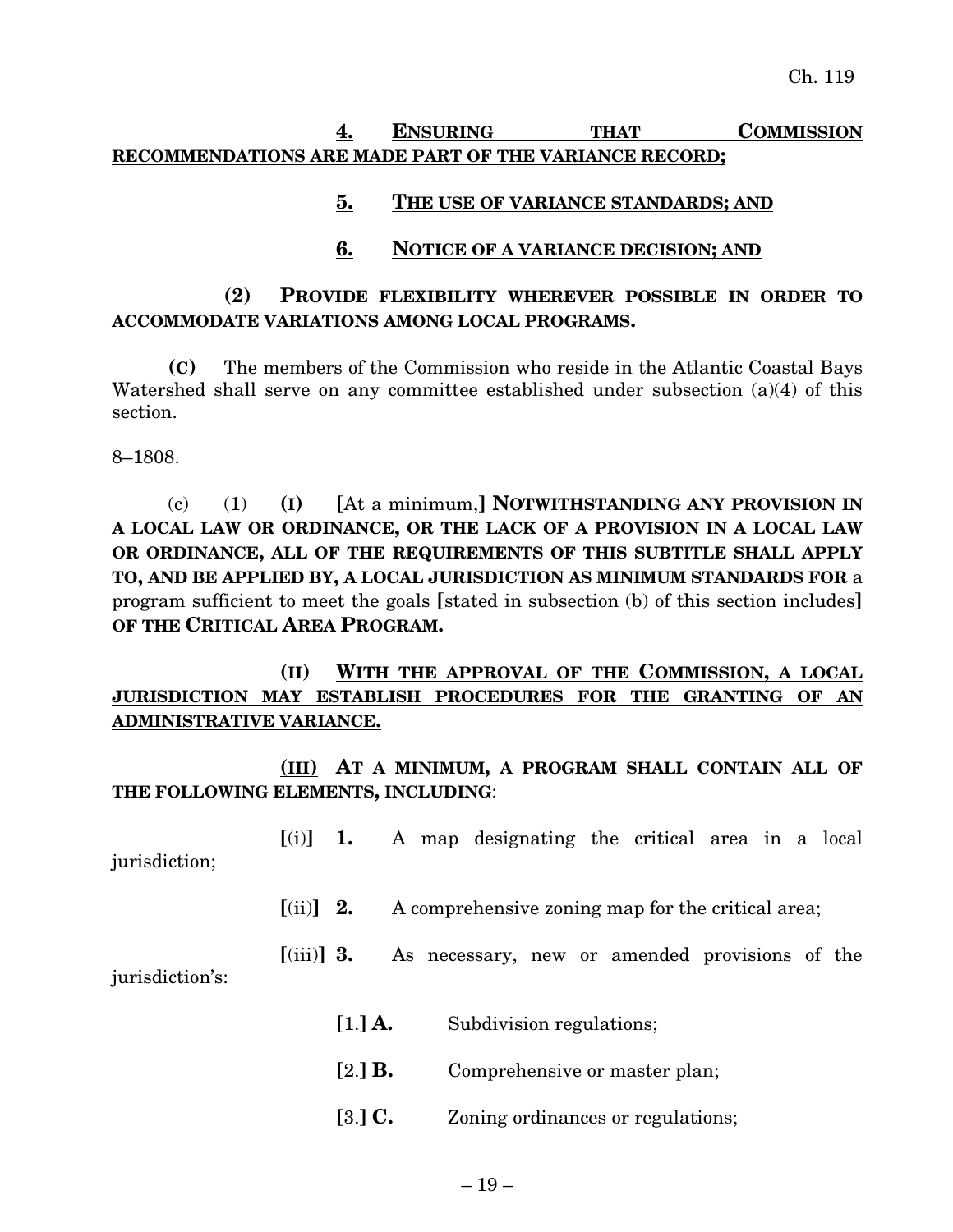## **4. ENSURING THAT COMMISSION RECOMMENDATIONS ARE MADE PART OF THE VARIANCE RECORD;**

#### **5. THE USE OF VARIANCE STANDARDS; AND**

#### **6. NOTICE OF A VARIANCE DECISION; AND**

#### **(2) PROVIDE FLEXIBILITY WHEREVER POSSIBLE IN ORDER TO ACCOMMODATE VARIATIONS AMONG LOCAL PROGRAMS.**

**(C)** The members of the Commission who reside in the Atlantic Coastal Bays Watershed shall serve on any committee established under subsection (a)(4) of this section.

8–1808.

(c) (1) **(I) [**At a minimum,**] NOTWITHSTANDING ANY PROVISION IN A LOCAL LAW OR ORDINANCE, OR THE LACK OF A PROVISION IN A LOCAL LAW OR ORDINANCE, ALL OF THE REQUIREMENTS OF THIS SUBTITLE SHALL APPLY TO, AND BE APPLIED BY, A LOCAL JURISDICTION AS MINIMUM STANDARDS FOR** a program sufficient to meet the goals **[**stated in subsection (b) of this section includes**] OF THE CRITICAL AREA PROGRAM.**

**(II) WITH THE APPROVAL OF THE COMMISSION, A LOCAL JURISDICTION MAY ESTABLISH PROCEDURES FOR THE GRANTING OF AN ADMINISTRATIVE VARIANCE.**

**(III) AT A MINIMUM, A PROGRAM SHALL CONTAIN ALL OF THE FOLLOWING ELEMENTS, INCLUDING**:

**[**(i)**] 1.** A map designating the critical area in a local jurisdiction;

**[**(ii)**] 2.** A comprehensive zoning map for the critical area;

**[**(iii)**] 3.** As necessary, new or amended provisions of the jurisdiction's:

- **[**1.**] A.** Subdivision regulations;
- **[**2.**] B.** Comprehensive or master plan;
- **[**3.**] C.** Zoning ordinances or regulations;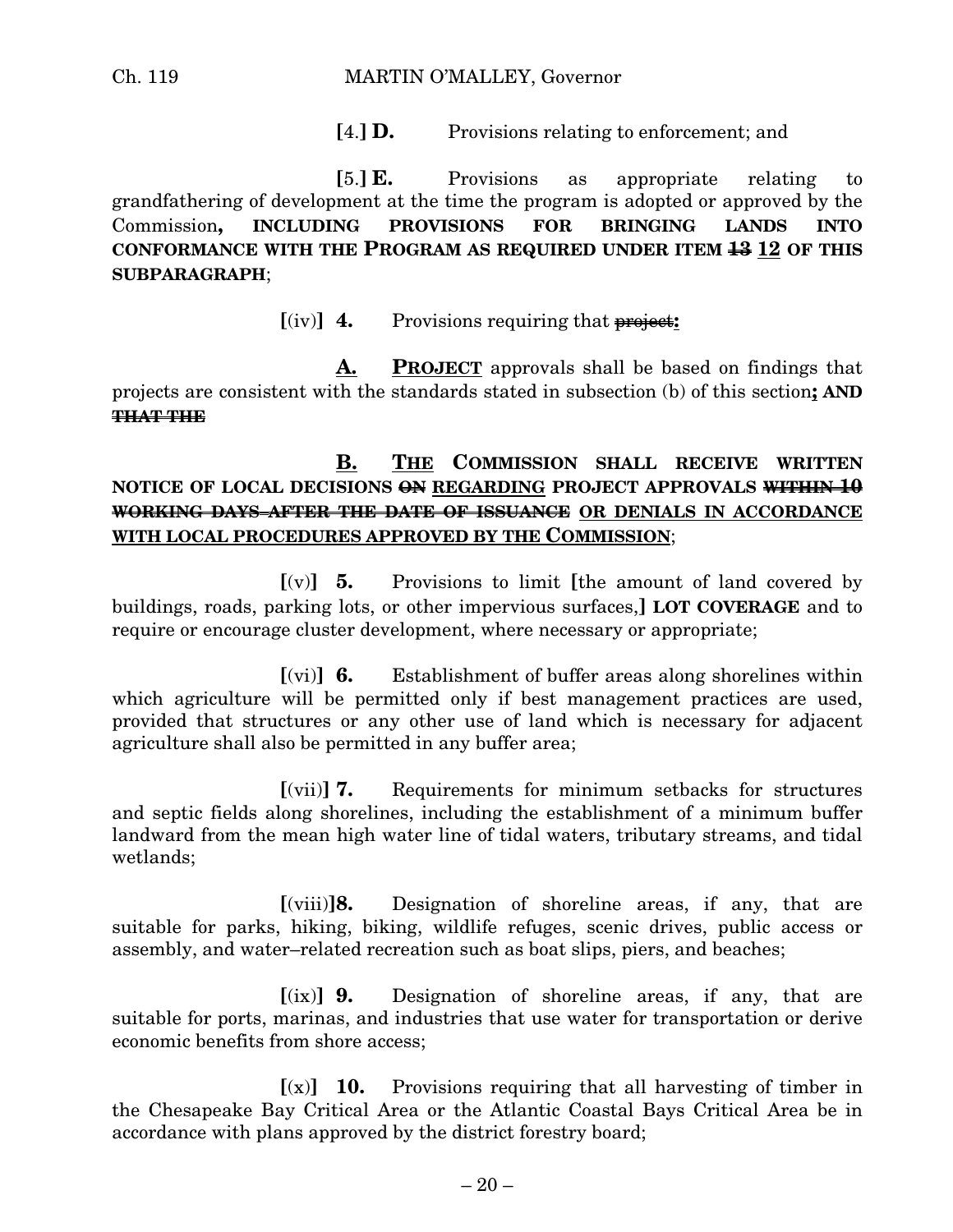#### Ch. 119 MARTIN O'MALLEY, Governor

**[**4.**] D.** Provisions relating to enforcement; and

**[**5.**] E.** Provisions as appropriate relating to grandfathering of development at the time the program is adopted or approved by the Commission**, INCLUDING PROVISIONS FOR BRINGING LANDS INTO CONFORMANCE WITH THE PROGRAM AS REQUIRED UNDER ITEM 13 12 OF THIS SUBPARAGRAPH**;

 $[(iv)]$  **4.** Provisions requiring that **project:** 

**A. PROJECT** approvals shall be based on findings that projects are consistent with the standards stated in subsection (b) of this section**; AND THAT THE**

## **B. THE COMMISSION SHALL RECEIVE WRITTEN NOTICE OF LOCAL DECISIONS ON REGARDING PROJECT APPROVALS WITHIN 10 WORKING DAYS AFTER THE DATE OF ISSUANCE OR DENIALS IN ACCORDANCE WITH LOCAL PROCEDURES APPROVED BY THE COMMISSION**;

**[**(v)**] 5.** Provisions to limit **[**the amount of land covered by buildings, roads, parking lots, or other impervious surfaces,**] LOT COVERAGE** and to require or encourage cluster development, where necessary or appropriate;

**[**(vi)**] 6.** Establishment of buffer areas along shorelines within which agriculture will be permitted only if best management practices are used, provided that structures or any other use of land which is necessary for adjacent agriculture shall also be permitted in any buffer area;

**[**(vii)**] 7.** Requirements for minimum setbacks for structures and septic fields along shorelines, including the establishment of a minimum buffer landward from the mean high water line of tidal waters, tributary streams, and tidal wetlands;

**[**(viii)**]8.** Designation of shoreline areas, if any, that are suitable for parks, hiking, biking, wildlife refuges, scenic drives, public access or assembly, and water–related recreation such as boat slips, piers, and beaches;

**[**(ix)**] 9.** Designation of shoreline areas, if any, that are suitable for ports, marinas, and industries that use water for transportation or derive economic benefits from shore access;

 $[(x)]$  **10.** Provisions requiring that all harvesting of timber in the Chesapeake Bay Critical Area or the Atlantic Coastal Bays Critical Area be in accordance with plans approved by the district forestry board;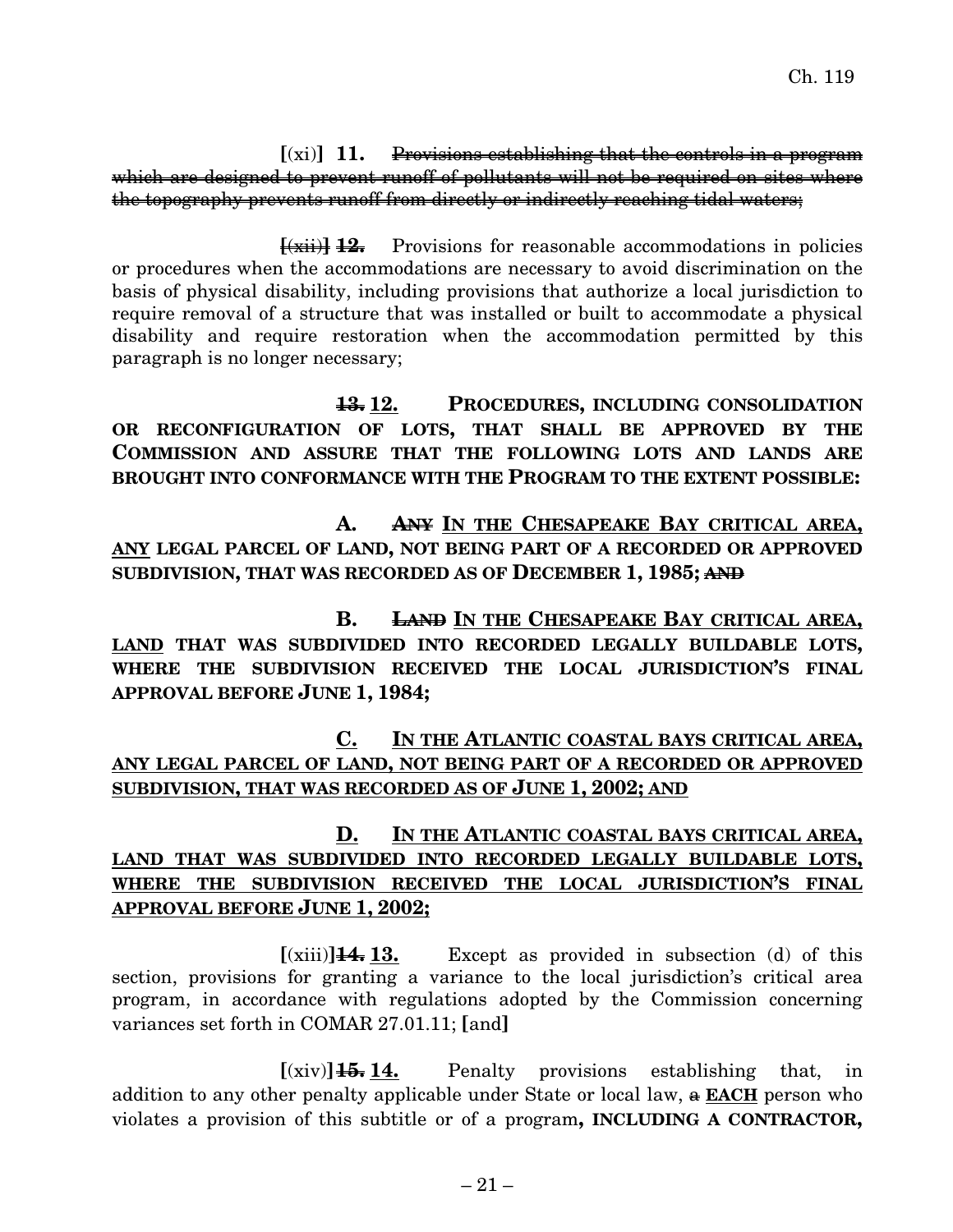**[**(xi)**] 11.** Provisions establishing that the controls in a program which are designed to prevent runoff of pollutants will not be required on sites where the topography prevents runoff from directly or indirectly reaching tidal waters;

**[**(xii)**] 12.** Provisions for reasonable accommodations in policies or procedures when the accommodations are necessary to avoid discrimination on the basis of physical disability, including provisions that authorize a local jurisdiction to require removal of a structure that was installed or built to accommodate a physical disability and require restoration when the accommodation permitted by this paragraph is no longer necessary;

**13. 12. PROCEDURES, INCLUDING CONSOLIDATION OR RECONFIGURATION OF LOTS, THAT SHALL BE APPROVED BY THE COMMISSION AND ASSURE THAT THE FOLLOWING LOTS AND LANDS ARE BROUGHT INTO CONFORMANCE WITH THE PROGRAM TO THE EXTENT POSSIBLE:**

**A. ANY IN THE CHESAPEAKE BAY CRITICAL AREA, ANY LEGAL PARCEL OF LAND, NOT BEING PART OF A RECORDED OR APPROVED SUBDIVISION, THAT WAS RECORDED AS OF DECEMBER 1, 1985; AND**

**B. LAND IN THE CHESAPEAKE BAY CRITICAL AREA, LAND THAT WAS SUBDIVIDED INTO RECORDED LEGALLY BUILDABLE LOTS, WHERE THE SUBDIVISION RECEIVED THE LOCAL JURISDICTION'S FINAL APPROVAL BEFORE JUNE 1, 1984;**

**C. IN THE ATLANTIC COASTAL BAYS CRITICAL AREA, ANY LEGAL PARCEL OF LAND, NOT BEING PART OF A RECORDED OR APPROVED SUBDIVISION, THAT WAS RECORDED AS OF JUNE 1, 2002; AND**

## **D. IN THE ATLANTIC COASTAL BAYS CRITICAL AREA, LAND THAT WAS SUBDIVIDED INTO RECORDED LEGALLY BUILDABLE LOTS, WHERE THE SUBDIVISION RECEIVED THE LOCAL JURISDICTION'S FINAL APPROVAL BEFORE JUNE 1, 2002;**

 $[(xiii)]\right.44.13.$  Except as provided in subsection (d) of this section, provisions for granting a variance to the local jurisdiction's critical area program, in accordance with regulations adopted by the Commission concerning variances set forth in COMAR 27.01.11; **[**and**]**

 $[(\dot{x}, \dot{y})]$  **14.** Penalty provisions establishing that, in addition to any other penalty applicable under State or local law, a **EACH** person who violates a provision of this subtitle or of a program**, INCLUDING A CONTRACTOR,**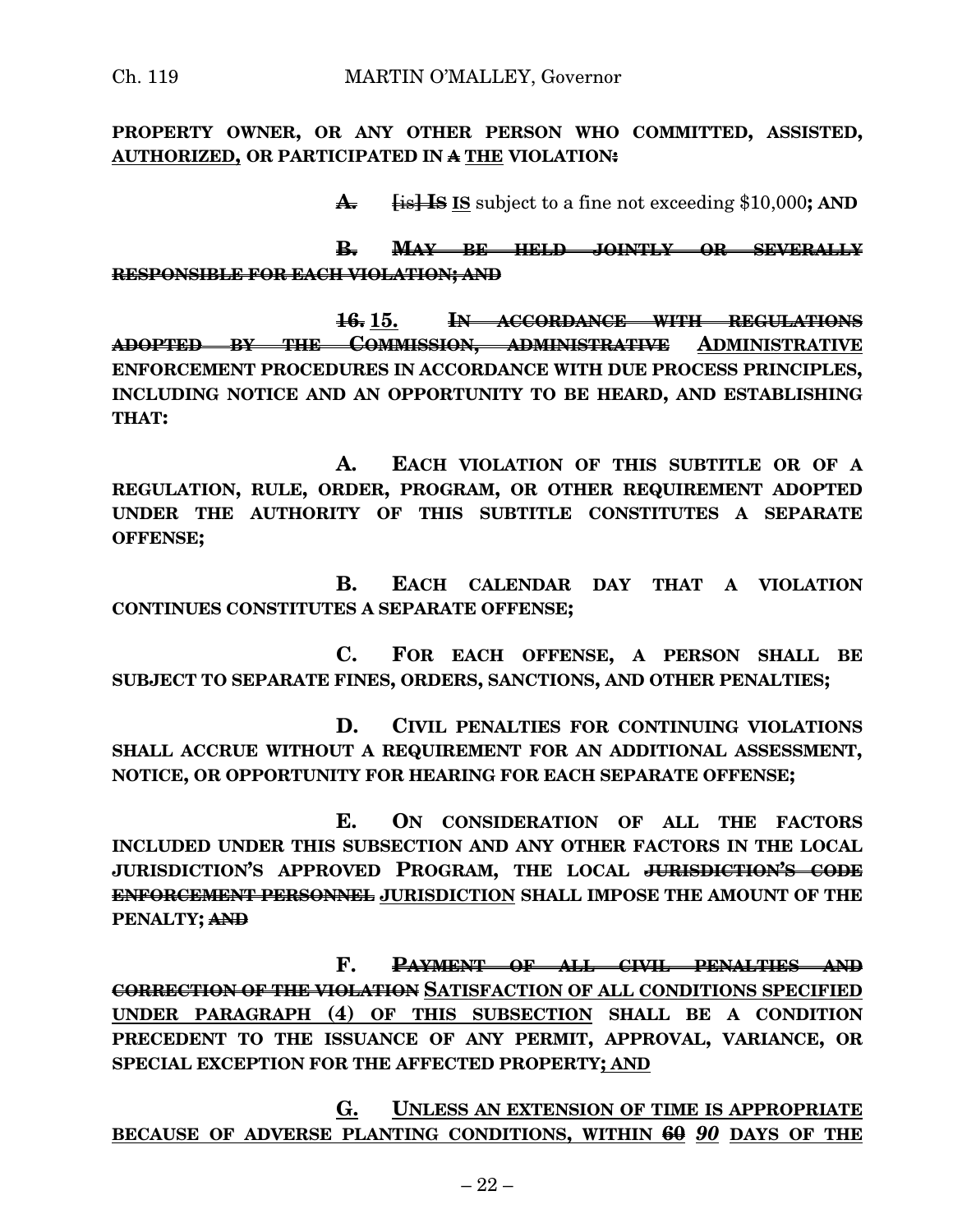**PROPERTY OWNER, OR ANY OTHER PERSON WHO COMMITTED, ASSISTED, AUTHORIZED, OR PARTICIPATED IN A THE VIOLATION:**

**A. [**is**] IS IS** subject to a fine not exceeding \$10,000**; AND**

**B. MAY BE HELD JOINTLY OR SEVERALLY RESPONSIBLE FOR EACH VIOLATION; AND**

**16. 15. IN ACCORDANCE WITH REGULATIONS ADOPTED BY THE COMMISSION, ADMINISTRATIVE ADMINISTRATIVE ENFORCEMENT PROCEDURES IN ACCORDANCE WITH DUE PROCESS PRINCIPLES, INCLUDING NOTICE AND AN OPPORTUNITY TO BE HEARD, AND ESTABLISHING THAT:**

**A. EACH VIOLATION OF THIS SUBTITLE OR OF A REGULATION, RULE, ORDER, PROGRAM, OR OTHER REQUIREMENT ADOPTED UNDER THE AUTHORITY OF THIS SUBTITLE CONSTITUTES A SEPARATE OFFENSE;**

**B. EACH CALENDAR DAY THAT A VIOLATION CONTINUES CONSTITUTES A SEPARATE OFFENSE;**

**C. FOR EACH OFFENSE, A PERSON SHALL BE SUBJECT TO SEPARATE FINES, ORDERS, SANCTIONS, AND OTHER PENALTIES;**

**D. CIVIL PENALTIES FOR CONTINUING VIOLATIONS SHALL ACCRUE WITHOUT A REQUIREMENT FOR AN ADDITIONAL ASSESSMENT, NOTICE, OR OPPORTUNITY FOR HEARING FOR EACH SEPARATE OFFENSE;**

**E. ON CONSIDERATION OF ALL THE FACTORS INCLUDED UNDER THIS SUBSECTION AND ANY OTHER FACTORS IN THE LOCAL JURISDICTION'S APPROVED PROGRAM, THE LOCAL JURISDICTION'S CODE ENFORCEMENT PERSONNEL JURISDICTION SHALL IMPOSE THE AMOUNT OF THE PENALTY; AND**

**F. PAYMENT OF ALL CIVIL PENALTIES AND CORRECTION OF THE VIOLATION SATISFACTION OF ALL CONDITIONS SPECIFIED UNDER PARAGRAPH (4) OF THIS SUBSECTION SHALL BE A CONDITION PRECEDENT TO THE ISSUANCE OF ANY PERMIT, APPROVAL, VARIANCE, OR SPECIAL EXCEPTION FOR THE AFFECTED PROPERTY; AND**

**G. UNLESS AN EXTENSION OF TIME IS APPROPRIATE BECAUSE OF ADVERSE PLANTING CONDITIONS, WITHIN 60** *90* **DAYS OF THE**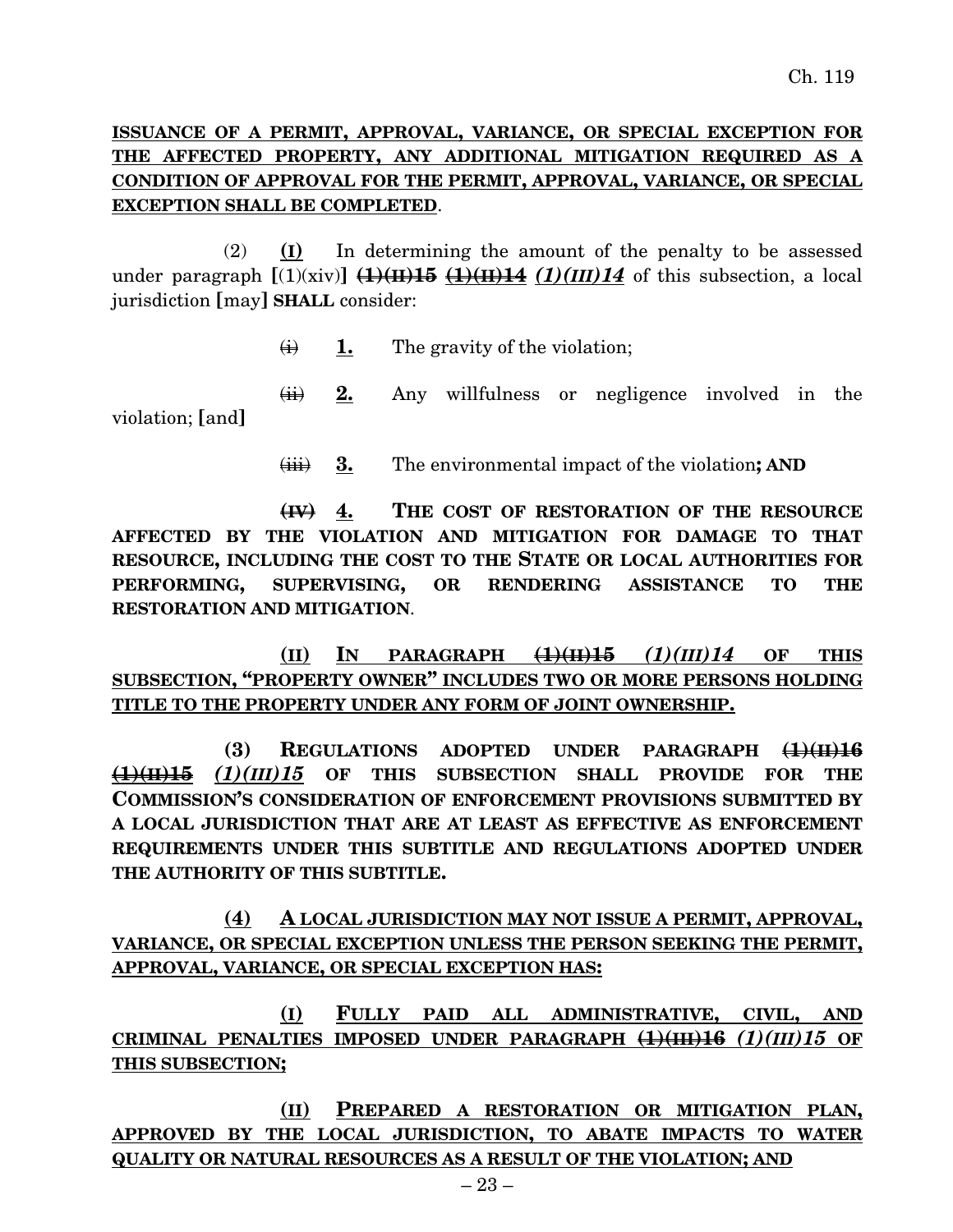## **ISSUANCE OF A PERMIT, APPROVAL, VARIANCE, OR SPECIAL EXCEPTION FOR THE AFFECTED PROPERTY, ANY ADDITIONAL MITIGATION REQUIRED AS A CONDITION OF APPROVAL FOR THE PERMIT, APPROVAL, VARIANCE, OR SPECIAL EXCEPTION SHALL BE COMPLETED**.

(2) **(I)** In determining the amount of the penalty to be assessed under paragraph  $[(1)(\dot{x}iv)]$   $(1)(H)15$   $(1)(H)14$   $(1)(III)14$  of this subsection, a local jurisdiction **[**may**] SHALL** consider:

 $\overrightarrow{H}$  **1.** The gravity of the violation;

(ii) **2.** Any willfulness or negligence involved in the violation; **[**and**]**

(iii) **3.** The environmental impact of the violation**; AND**

**(IV) 4. THE COST OF RESTORATION OF THE RESOURCE AFFECTED BY THE VIOLATION AND MITIGATION FOR DAMAGE TO THAT RESOURCE, INCLUDING THE COST TO THE STATE OR LOCAL AUTHORITIES FOR PERFORMING, SUPERVISING, OR RENDERING ASSISTANCE TO THE RESTORATION AND MITIGATION**.

**(II) IN PARAGRAPH (1)(II)15** *(1)(III)14* **OF THIS SUBSECTION, "PROPERTY OWNER" INCLUDES TWO OR MORE PERSONS HOLDING TITLE TO THE PROPERTY UNDER ANY FORM OF JOINT OWNERSHIP.**

**(3) REGULATIONS ADOPTED UNDER PARAGRAPH (1)(II)16 (1)(II)15** *(1)(III)15* **OF THIS SUBSECTION SHALL PROVIDE FOR THE COMMISSION'S CONSIDERATION OF ENFORCEMENT PROVISIONS SUBMITTED BY A LOCAL JURISDICTION THAT ARE AT LEAST AS EFFECTIVE AS ENFORCEMENT REQUIREMENTS UNDER THIS SUBTITLE AND REGULATIONS ADOPTED UNDER THE AUTHORITY OF THIS SUBTITLE.**

**(4) A LOCAL JURISDICTION MAY NOT ISSUE A PERMIT, APPROVAL, VARIANCE, OR SPECIAL EXCEPTION UNLESS THE PERSON SEEKING THE PERMIT, APPROVAL, VARIANCE, OR SPECIAL EXCEPTION HAS:**

**(I) FULLY PAID ALL ADMINISTRATIVE, CIVIL, AND CRIMINAL PENALTIES IMPOSED UNDER PARAGRAPH (1)(III)16** *(1)(III)15* **OF THIS SUBSECTION;**

**(II) PREPARED A RESTORATION OR MITIGATION PLAN, APPROVED BY THE LOCAL JURISDICTION, TO ABATE IMPACTS TO WATER QUALITY OR NATURAL RESOURCES AS A RESULT OF THE VIOLATION; AND**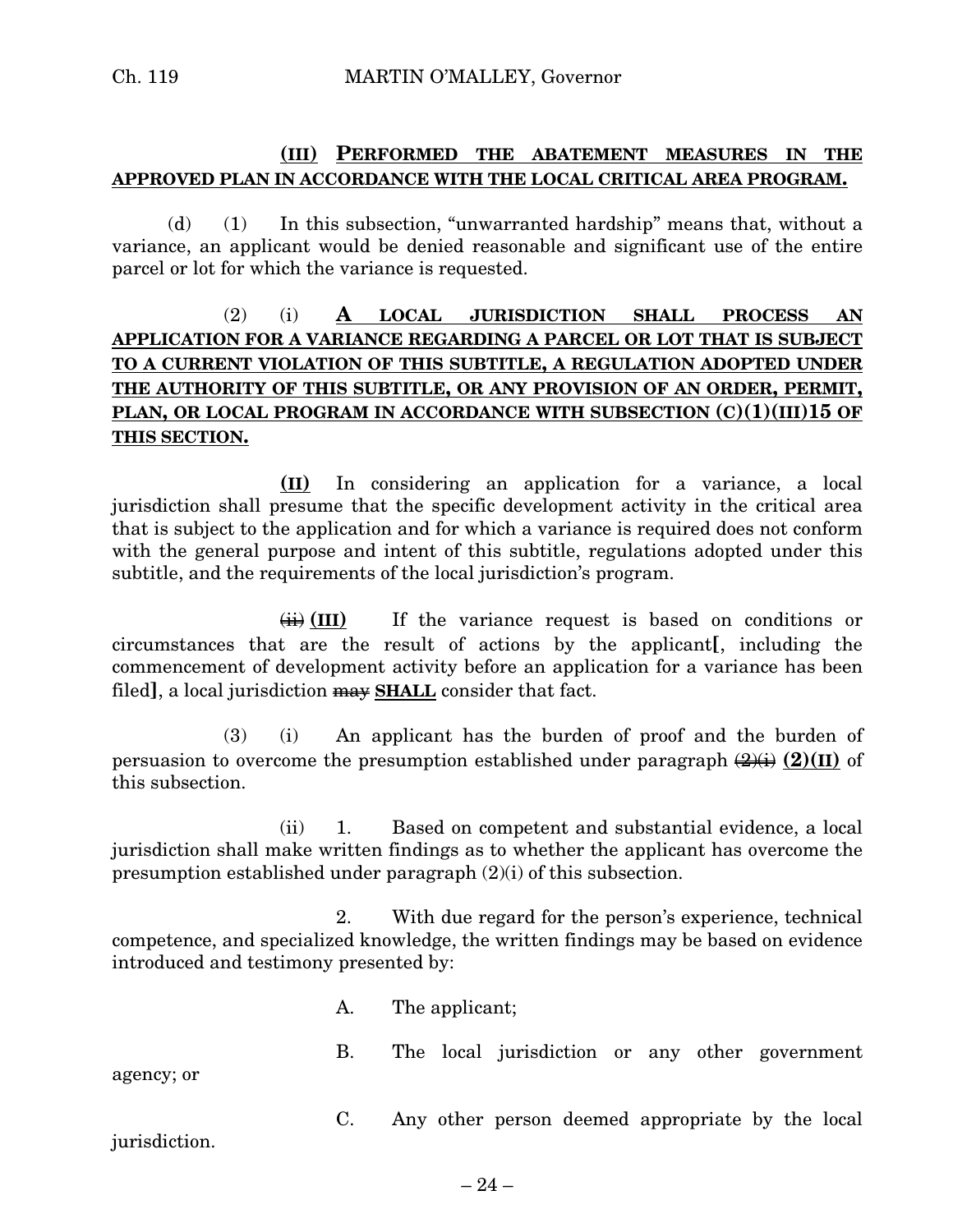#### **(III) PERFORMED THE ABATEMENT MEASURES IN THE APPROVED PLAN IN ACCORDANCE WITH THE LOCAL CRITICAL AREA PROGRAM.**

(d) (1) In this subsection, "unwarranted hardship" means that, without a variance, an applicant would be denied reasonable and significant use of the entire parcel or lot for which the variance is requested.

## (2) (i) **A LOCAL JURISDICTION SHALL PROCESS AN APPLICATION FOR A VARIANCE REGARDING A PARCEL OR LOT THAT IS SUBJECT TO A CURRENT VIOLATION OF THIS SUBTITLE, A REGULATION ADOPTED UNDER THE AUTHORITY OF THIS SUBTITLE, OR ANY PROVISION OF AN ORDER, PERMIT, PLAN, OR LOCAL PROGRAM IN ACCORDANCE WITH SUBSECTION (C)(1)(III)15 OF THIS SECTION.**

**(II)** In considering an application for a variance, a local jurisdiction shall presume that the specific development activity in the critical area that is subject to the application and for which a variance is required does not conform with the general purpose and intent of this subtitle, regulations adopted under this subtitle, and the requirements of the local jurisdiction's program.

 $\overrightarrow{ii}$  (III) If the variance request is based on conditions or circumstances that are the result of actions by the applicant**[**, including the commencement of development activity before an application for a variance has been filed], a local jurisdiction  $\overline{max}$  **SHALL** consider that fact.

(3) (i) An applicant has the burden of proof and the burden of persuasion to overcome the presumption established under paragraph  $(2)(1)$  of this subsection.

(ii) 1. Based on competent and substantial evidence, a local jurisdiction shall make written findings as to whether the applicant has overcome the presumption established under paragraph (2)(i) of this subsection.

2. With due regard for the person's experience, technical competence, and specialized knowledge, the written findings may be based on evidence introduced and testimony presented by:

A. The applicant;

B. The local jurisdiction or any other government

agency; or

C. Any other person deemed appropriate by the local

jurisdiction.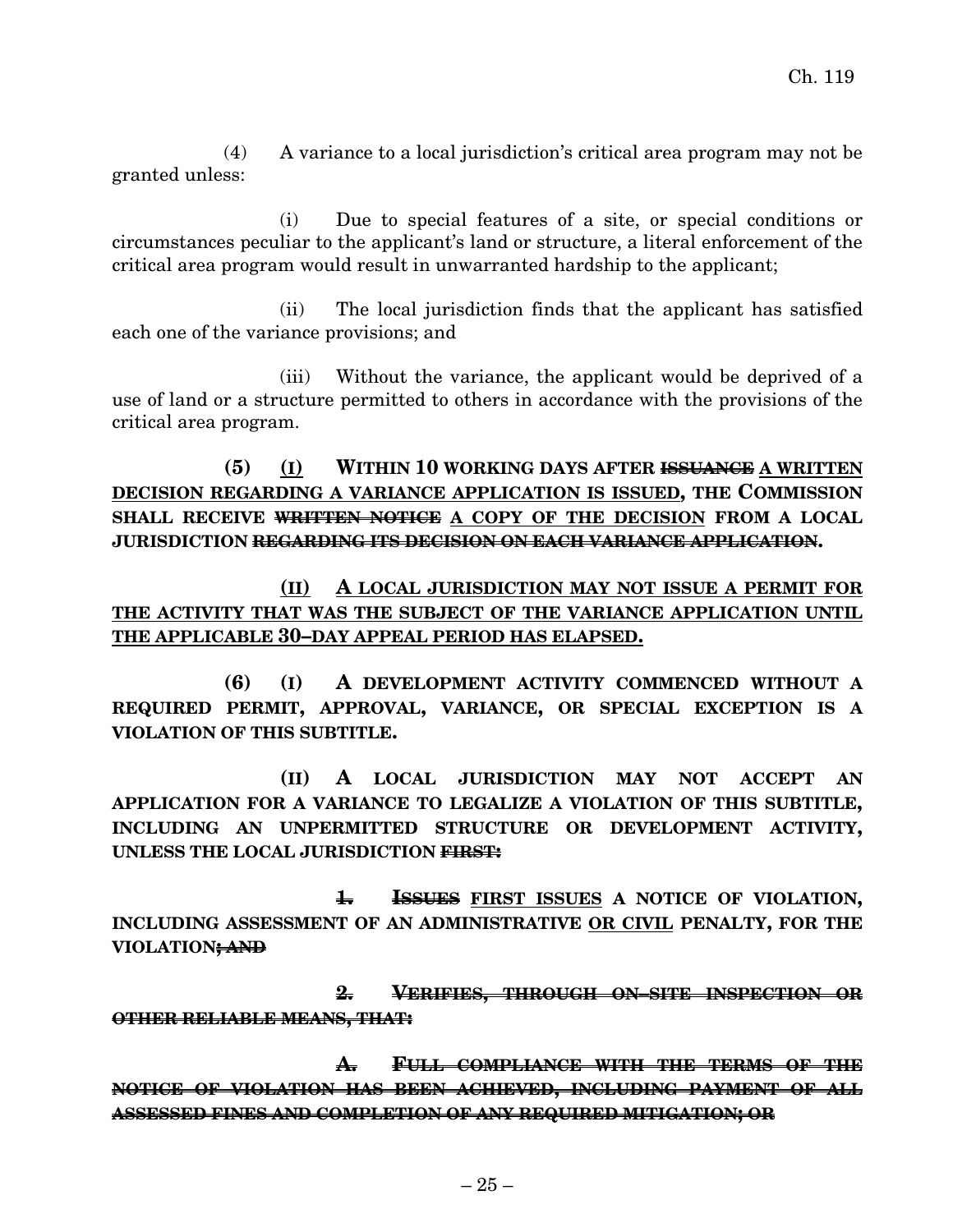(4) A variance to a local jurisdiction's critical area program may not be granted unless:

(i) Due to special features of a site, or special conditions or circumstances peculiar to the applicant's land or structure, a literal enforcement of the critical area program would result in unwarranted hardship to the applicant;

(ii) The local jurisdiction finds that the applicant has satisfied each one of the variance provisions; and

(iii) Without the variance, the applicant would be deprived of a use of land or a structure permitted to others in accordance with the provisions of the critical area program.

**(5) (I) WITHIN 10 WORKING DAYS AFTER ISSUANCE A WRITTEN DECISION REGARDING A VARIANCE APPLICATION IS ISSUED, THE COMMISSION SHALL RECEIVE WRITTEN NOTICE A COPY OF THE DECISION FROM A LOCAL JURISDICTION REGARDING ITS DECISION ON EACH VARIANCE APPLICATION.**

**(II) A LOCAL JURISDICTION MAY NOT ISSUE A PERMIT FOR THE ACTIVITY THAT WAS THE SUBJECT OF THE VARIANCE APPLICATION UNTIL THE APPLICABLE 30–DAY APPEAL PERIOD HAS ELAPSED.**

**(6) (I) A DEVELOPMENT ACTIVITY COMMENCED WITHOUT A REQUIRED PERMIT, APPROVAL, VARIANCE, OR SPECIAL EXCEPTION IS A VIOLATION OF THIS SUBTITLE.**

**(II) A LOCAL JURISDICTION MAY NOT ACCEPT AN APPLICATION FOR A VARIANCE TO LEGALIZE A VIOLATION OF THIS SUBTITLE, INCLUDING AN UNPERMITTED STRUCTURE OR DEVELOPMENT ACTIVITY, UNLESS THE LOCAL JURISDICTION FIRST:**

**1. ISSUES FIRST ISSUES A NOTICE OF VIOLATION, INCLUDING ASSESSMENT OF AN ADMINISTRATIVE OR CIVIL PENALTY, FOR THE VIOLATION; AND**

**2. VERIFIES, THROUGH ON–SITE INSPECTION OR OTHER RELIABLE MEANS, THAT:**

**A. FULL COMPLIANCE WITH THE TERMS OF THE NOTICE OF VIOLATION HAS BEEN ACHIEVED, INCLUDING PAYMENT OF ALL ASSESSED FINES AND COMPLETION OF ANY REQUIRED MITIGATION; OR**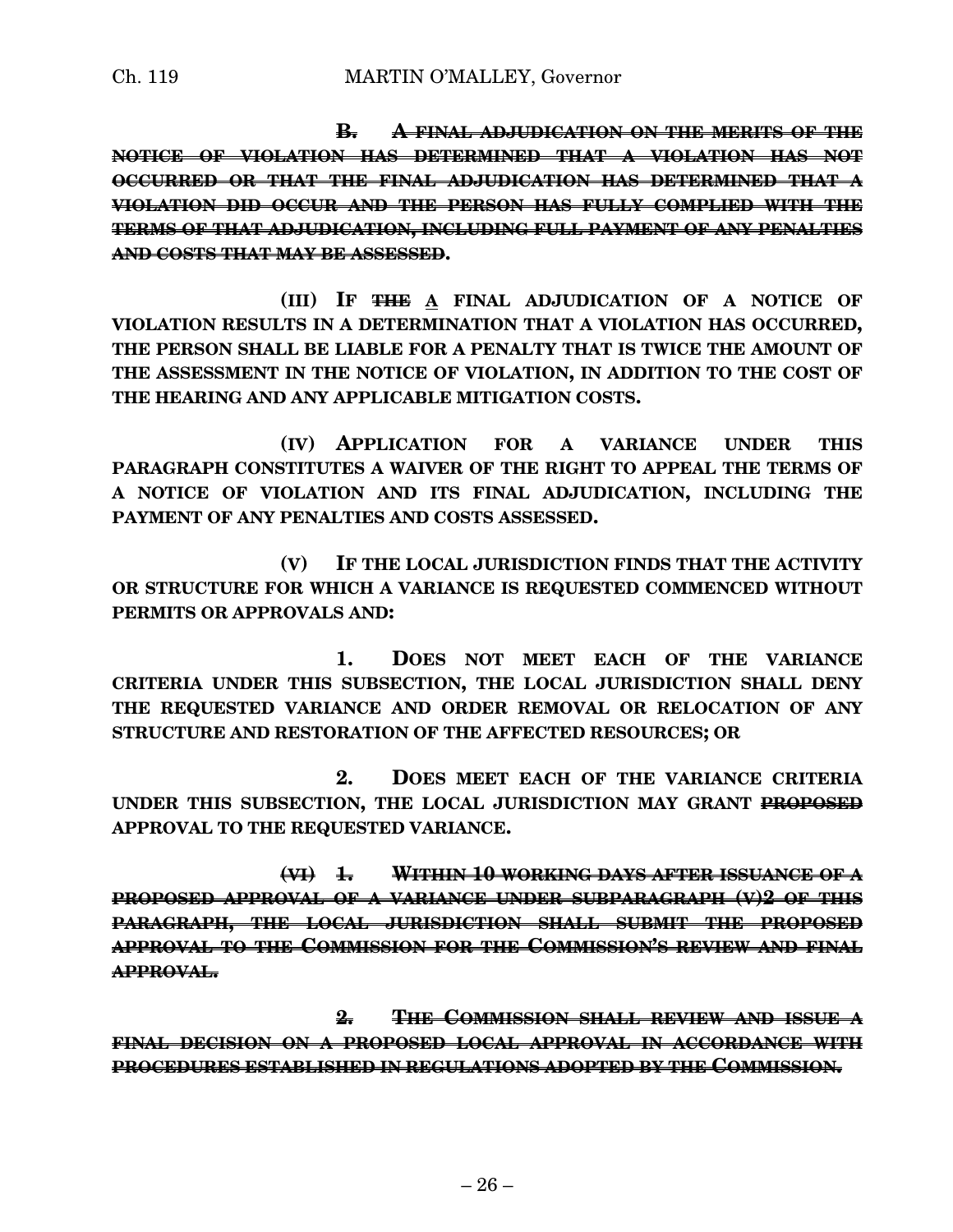**B. A FINAL ADJUDICATION ON THE MERITS OF THE NOTICE OF VIOLATION HAS DETERMINED THAT A VIOLATION HAS NOT OCCURRED OR THAT THE FINAL ADJUDICATION HAS DETERMINED THAT A VIOLATION DID OCCUR AND THE PERSON HAS FULLY COMPLIED WITH THE TERMS OF THAT ADJUDICATION, INCLUDING FULL PAYMENT OF ANY PENALTIES AND COSTS THAT MAY BE ASSESSED.**

**(III) IF THE A FINAL ADJUDICATION OF A NOTICE OF VIOLATION RESULTS IN A DETERMINATION THAT A VIOLATION HAS OCCURRED, THE PERSON SHALL BE LIABLE FOR A PENALTY THAT IS TWICE THE AMOUNT OF THE ASSESSMENT IN THE NOTICE OF VIOLATION, IN ADDITION TO THE COST OF THE HEARING AND ANY APPLICABLE MITIGATION COSTS.**

**(IV) APPLICATION FOR A VARIANCE UNDER THIS PARAGRAPH CONSTITUTES A WAIVER OF THE RIGHT TO APPEAL THE TERMS OF A NOTICE OF VIOLATION AND ITS FINAL ADJUDICATION, INCLUDING THE PAYMENT OF ANY PENALTIES AND COSTS ASSESSED.**

**(V) IF THE LOCAL JURISDICTION FINDS THAT THE ACTIVITY OR STRUCTURE FOR WHICH A VARIANCE IS REQUESTED COMMENCED WITHOUT PERMITS OR APPROVALS AND:**

**1. DOES NOT MEET EACH OF THE VARIANCE CRITERIA UNDER THIS SUBSECTION, THE LOCAL JURISDICTION SHALL DENY THE REQUESTED VARIANCE AND ORDER REMOVAL OR RELOCATION OF ANY STRUCTURE AND RESTORATION OF THE AFFECTED RESOURCES; OR**

**2. DOES MEET EACH OF THE VARIANCE CRITERIA UNDER THIS SUBSECTION, THE LOCAL JURISDICTION MAY GRANT PROPOSED APPROVAL TO THE REQUESTED VARIANCE.**

**(VI) 1. WITHIN 10 WORKING DAYS AFTER ISSUANCE OF A PROPOSED APPROVAL OF A VARIANCE UNDER SUBPARAGRAPH (V)2 OF THIS PARAGRAPH, THE LOCAL JURISDICTION SHALL SUBMIT THE PROPOSED APPROVAL TO THE COMMISSION FOR THE COMMISSION'S REVIEW AND FINAL APPROVAL.**

**2. THE COMMISSION SHALL REVIEW AND ISSUE A FINAL DECISION ON A PROPOSED LOCAL APPROVAL IN ACCORDANCE WITH PROCEDURES ESTABLISHED IN REGULATIONS ADOPTED BY THE COMMISSION.**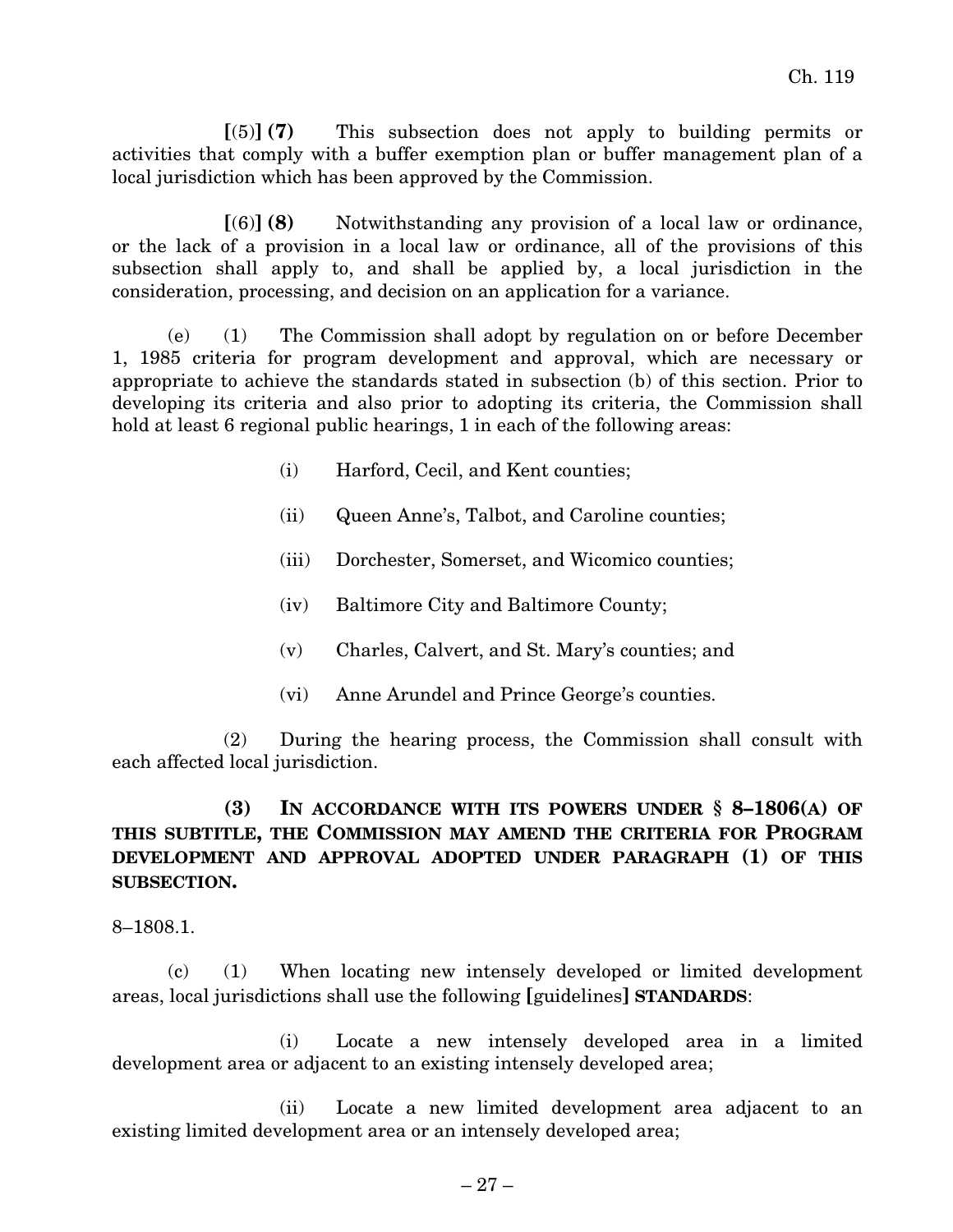**[**(5)**] (7)** This subsection does not apply to building permits or activities that comply with a buffer exemption plan or buffer management plan of a local jurisdiction which has been approved by the Commission.

**[**(6)**] (8)** Notwithstanding any provision of a local law or ordinance, or the lack of a provision in a local law or ordinance, all of the provisions of this subsection shall apply to, and shall be applied by, a local jurisdiction in the consideration, processing, and decision on an application for a variance.

(e) (1) The Commission shall adopt by regulation on or before December 1, 1985 criteria for program development and approval, which are necessary or appropriate to achieve the standards stated in subsection (b) of this section. Prior to developing its criteria and also prior to adopting its criteria, the Commission shall hold at least 6 regional public hearings, 1 in each of the following areas:

- (i) Harford, Cecil, and Kent counties;
- (ii) Queen Anne's, Talbot, and Caroline counties;
- (iii) Dorchester, Somerset, and Wicomico counties;
- (iv) Baltimore City and Baltimore County;
- (v) Charles, Calvert, and St. Mary's counties; and
- (vi) Anne Arundel and Prince George's counties.

(2) During the hearing process, the Commission shall consult with each affected local jurisdiction.

## **(3) IN ACCORDANCE WITH ITS POWERS UNDER § 8–1806(A) OF THIS SUBTITLE, THE COMMISSION MAY AMEND THE CRITERIA FOR PROGRAM DEVELOPMENT AND APPROVAL ADOPTED UNDER PARAGRAPH (1) OF THIS SUBSECTION.**

8–1808.1.

(c) (1) When locating new intensely developed or limited development areas, local jurisdictions shall use the following **[**guidelines**] STANDARDS**:

(i) Locate a new intensely developed area in a limited development area or adjacent to an existing intensely developed area;

(ii) Locate a new limited development area adjacent to an existing limited development area or an intensely developed area;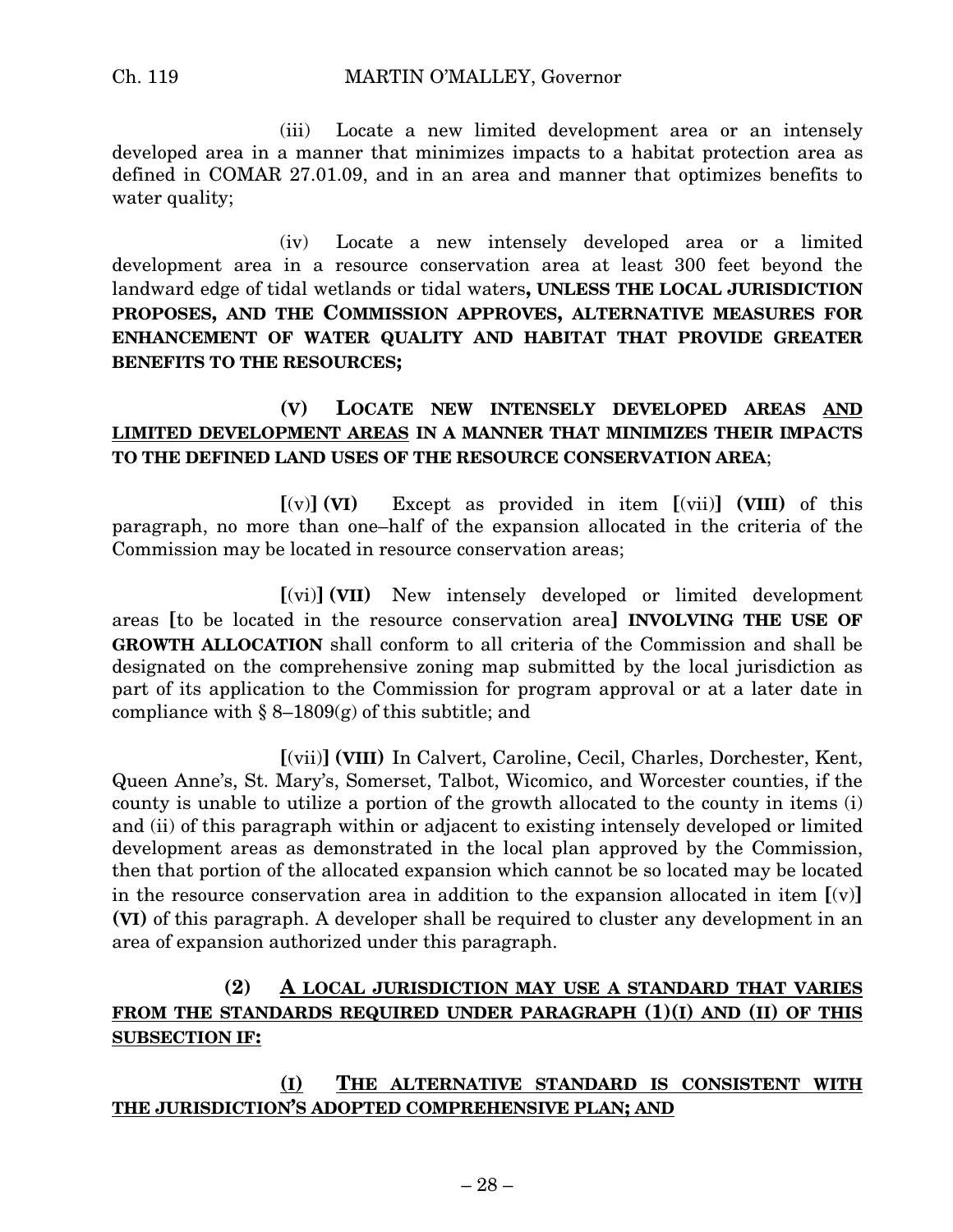(iii) Locate a new limited development area or an intensely developed area in a manner that minimizes impacts to a habitat protection area as defined in COMAR 27.01.09, and in an area and manner that optimizes benefits to water quality;

(iv) Locate a new intensely developed area or a limited development area in a resource conservation area at least 300 feet beyond the landward edge of tidal wetlands or tidal waters**, UNLESS THE LOCAL JURISDICTION PROPOSES, AND THE COMMISSION APPROVES, ALTERNATIVE MEASURES FOR ENHANCEMENT OF WATER QUALITY AND HABITAT THAT PROVIDE GREATER BENEFITS TO THE RESOURCES;**

## **(V) LOCATE NEW INTENSELY DEVELOPED AREAS AND LIMITED DEVELOPMENT AREAS IN A MANNER THAT MINIMIZES THEIR IMPACTS TO THE DEFINED LAND USES OF THE RESOURCE CONSERVATION AREA**;

**[**(v)**] (VI)** Except as provided in item **[**(vii)**] (VIII)** of this paragraph, no more than one–half of the expansion allocated in the criteria of the Commission may be located in resource conservation areas;

**[**(vi)**] (VII)** New intensely developed or limited development areas **[**to be located in the resource conservation area**] INVOLVING THE USE OF GROWTH ALLOCATION** shall conform to all criteria of the Commission and shall be designated on the comprehensive zoning map submitted by the local jurisdiction as part of its application to the Commission for program approval or at a later date in compliance with  $\S 8-1809(g)$  of this subtitle; and

**[**(vii)**] (VIII)** In Calvert, Caroline, Cecil, Charles, Dorchester, Kent, Queen Anne's, St. Mary's, Somerset, Talbot, Wicomico, and Worcester counties, if the county is unable to utilize a portion of the growth allocated to the county in items (i) and (ii) of this paragraph within or adjacent to existing intensely developed or limited development areas as demonstrated in the local plan approved by the Commission, then that portion of the allocated expansion which cannot be so located may be located in the resource conservation area in addition to the expansion allocated in item **[**(v)**] (VI)** of this paragraph. A developer shall be required to cluster any development in an area of expansion authorized under this paragraph.

## **(2) A LOCAL JURISDICTION MAY USE A STANDARD THAT VARIES FROM THE STANDARDS REQUIRED UNDER PARAGRAPH (1)(I) AND (II) OF THIS SUBSECTION IF:**

#### **(I) THE ALTERNATIVE STANDARD IS CONSISTENT WITH THE JURISDICTION'S ADOPTED COMPREHENSIVE PLAN; AND**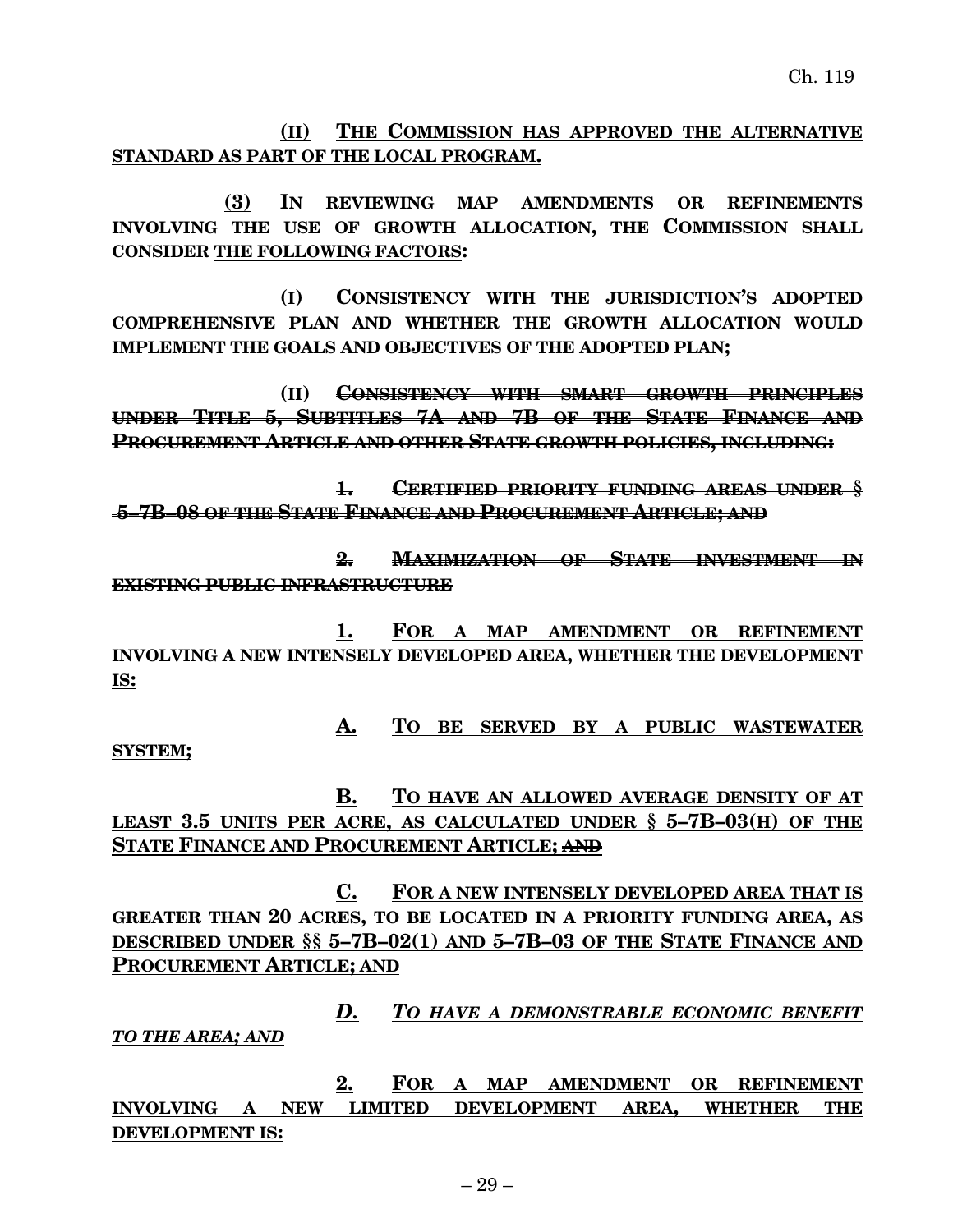**(II) THE COMMISSION HAS APPROVED THE ALTERNATIVE STANDARD AS PART OF THE LOCAL PROGRAM.**

**(3) IN REVIEWING MAP AMENDMENTS OR REFINEMENTS INVOLVING THE USE OF GROWTH ALLOCATION, THE COMMISSION SHALL CONSIDER THE FOLLOWING FACTORS:**

**(I) CONSISTENCY WITH THE JURISDICTION'S ADOPTED COMPREHENSIVE PLAN AND WHETHER THE GROWTH ALLOCATION WOULD IMPLEMENT THE GOALS AND OBJECTIVES OF THE ADOPTED PLAN;**

**(II) CONSISTENCY WITH SMART GROWTH PRINCIPLES UNDER TITLE 5, SUBTITLES 7A AND 7B OF THE STATE FINANCE AND PROCUREMENT ARTICLE AND OTHER STATE GROWTH POLICIES, INCLUDING:**

**1. CERTIFIED PRIORITY FUNDING AREAS UNDER § 5–7B–08 OF THE STATE FINANCE AND PROCUREMENT ARTICLE; AND**

**2. MAXIMIZATION OF STATE INVESTMENT IN EXISTING PUBLIC INFRASTRUCTURE**

**1. FOR A MAP AMENDMENT OR REFINEMENT INVOLVING A NEW INTENSELY DEVELOPED AREA, WHETHER THE DEVELOPMENT IS:**

**A. TO BE SERVED BY A PUBLIC WASTEWATER**

**SYSTEM;**

**B. TO HAVE AN ALLOWED AVERAGE DENSITY OF AT LEAST 3.5 UNITS PER ACRE, AS CALCULATED UNDER § 5–7B–03(H) OF THE STATE FINANCE AND PROCUREMENT ARTICLE; AND**

**C. FOR A NEW INTENSELY DEVELOPED AREA THAT IS GREATER THAN 20 ACRES, TO BE LOCATED IN A PRIORITY FUNDING AREA, AS DESCRIBED UNDER §§ 5–7B–02(1) AND 5–7B–03 OF THE STATE FINANCE AND PROCUREMENT ARTICLE; AND**

*D. TO HAVE A DEMONSTRABLE ECONOMIC BENEFIT TO THE AREA; AND*

**2. FOR A MAP AMENDMENT OR REFINEMENT INVOLVING A NEW LIMITED DEVELOPMENT AREA, WHETHER THE DEVELOPMENT IS:**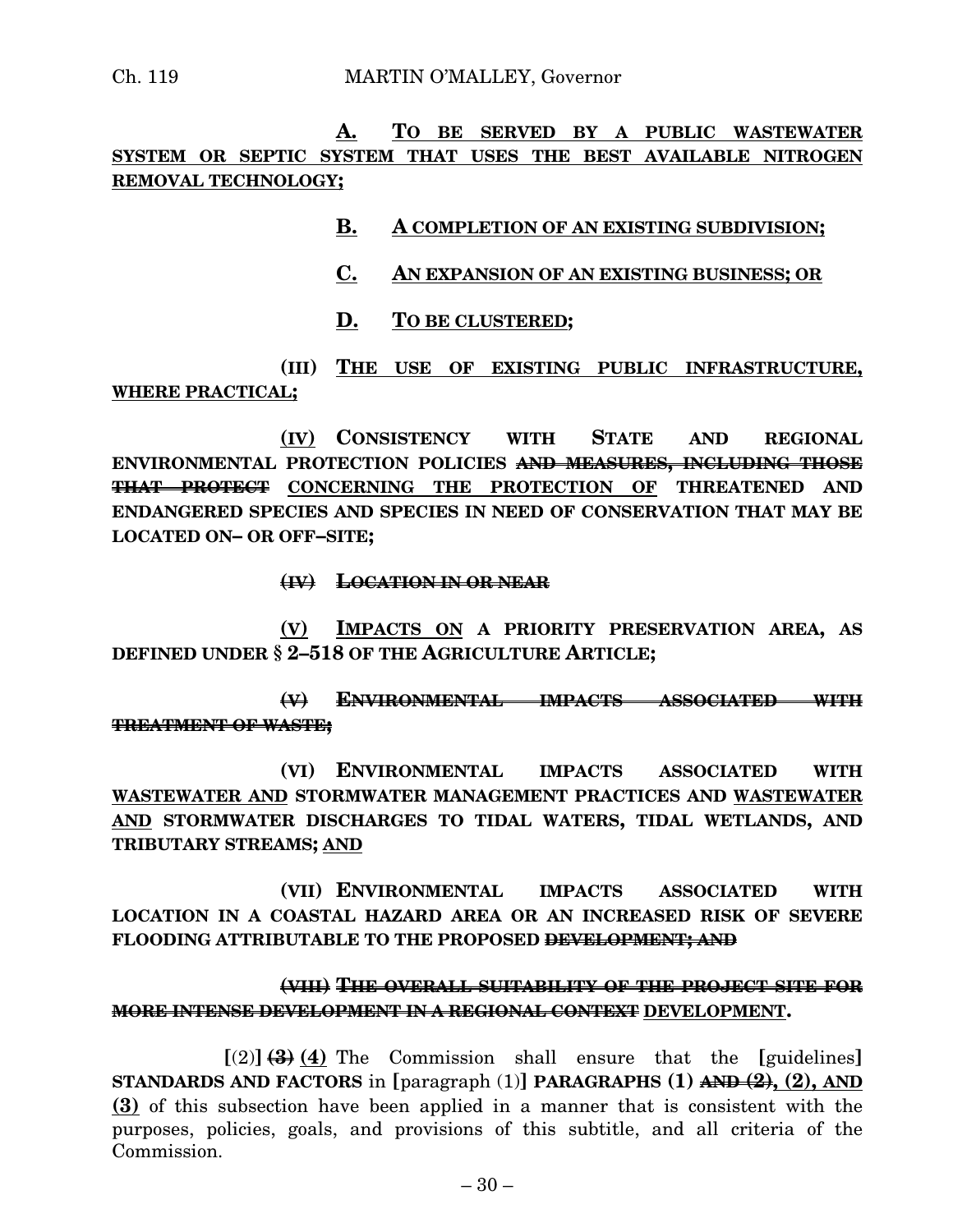**A. TO BE SERVED BY A PUBLIC WASTEWATER SYSTEM OR SEPTIC SYSTEM THAT USES THE BEST AVAILABLE NITROGEN REMOVAL TECHNOLOGY;**

#### **B. A COMPLETION OF AN EXISTING SUBDIVISION;**

#### **C. AN EXPANSION OF AN EXISTING BUSINESS; OR**

**D. TO BE CLUSTERED;**

**(III) THE USE OF EXISTING PUBLIC INFRASTRUCTURE, WHERE PRACTICAL;**

**(IV) CONSISTENCY WITH STATE AND REGIONAL ENVIRONMENTAL PROTECTION POLICIES AND MEASURES, INCLUDING THOSE THAT PROTECT CONCERNING THE PROTECTION OF THREATENED AND ENDANGERED SPECIES AND SPECIES IN NEED OF CONSERVATION THAT MAY BE LOCATED ON– OR OFF–SITE;**

**(IV) LOCATION IN OR NEAR**

**(V) IMPACTS ON A PRIORITY PRESERVATION AREA, AS DEFINED UNDER § 2–518 OF THE AGRICULTURE ARTICLE;**

**(V) ENVIRONMENTAL IMPACTS ASSOCIATED WITH TREATMENT OF WASTE;**

**(VI) ENVIRONMENTAL IMPACTS ASSOCIATED WITH WASTEWATER AND STORMWATER MANAGEMENT PRACTICES AND WASTEWATER AND STORMWATER DISCHARGES TO TIDAL WATERS, TIDAL WETLANDS, AND TRIBUTARY STREAMS; AND**

**(VII) ENVIRONMENTAL IMPACTS ASSOCIATED WITH LOCATION IN A COASTAL HAZARD AREA OR AN INCREASED RISK OF SEVERE FLOODING ATTRIBUTABLE TO THE PROPOSED DEVELOPMENT; AND**

#### **(VIII) THE OVERALL SUITABILITY OF THE PROJECT SITE FOR MORE INTENSE DEVELOPMENT IN A REGIONAL CONTEXT DEVELOPMENT.**

 $\left[\frac{2}{3}, \frac{4}{3}, 4\right)$  The Commission shall ensure that the **[guidelines] STANDARDS AND FACTORS** in **[**paragraph (1)**] PARAGRAPHS (1) AND (2), (2), AND (3)** of this subsection have been applied in a manner that is consistent with the purposes, policies, goals, and provisions of this subtitle, and all criteria of the Commission.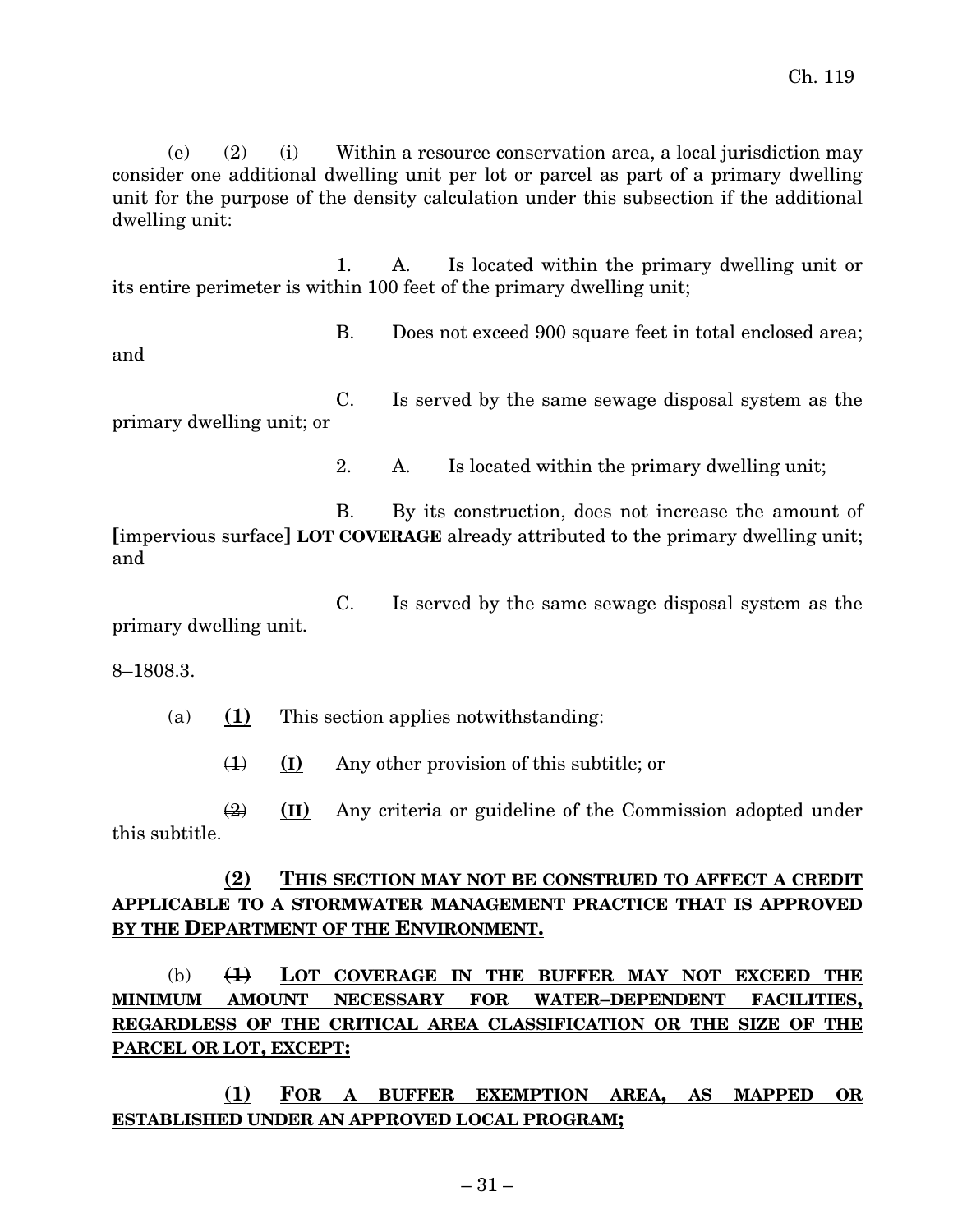(e) (2) (i) Within a resource conservation area, a local jurisdiction may consider one additional dwelling unit per lot or parcel as part of a primary dwelling unit for the purpose of the density calculation under this subsection if the additional dwelling unit:

1. A. Is located within the primary dwelling unit or its entire perimeter is within 100 feet of the primary dwelling unit;

and

B. Does not exceed 900 square feet in total enclosed area;

C. Is served by the same sewage disposal system as the primary dwelling unit; or

2. A. Is located within the primary dwelling unit;

B. By its construction, does not increase the amount of **[**impervious surface**] LOT COVERAGE** already attributed to the primary dwelling unit; and

C. Is served by the same sewage disposal system as the primary dwelling unit.

8–1808.3.

(a) **(1)** This section applies notwithstanding:

(1) **(I)** Any other provision of this subtitle; or

(2) **(II)** Any criteria or guideline of the Commission adopted under this subtitle.

#### **(2) THIS SECTION MAY NOT BE CONSTRUED TO AFFECT A CREDIT APPLICABLE TO A STORMWATER MANAGEMENT PRACTICE THAT IS APPROVED BY THE DEPARTMENT OF THE ENVIRONMENT.**

(b) **(1) LOT COVERAGE IN THE BUFFER MAY NOT EXCEED THE MINIMUM AMOUNT NECESSARY FOR WATER–DEPENDENT FACILITIES, REGARDLESS OF THE CRITICAL AREA CLASSIFICATION OR THE SIZE OF THE PARCEL OR LOT, EXCEPT:**

**(1) FOR A BUFFER EXEMPTION AREA, AS MAPPED OR ESTABLISHED UNDER AN APPROVED LOCAL PROGRAM;**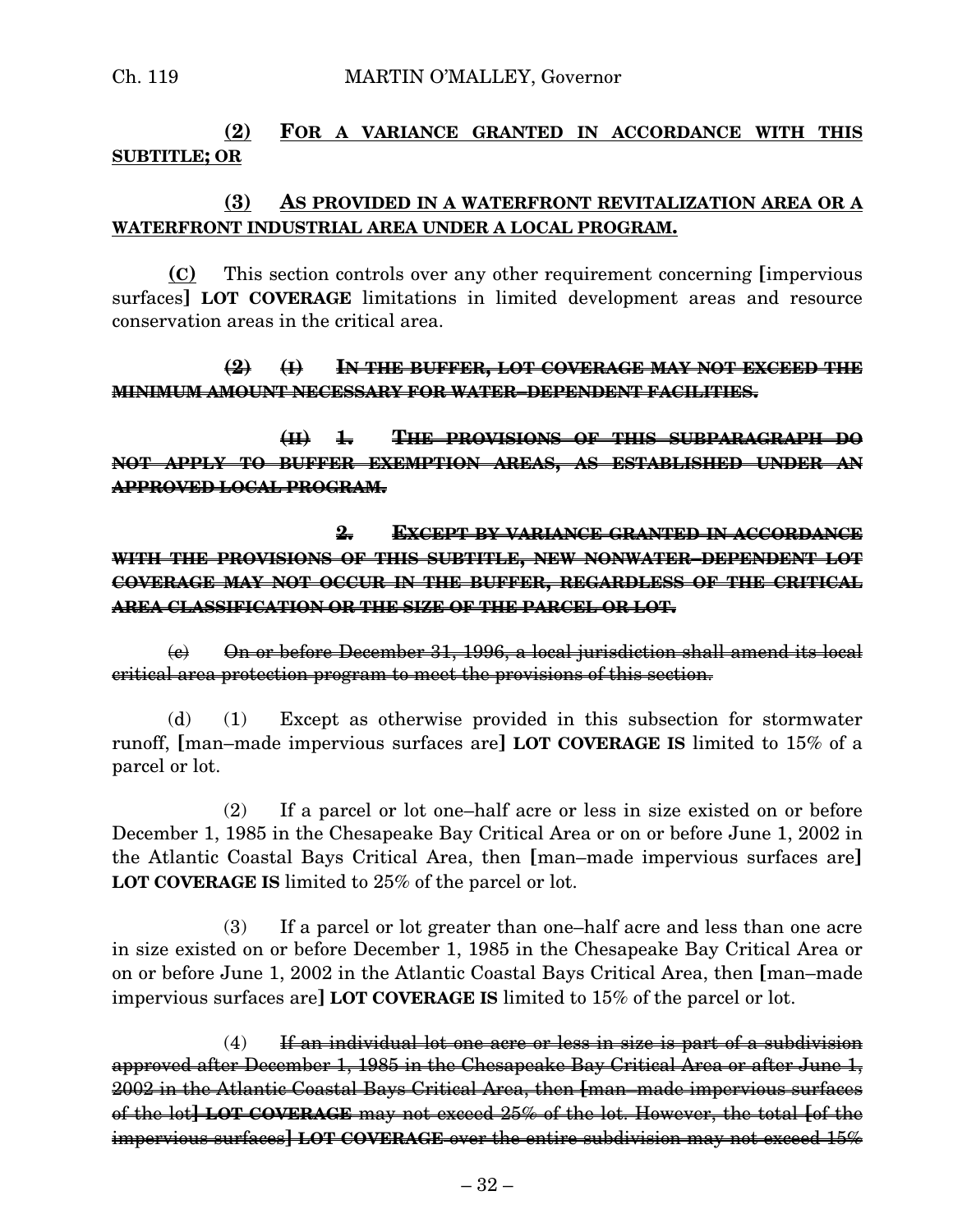## **(2) FOR A VARIANCE GRANTED IN ACCORDANCE WITH THIS SUBTITLE; OR**

#### **(3) AS PROVIDED IN A WATERFRONT REVITALIZATION AREA OR A WATERFRONT INDUSTRIAL AREA UNDER A LOCAL PROGRAM.**

**(C)** This section controls over any other requirement concerning **[**impervious surfaces**] LOT COVERAGE** limitations in limited development areas and resource conservation areas in the critical area.

#### **(2) (I) IN THE BUFFER, LOT COVERAGE MAY NOT EXCEED THE MINIMUM AMOUNT NECESSARY FOR WATER–DEPENDENT FACILITIES.**

**(II) 1. THE PROVISIONS OF THIS SUBPARAGRAPH DO NOT APPLY TO BUFFER EXEMPTION AREAS, AS ESTABLISHED UNDER AN APPROVED LOCAL PROGRAM.**

**2. EXCEPT BY VARIANCE GRANTED IN ACCORDANCE WITH THE PROVISIONS OF THIS SUBTITLE, NEW NONWATER–DEPENDENT LOT COVERAGE MAY NOT OCCUR IN THE BUFFER, REGARDLESS OF THE CRITICAL AREA CLASSIFICATION OR THE SIZE OF THE PARCEL OR LOT.**

(c) On or before December 31, 1996, a local jurisdiction shall amend its local critical area protection program to meet the provisions of this section.

(d) (1) Except as otherwise provided in this subsection for stormwater runoff, **[**man–made impervious surfaces are**] LOT COVERAGE IS** limited to 15% of a parcel or lot.

(2) If a parcel or lot one–half acre or less in size existed on or before December 1, 1985 in the Chesapeake Bay Critical Area or on or before June 1, 2002 in the Atlantic Coastal Bays Critical Area, then **[**man–made impervious surfaces are**] LOT COVERAGE IS** limited to 25% of the parcel or lot.

(3) If a parcel or lot greater than one–half acre and less than one acre in size existed on or before December 1, 1985 in the Chesapeake Bay Critical Area or on or before June 1, 2002 in the Atlantic Coastal Bays Critical Area, then **[**man–made impervious surfaces are**] LOT COVERAGE IS** limited to 15% of the parcel or lot.

 $(4)$  If an individual lot one acre or less in size is part of a subdivision approved after December 1, 1985 in the Chesapeake Bay Critical Area or after June 1, 2002 in the Atlantic Coastal Bays Critical Area, then **[**man–made impervious surfaces of the lot**] LOT COVERAGE** may not exceed 25% of the lot. However, the total **[**of the impervious surfaces**] LOT COVERAGE** over the entire subdivision may not exceed 15%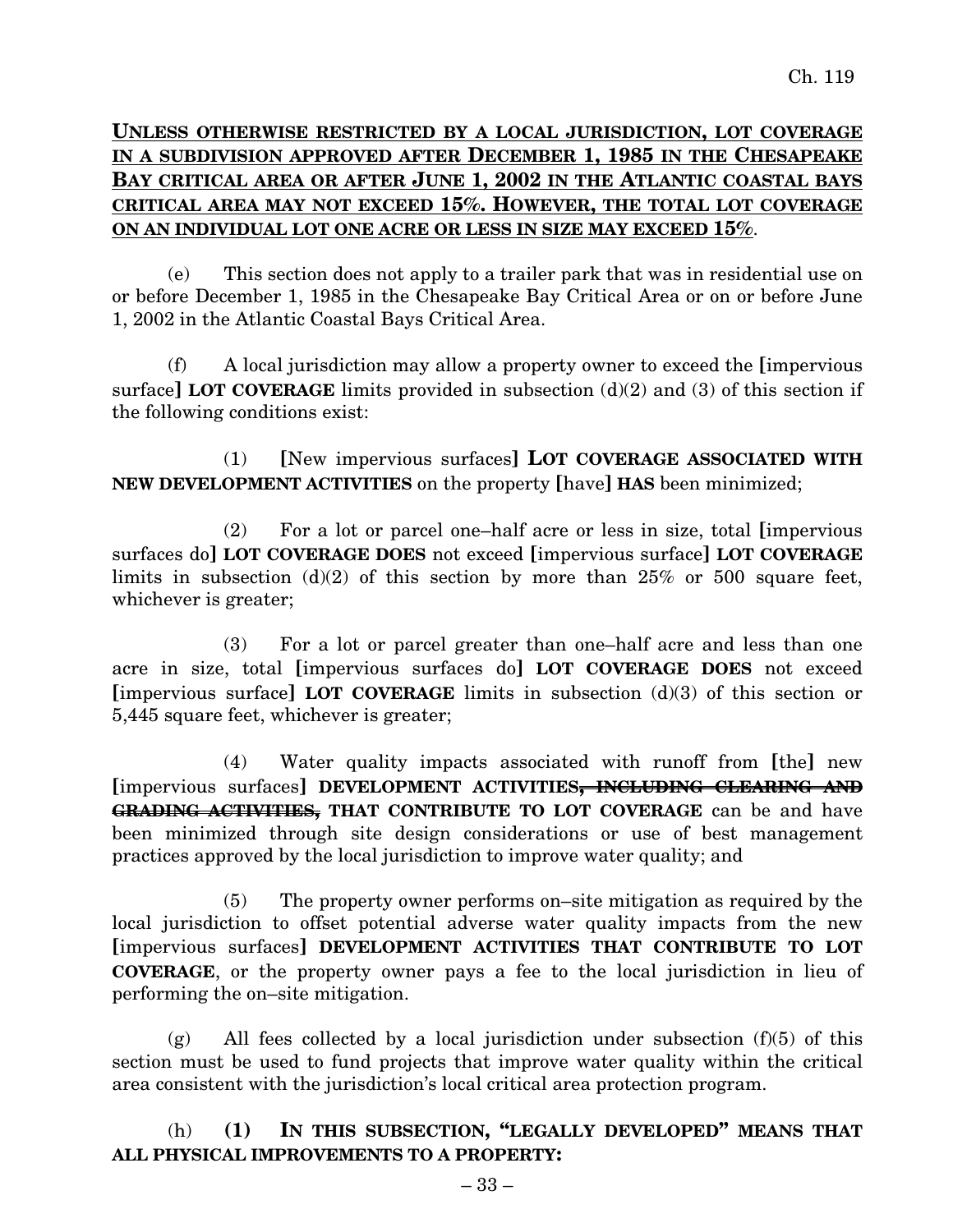## **UNLESS OTHERWISE RESTRICTED BY A LOCAL JURISDICTION, LOT COVERAGE IN A SUBDIVISION APPROVED AFTER DECEMBER 1, 1985 IN THE CHESAPEAKE BAY CRITICAL AREA OR AFTER JUNE 1, 2002 IN THE ATLANTIC COASTAL BAYS CRITICAL AREA MAY NOT EXCEED 15%. HOWEVER, THE TOTAL LOT COVERAGE ON AN INDIVIDUAL LOT ONE ACRE OR LESS IN SIZE MAY EXCEED 15%**.

(e) This section does not apply to a trailer park that was in residential use on or before December 1, 1985 in the Chesapeake Bay Critical Area or on or before June 1, 2002 in the Atlantic Coastal Bays Critical Area.

(f) A local jurisdiction may allow a property owner to exceed the **[**impervious surface**] LOT COVERAGE** limits provided in subsection (d)(2) and (3) of this section if the following conditions exist:

(1) **[**New impervious surfaces**] LOT COVERAGE ASSOCIATED WITH NEW DEVELOPMENT ACTIVITIES** on the property **[**have**] HAS** been minimized;

(2) For a lot or parcel one–half acre or less in size, total **[**impervious surfaces do**] LOT COVERAGE DOES** not exceed **[**impervious surface**] LOT COVERAGE** limits in subsection  $(d)(2)$  of this section by more than 25% or 500 square feet, whichever is greater;

(3) For a lot or parcel greater than one–half acre and less than one acre in size, total **[**impervious surfaces do**] LOT COVERAGE DOES** not exceed **[**impervious surface**] LOT COVERAGE** limits in subsection (d)(3) of this section or 5,445 square feet, whichever is greater;

(4) Water quality impacts associated with runoff from **[**the**]** new **[**impervious surfaces**] DEVELOPMENT ACTIVITIES, INCLUDING CLEARING AND GRADING ACTIVITIES, THAT CONTRIBUTE TO LOT COVERAGE** can be and have been minimized through site design considerations or use of best management practices approved by the local jurisdiction to improve water quality; and

(5) The property owner performs on–site mitigation as required by the local jurisdiction to offset potential adverse water quality impacts from the new **[**impervious surfaces**] DEVELOPMENT ACTIVITIES THAT CONTRIBUTE TO LOT COVERAGE**, or the property owner pays a fee to the local jurisdiction in lieu of performing the on–site mitigation.

 $(g)$  All fees collected by a local jurisdiction under subsection (f)(5) of this section must be used to fund projects that improve water quality within the critical area consistent with the jurisdiction's local critical area protection program.

## (h) **(1) IN THIS SUBSECTION, "LEGALLY DEVELOPED" MEANS THAT ALL PHYSICAL IMPROVEMENTS TO A PROPERTY:**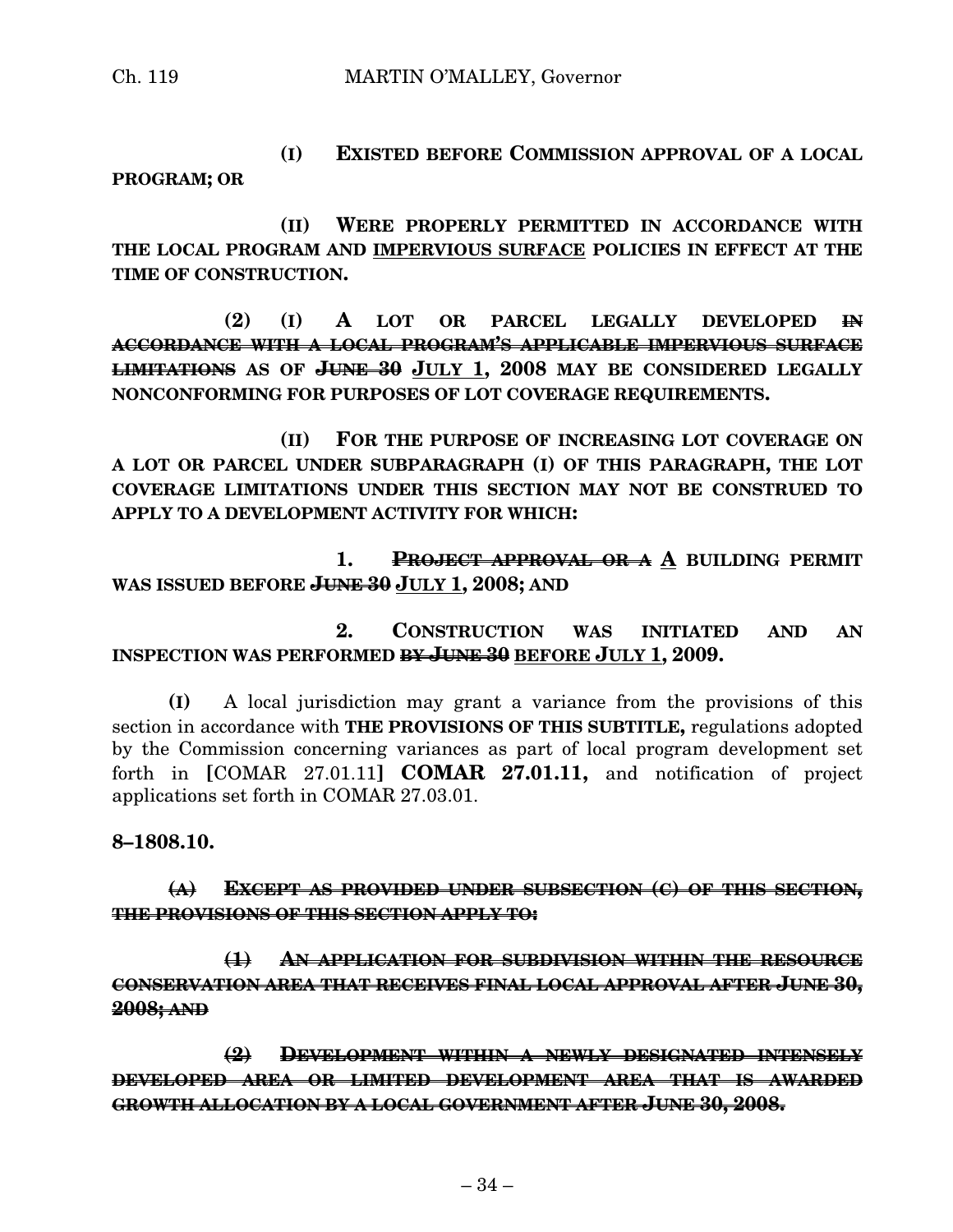**(I) EXISTED BEFORE COMMISSION APPROVAL OF A LOCAL PROGRAM; OR**

**(II) WERE PROPERLY PERMITTED IN ACCORDANCE WITH THE LOCAL PROGRAM AND IMPERVIOUS SURFACE POLICIES IN EFFECT AT THE TIME OF CONSTRUCTION.**

**(2) (I) A LOT OR PARCEL LEGALLY DEVELOPED IN ACCORDANCE WITH A LOCAL PROGRAM'S APPLICABLE IMPERVIOUS SURFACE LIMITATIONS AS OF JUNE 30 JULY 1, 2008 MAY BE CONSIDERED LEGALLY NONCONFORMING FOR PURPOSES OF LOT COVERAGE REQUIREMENTS.**

**(II) FOR THE PURPOSE OF INCREASING LOT COVERAGE ON A LOT OR PARCEL UNDER SUBPARAGRAPH (I) OF THIS PARAGRAPH, THE LOT COVERAGE LIMITATIONS UNDER THIS SECTION MAY NOT BE CONSTRUED TO APPLY TO A DEVELOPMENT ACTIVITY FOR WHICH:**

**1. PROJECT APPROVAL OR A A BUILDING PERMIT WAS ISSUED BEFORE JUNE 30 JULY 1, 2008; AND**

**2. CONSTRUCTION WAS INITIATED AND AN INSPECTION WAS PERFORMED BY JUNE 30 BEFORE JULY 1, 2009.**

**(I)** A local jurisdiction may grant a variance from the provisions of this section in accordance with **THE PROVISIONS OF THIS SUBTITLE,** regulations adopted by the Commission concerning variances as part of local program development set forth in **[**COMAR 27.01.11**] COMAR 27.01.11,** and notification of project applications set forth in COMAR 27.03.01.

**8–1808.10.**

#### **(A) EXCEPT AS PROVIDED UNDER SUBSECTION (C) OF THIS SECTION, THE PROVISIONS OF THIS SECTION APPLY TO:**

**(1) AN APPLICATION FOR SUBDIVISION WITHIN THE RESOURCE CONSERVATION AREA THAT RECEIVES FINAL LOCAL APPROVAL AFTER JUNE 30, 2008; AND**

**(2) DEVELOPMENT WITHIN A NEWLY DESIGNATED INTENSELY DEVELOPED AREA OR LIMITED DEVELOPMENT AREA THAT IS AWARDED GROWTH ALLOCATION BY A LOCAL GOVERNMENT AFTER JUNE 30, 2008.**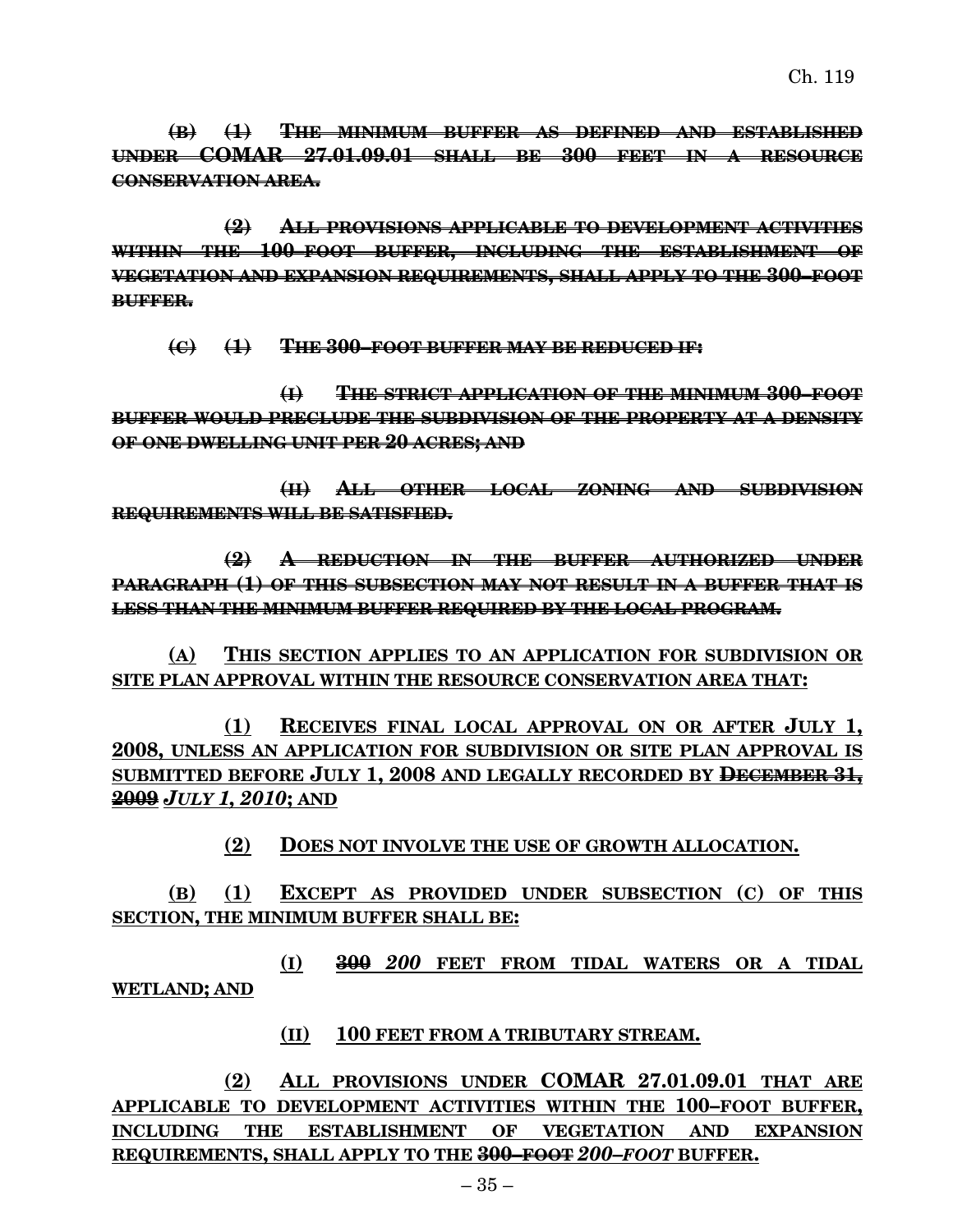**(B) (1) THE MINIMUM BUFFER AS DEFINED AND ESTABLISHED UNDER COMAR 27.01.09.01 SHALL BE 300 FEET IN A RESOURCE CONSERVATION AREA.**

**(2) ALL PROVISIONS APPLICABLE TO DEVELOPMENT ACTIVITIES WITHIN THE 100–FOOT BUFFER, INCLUDING THE ESTABLISHMENT OF VEGETATION AND EXPANSION REQUIREMENTS, SHALL APPLY TO THE 300–FOOT BUFFER.**

**(C) (1) THE 300–FOOT BUFFER MAY BE REDUCED IF:**

**(I) THE STRICT APPLICATION OF THE MINIMUM 300–FOOT BUFFER WOULD PRECLUDE THE SUBDIVISION OF THE PROPERTY AT A DENSITY OF ONE DWELLING UNIT PER 20 ACRES; AND**

**(II) ALL OTHER LOCAL ZONING AND SUBDIVISION REQUIREMENTS WILL BE SATISFIED.**

**(2) A REDUCTION IN THE BUFFER AUTHORIZED UNDER PARAGRAPH (1) OF THIS SUBSECTION MAY NOT RESULT IN A BUFFER THAT IS LESS THAN THE MINIMUM BUFFER REQUIRED BY THE LOCAL PROGRAM.**

**(A) THIS SECTION APPLIES TO AN APPLICATION FOR SUBDIVISION OR SITE PLAN APPROVAL WITHIN THE RESOURCE CONSERVATION AREA THAT:**

**(1) RECEIVES FINAL LOCAL APPROVAL ON OR AFTER JULY 1, 2008, UNLESS AN APPLICATION FOR SUBDIVISION OR SITE PLAN APPROVAL IS SUBMITTED BEFORE JULY 1, 2008 AND LEGALLY RECORDED BY DECEMBER 31, 2009** *JULY 1, 2010***; AND**

**(2) DOES NOT INVOLVE THE USE OF GROWTH ALLOCATION.**

**(B) (1) EXCEPT AS PROVIDED UNDER SUBSECTION (C) OF THIS SECTION, THE MINIMUM BUFFER SHALL BE:**

**(I) 300** *200* **FEET FROM TIDAL WATERS OR A TIDAL WETLAND; AND**

#### **(II) 100 FEET FROM A TRIBUTARY STREAM.**

**(2) ALL PROVISIONS UNDER COMAR 27.01.09.01 THAT ARE APPLICABLE TO DEVELOPMENT ACTIVITIES WITHIN THE 100–FOOT BUFFER, INCLUDING THE ESTABLISHMENT OF VEGETATION AND EXPANSION REQUIREMENTS, SHALL APPLY TO THE 300–FOOT** *200–FOOT* **BUFFER.**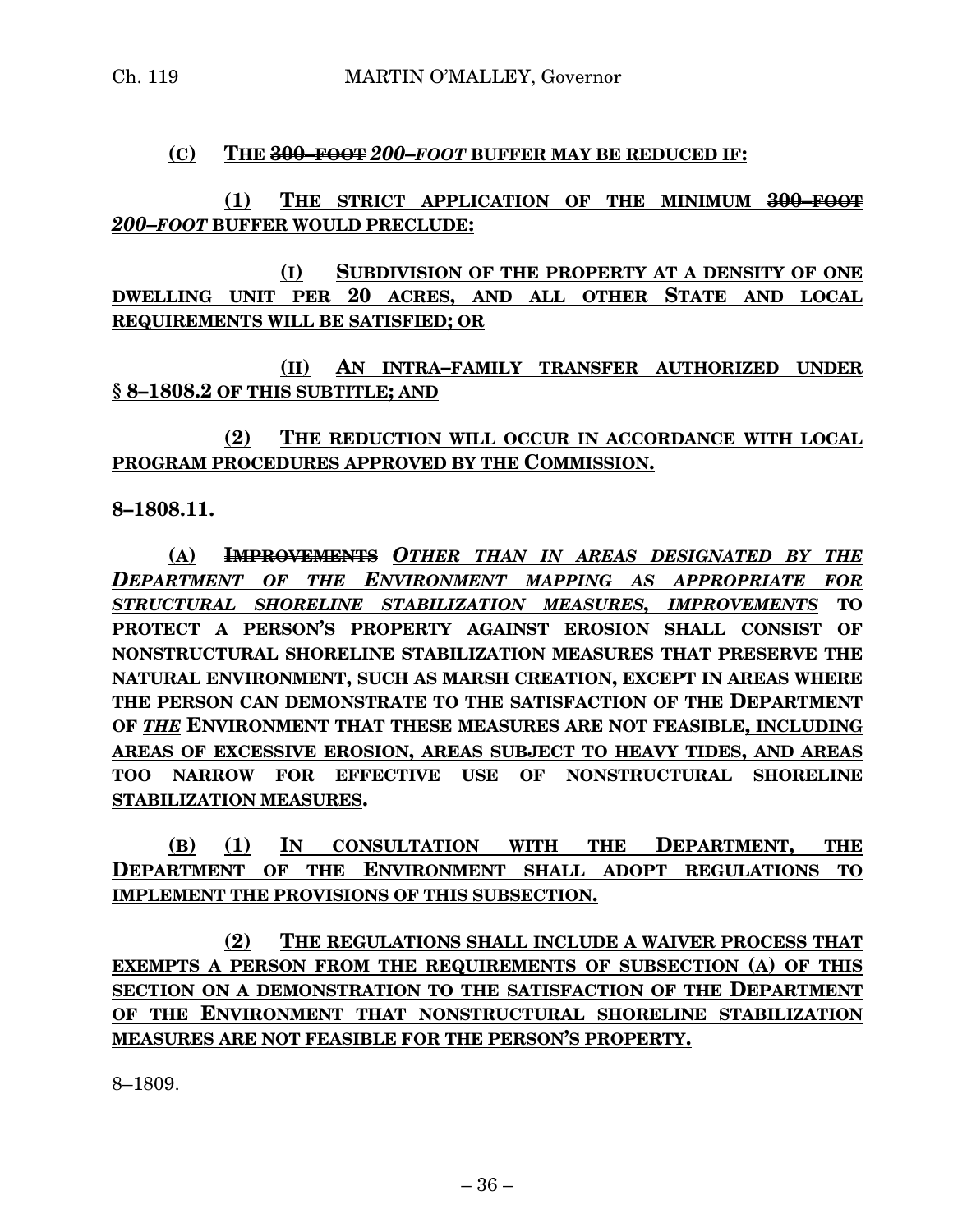#### **(C) THE 300–FOOT** *200–FOOT* **BUFFER MAY BE REDUCED IF:**

## **(1) THE STRICT APPLICATION OF THE MINIMUM 300–FOOT** *200–FOOT* **BUFFER WOULD PRECLUDE:**

**(I) SUBDIVISION OF THE PROPERTY AT A DENSITY OF ONE DWELLING UNIT PER 20 ACRES, AND ALL OTHER STATE AND LOCAL REQUIREMENTS WILL BE SATISFIED; OR**

**(II) AN INTRA–FAMILY TRANSFER AUTHORIZED UNDER § 8–1808.2 OF THIS SUBTITLE; AND**

**(2) THE REDUCTION WILL OCCUR IN ACCORDANCE WITH LOCAL PROGRAM PROCEDURES APPROVED BY THE COMMISSION.**

**8–1808.11.**

**(A) IMPROVEMENTS** *OTHER THAN IN AREAS DESIGNATED BY THE DEPARTMENT OF THE ENVIRONMENT MAPPING AS APPROPRIATE FOR STRUCTURAL SHORELINE STABILIZATION MEASURES, IMPROVEMENTS* **TO PROTECT A PERSON'S PROPERTY AGAINST EROSION SHALL CONSIST OF NONSTRUCTURAL SHORELINE STABILIZATION MEASURES THAT PRESERVE THE NATURAL ENVIRONMENT, SUCH AS MARSH CREATION, EXCEPT IN AREAS WHERE THE PERSON CAN DEMONSTRATE TO THE SATISFACTION OF THE DEPARTMENT OF** *THE* **ENVIRONMENT THAT THESE MEASURES ARE NOT FEASIBLE, INCLUDING AREAS OF EXCESSIVE EROSION, AREAS SUBJECT TO HEAVY TIDES, AND AREAS TOO NARROW FOR EFFECTIVE USE OF NONSTRUCTURAL SHORELINE STABILIZATION MEASURES.**

**(B) (1) IN CONSULTATION WITH THE DEPARTMENT, THE DEPARTMENT OF THE ENVIRONMENT SHALL ADOPT REGULATIONS TO IMPLEMENT THE PROVISIONS OF THIS SUBSECTION.**

**(2) THE REGULATIONS SHALL INCLUDE A WAIVER PROCESS THAT EXEMPTS A PERSON FROM THE REQUIREMENTS OF SUBSECTION (A) OF THIS SECTION ON A DEMONSTRATION TO THE SATISFACTION OF THE DEPARTMENT OF THE ENVIRONMENT THAT NONSTRUCTURAL SHORELINE STABILIZATION MEASURES ARE NOT FEASIBLE FOR THE PERSON'S PROPERTY.**

8–1809.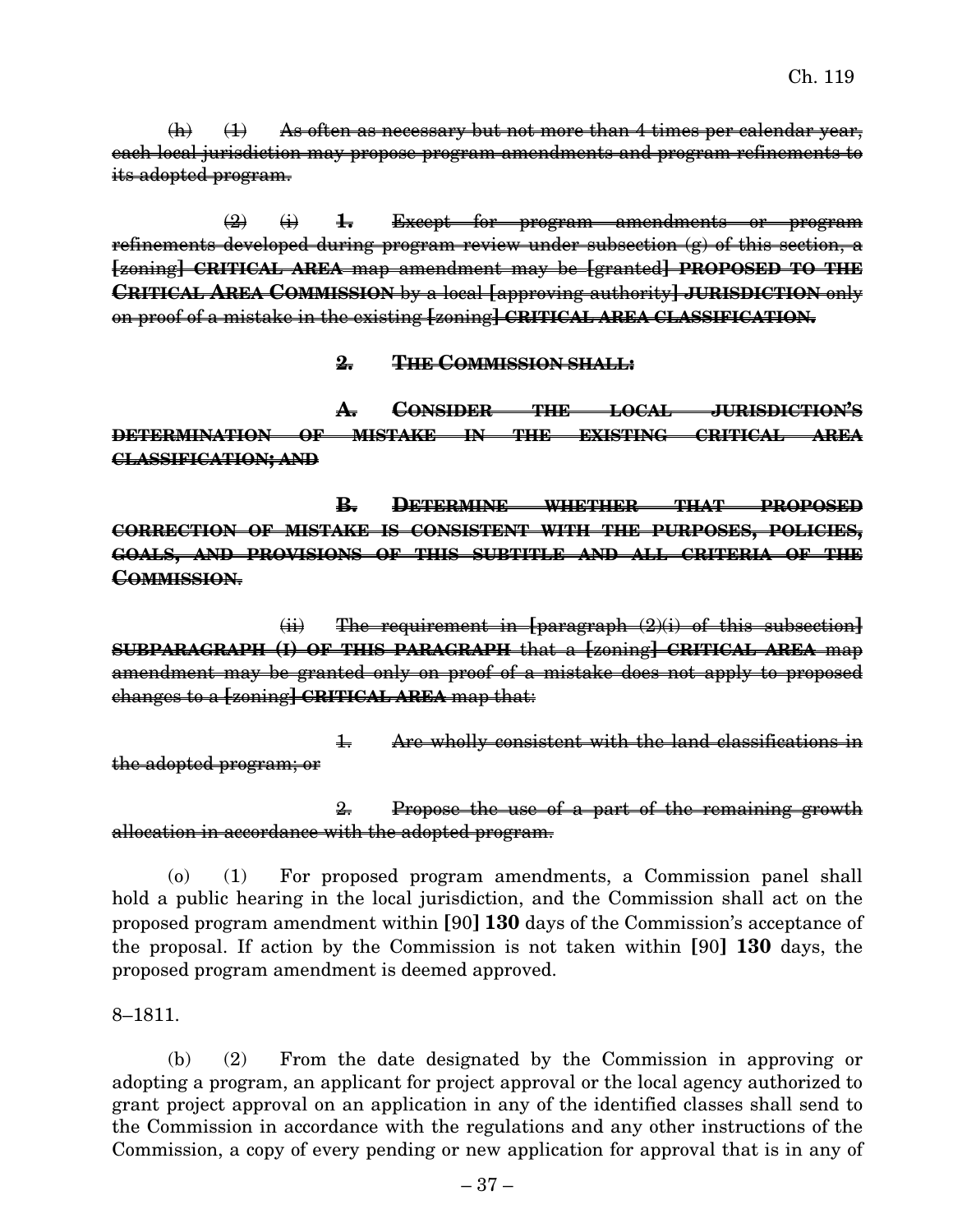$(h)$   $(1)$  As often as necessary but not more than 4 times per calendar year, each local jurisdiction may propose program amendments and program refinements to its adopted program.

(2) (i) **1.** Except for program amendments or program refinements developed during program review under subsection  $(g)$  of this section, a **[**zoning**] CRITICAL AREA** map amendment may be **[**granted**] PROPOSED TO THE CRITICAL AREA COMMISSION** by a local **[**approving authority**] JURISDICTION** only on proof of a mistake in the existing **[**zoning**] CRITICAL AREA CLASSIFICATION.**

**2. THE COMMISSION SHALL:**

**A. CONSIDER THE LOCAL JURISDICTION'S DETERMINATION OF MISTAKE IN THE EXISTING CRITICAL AREA CLASSIFICATION; AND**

**B. DETERMINE WHETHER THAT PROPOSED CORRECTION OF MISTAKE IS CONSISTENT WITH THE PURPOSES, POLICIES, GOALS, AND PROVISIONS OF THIS SUBTITLE AND ALL CRITERIA OF THE COMMISSION**.

(ii) The requirement in **[**paragraph (2)(i) of this subsection**] SUBPARAGRAPH (I) OF THIS PARAGRAPH** that a **[**zoning**] CRITICAL AREA** map amendment may be granted only on proof of a mistake does not apply to proposed changes to a **[**zoning**] CRITICAL AREA** map that:

1. Are wholly consistent with the land classifications in the adopted program; or

2. Propose the use of a part of the remaining growth allocation in accordance with the adopted program.

(o) (1) For proposed program amendments, a Commission panel shall hold a public hearing in the local jurisdiction, and the Commission shall act on the proposed program amendment within **[**90**] 130** days of the Commission's acceptance of the proposal. If action by the Commission is not taken within **[**90**] 130** days, the proposed program amendment is deemed approved.

8–1811.

(b) (2) From the date designated by the Commission in approving or adopting a program, an applicant for project approval or the local agency authorized to grant project approval on an application in any of the identified classes shall send to the Commission in accordance with the regulations and any other instructions of the Commission, a copy of every pending or new application for approval that is in any of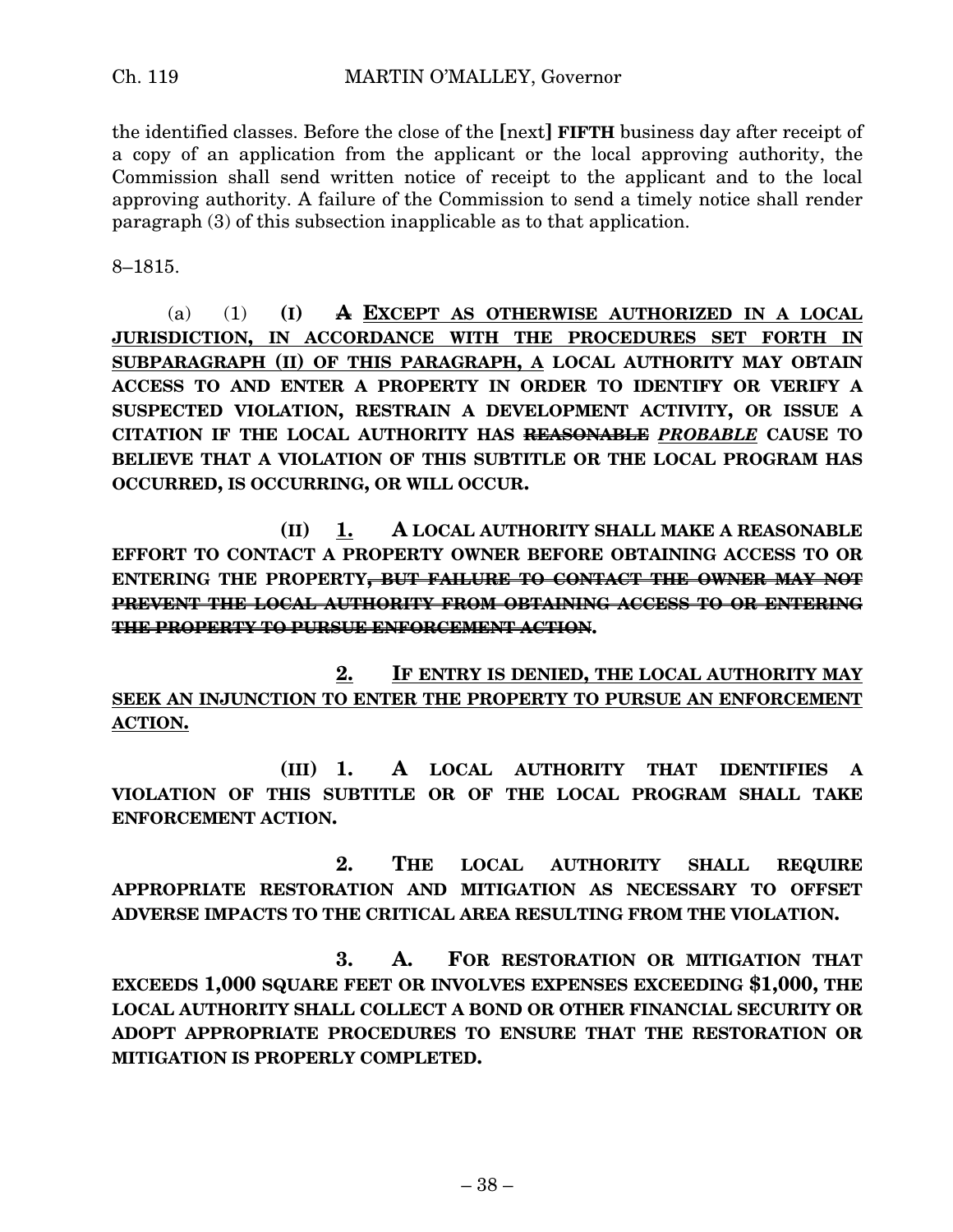the identified classes. Before the close of the **[**next**] FIFTH** business day after receipt of a copy of an application from the applicant or the local approving authority, the Commission shall send written notice of receipt to the applicant and to the local approving authority. A failure of the Commission to send a timely notice shall render paragraph (3) of this subsection inapplicable as to that application.

8–1815.

(a) (1) **(I) A EXCEPT AS OTHERWISE AUTHORIZED IN A LOCAL JURISDICTION, IN ACCORDANCE WITH THE PROCEDURES SET FORTH IN SUBPARAGRAPH (II) OF THIS PARAGRAPH, A LOCAL AUTHORITY MAY OBTAIN ACCESS TO AND ENTER A PROPERTY IN ORDER TO IDENTIFY OR VERIFY A SUSPECTED VIOLATION, RESTRAIN A DEVELOPMENT ACTIVITY, OR ISSUE A CITATION IF THE LOCAL AUTHORITY HAS REASONABLE** *PROBABLE* **CAUSE TO BELIEVE THAT A VIOLATION OF THIS SUBTITLE OR THE LOCAL PROGRAM HAS OCCURRED, IS OCCURRING, OR WILL OCCUR.**

**(II) 1. A LOCAL AUTHORITY SHALL MAKE A REASONABLE EFFORT TO CONTACT A PROPERTY OWNER BEFORE OBTAINING ACCESS TO OR ENTERING THE PROPERTY, BUT FAILURE TO CONTACT THE OWNER MAY NOT PREVENT THE LOCAL AUTHORITY FROM OBTAINING ACCESS TO OR ENTERING THE PROPERTY TO PURSUE ENFORCEMENT ACTION.**

**2. IF ENTRY IS DENIED, THE LOCAL AUTHORITY MAY SEEK AN INJUNCTION TO ENTER THE PROPERTY TO PURSUE AN ENFORCEMENT ACTION.**

**(III) 1. A LOCAL AUTHORITY THAT IDENTIFIES A VIOLATION OF THIS SUBTITLE OR OF THE LOCAL PROGRAM SHALL TAKE ENFORCEMENT ACTION.**

**2. THE LOCAL AUTHORITY SHALL REQUIRE APPROPRIATE RESTORATION AND MITIGATION AS NECESSARY TO OFFSET ADVERSE IMPACTS TO THE CRITICAL AREA RESULTING FROM THE VIOLATION.**

**3. A. FOR RESTORATION OR MITIGATION THAT EXCEEDS 1,000 SQUARE FEET OR INVOLVES EXPENSES EXCEEDING \$1,000, THE LOCAL AUTHORITY SHALL COLLECT A BOND OR OTHER FINANCIAL SECURITY OR ADOPT APPROPRIATE PROCEDURES TO ENSURE THAT THE RESTORATION OR MITIGATION IS PROPERLY COMPLETED.**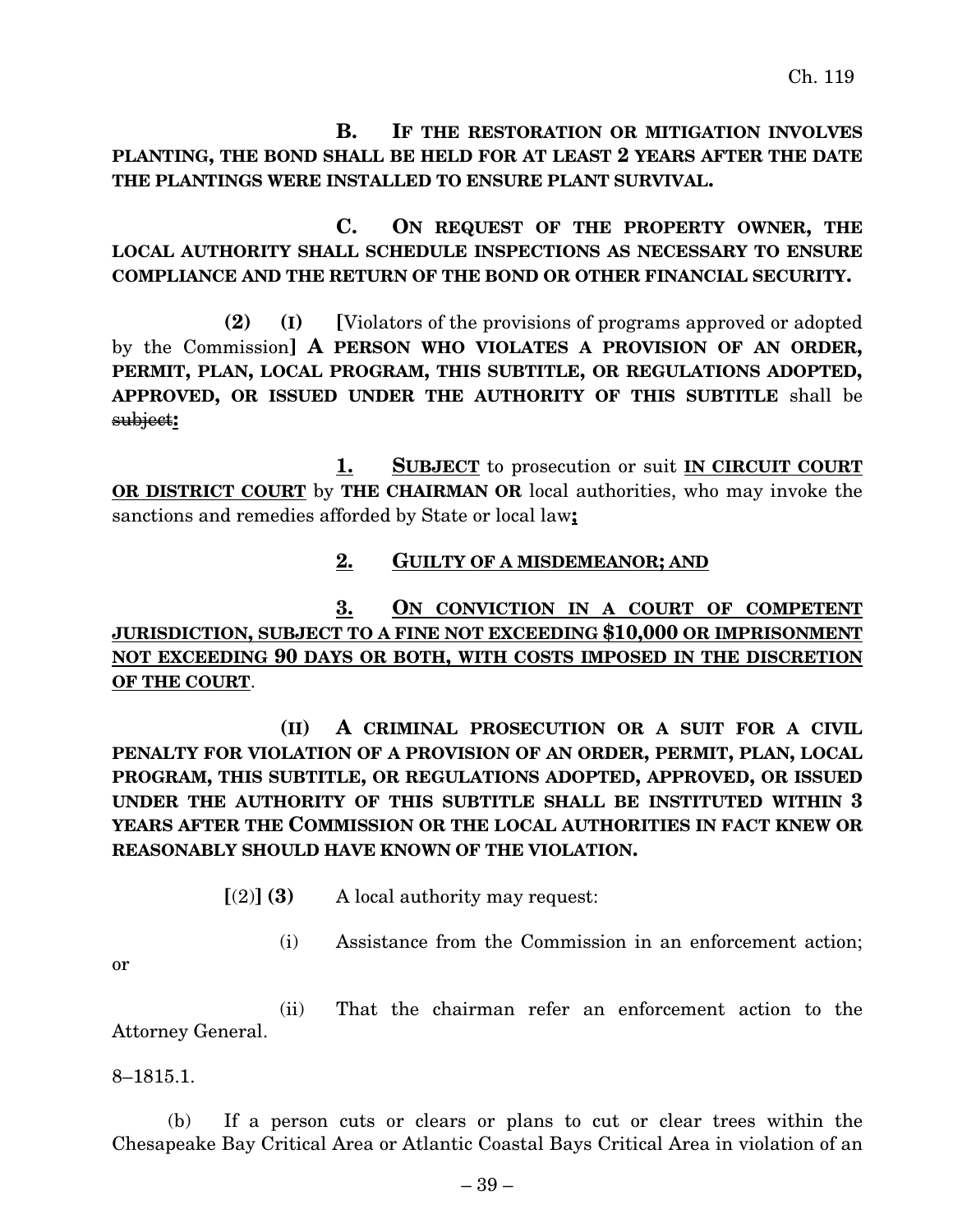**B. IF THE RESTORATION OR MITIGATION INVOLVES PLANTING, THE BOND SHALL BE HELD FOR AT LEAST 2 YEARS AFTER THE DATE THE PLANTINGS WERE INSTALLED TO ENSURE PLANT SURVIVAL.**

**C. ON REQUEST OF THE PROPERTY OWNER, THE LOCAL AUTHORITY SHALL SCHEDULE INSPECTIONS AS NECESSARY TO ENSURE COMPLIANCE AND THE RETURN OF THE BOND OR OTHER FINANCIAL SECURITY.**

**(2) (I) [**Violators of the provisions of programs approved or adopted by the Commission**] A PERSON WHO VIOLATES A PROVISION OF AN ORDER, PERMIT, PLAN, LOCAL PROGRAM, THIS SUBTITLE, OR REGULATIONS ADOPTED, APPROVED, OR ISSUED UNDER THE AUTHORITY OF THIS SUBTITLE** shall be subject**:**

**1. SUBJECT** to prosecution or suit **IN CIRCUIT COURT OR DISTRICT COURT** by **THE CHAIRMAN OR** local authorities, who may invoke the sanctions and remedies afforded by State or local law**;**

## **2. GUILTY OF A MISDEMEANOR; AND**

**3. ON CONVICTION IN A COURT OF COMPETENT JURISDICTION, SUBJECT TO A FINE NOT EXCEEDING \$10,000 OR IMPRISONMENT NOT EXCEEDING 90 DAYS OR BOTH, WITH COSTS IMPOSED IN THE DISCRETION OF THE COURT**.

**(II) A CRIMINAL PROSECUTION OR A SUIT FOR A CIVIL PENALTY FOR VIOLATION OF A PROVISION OF AN ORDER, PERMIT, PLAN, LOCAL PROGRAM, THIS SUBTITLE, OR REGULATIONS ADOPTED, APPROVED, OR ISSUED UNDER THE AUTHORITY OF THIS SUBTITLE SHALL BE INSTITUTED WITHIN 3 YEARS AFTER THE COMMISSION OR THE LOCAL AUTHORITIES IN FACT KNEW OR REASONABLY SHOULD HAVE KNOWN OF THE VIOLATION.**

- **[**(2)**] (3)** A local authority may request:
	- (i) Assistance from the Commission in an enforcement action;

or

(ii) That the chairman refer an enforcement action to the Attorney General.

8–1815.1.

(b) If a person cuts or clears or plans to cut or clear trees within the Chesapeake Bay Critical Area or Atlantic Coastal Bays Critical Area in violation of an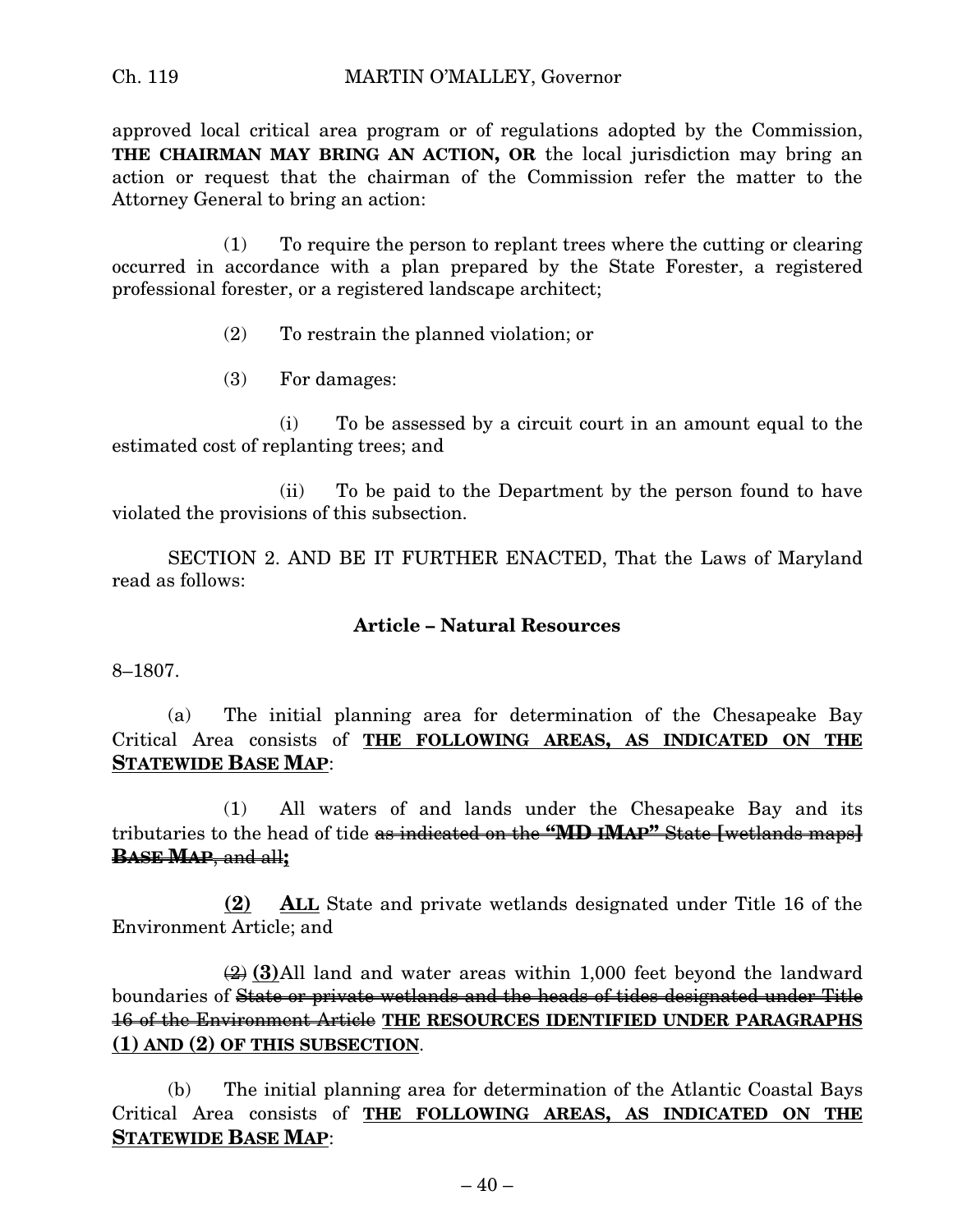approved local critical area program or of regulations adopted by the Commission, **THE CHAIRMAN MAY BRING AN ACTION, OR** the local jurisdiction may bring an action or request that the chairman of the Commission refer the matter to the Attorney General to bring an action:

(1) To require the person to replant trees where the cutting or clearing occurred in accordance with a plan prepared by the State Forester, a registered professional forester, or a registered landscape architect;

- (2) To restrain the planned violation; or
- (3) For damages:

(i) To be assessed by a circuit court in an amount equal to the estimated cost of replanting trees; and

(ii) To be paid to the Department by the person found to have violated the provisions of this subsection.

SECTION 2. AND BE IT FURTHER ENACTED, That the Laws of Maryland read as follows:

#### **Article – Natural Resources**

8–1807.

(a) The initial planning area for determination of the Chesapeake Bay Critical Area consists of **THE FOLLOWING AREAS, AS INDICATED ON THE STATEWIDE BASE MAP**:

(1) All waters of and lands under the Chesapeake Bay and its tributaries to the head of tide as indicated on the **"MD IMAP"** State **[**wetlands maps**] BASE MAP**, and all**;**

**(2) ALL** State and private wetlands designated under Title 16 of the Environment Article; and

(2) **(3)**All land and water areas within 1,000 feet beyond the landward boundaries of State or private wetlands and the heads of tides designated under Title 16 of the Environment Article **THE RESOURCES IDENTIFIED UNDER PARAGRAPHS (1) AND (2) OF THIS SUBSECTION**.

(b) The initial planning area for determination of the Atlantic Coastal Bays Critical Area consists of **THE FOLLOWING AREAS, AS INDICATED ON THE STATEWIDE BASE MAP**: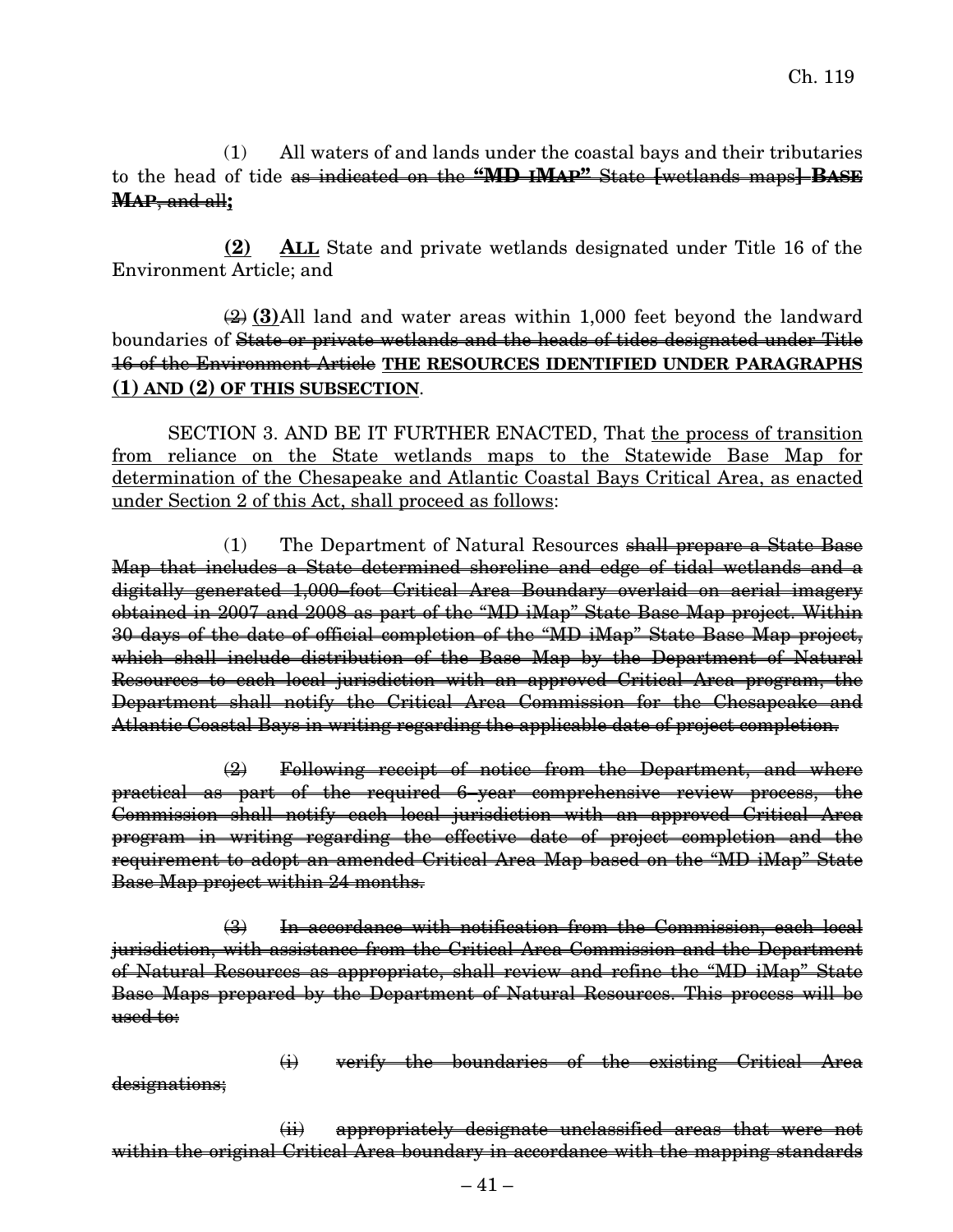(1) All waters of and lands under the coastal bays and their tributaries to the head of tide as indicated on the **"MD IMAP"** State **[**wetlands maps**] BASE MAP**, and all**;**

**(2) ALL** State and private wetlands designated under Title 16 of the Environment Article; and

### (2) **(3)**All land and water areas within 1,000 feet beyond the landward boundaries of State or private wetlands and the heads of tides designated under Title 16 of the Environment Article **THE RESOURCES IDENTIFIED UNDER PARAGRAPHS (1) AND (2) OF THIS SUBSECTION**.

SECTION 3. AND BE IT FURTHER ENACTED, That the process of transition from reliance on the State wetlands maps to the Statewide Base Map for determination of the Chesapeake and Atlantic Coastal Bays Critical Area, as enacted under Section 2 of this Act, shall proceed as follows:

(1) The Department of Natural Resources shall prepare a State Base Map that includes a State determined shoreline and edge of tidal wetlands and a digitally generated 1,000–foot Critical Area Boundary overlaid on aerial imagery obtained in 2007 and 2008 as part of the "MD iMap" State Base Map project. Within 30 days of the date of official completion of the "MD iMap" State Base Map project, which shall include distribution of the Base Map by the Department of Natural Resources to each local jurisdiction with an approved Critical Area program, the Department shall notify the Critical Area Commission for the Chesapeake and Atlantic Coastal Bays in writing regarding the applicable date of project completion.

(2) Following receipt of notice from the Department, and where practical as part of the required 6–year comprehensive review process, the Commission shall notify each local jurisdiction with an approved Critical Area program in writing regarding the effective date of project completion and the requirement to adopt an amended Critical Area Map based on the "MD iMap" State Base Map project within 24 months.

(3) In accordance with notification from the Commission, each local jurisdiction, with assistance from the Critical Area Commission and the Department of Natural Resources as appropriate, shall review and refine the "MD iMap" State Base Maps prepared by the Department of Natural Resources. This process will be used to:

(i) verify the boundaries of the existing Critical Area

designations;

(ii) appropriately designate unclassified areas that were not within the original Critical Area boundary in accordance with the mapping standards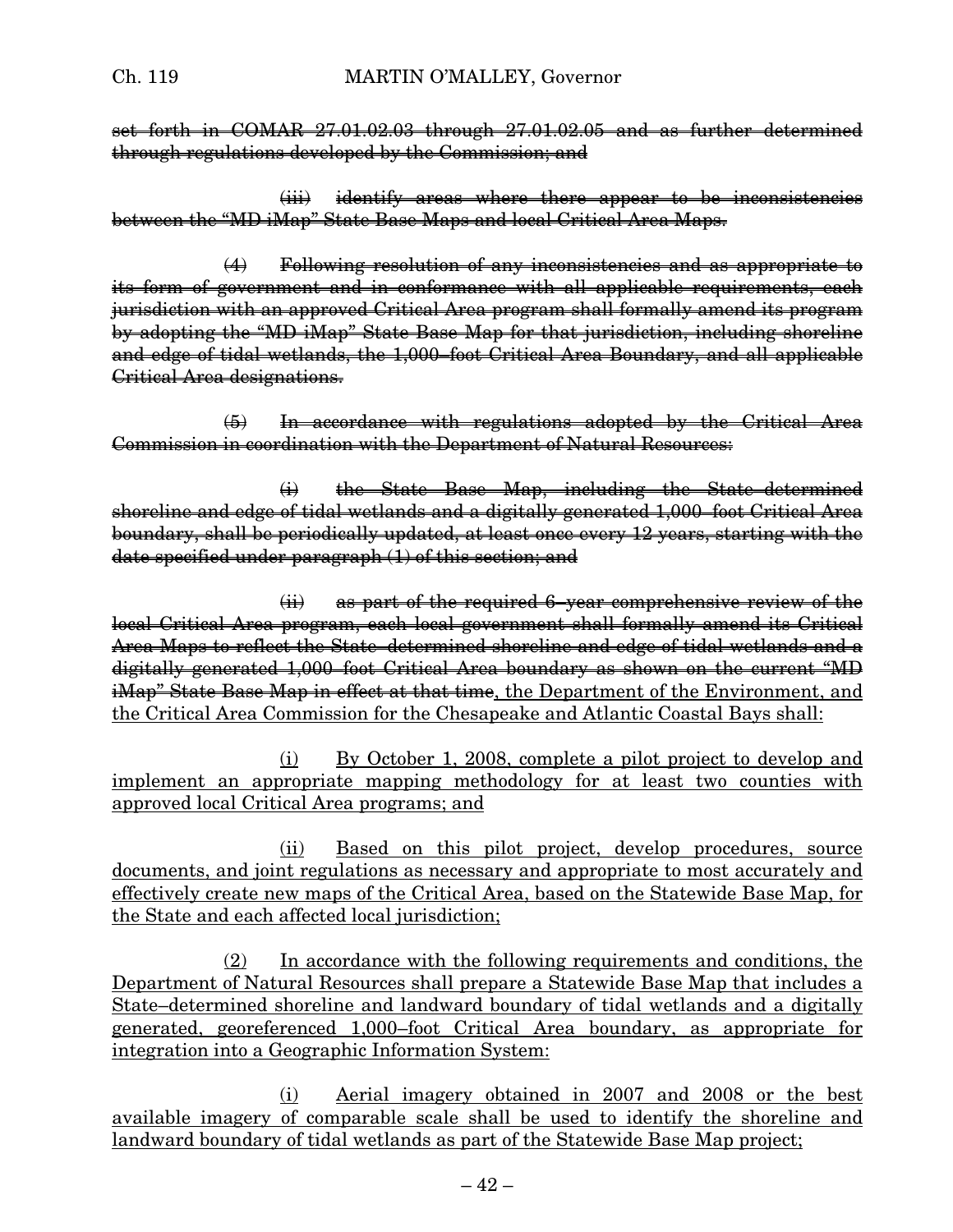set forth in COMAR 27.01.02.03 through 27.01.02.05 and as further determined through regulations developed by the Commission; and

(iii) identify areas where there appear to be inconsistencies between the "MD iMap" State Base Maps and local Critical Area Maps.

(4) Following resolution of any inconsistencies and as appropriate to its form of government and in conformance with all applicable requirements, each jurisdiction with an approved Critical Area program shall formally amend its program by adopting the "MD iMap" State Base Map for that jurisdiction, including shoreline and edge of tidal wetlands, the 1,000–foot Critical Area Boundary, and all applicable Critical Area designations.

(5) In accordance with regulations adopted by the Critical Area Commission in coordination with the Department of Natural Resources:

(i) the State Base Map, including the State–determined shoreline and edge of tidal wetlands and a digitally generated 1,000–foot Critical Area boundary, shall be periodically updated, at least once every 12 years, starting with the date specified under paragraph (1) of this section; and

(ii) as part of the required 6–year comprehensive review of the local Critical Area program, each local government shall formally amend its Critical Area Maps to reflect the State–determined shoreline and edge of tidal wetlands and a digitally generated 1,000–foot Critical Area boundary as shown on the current "MD iMap" State Base Map in effect at that time, the Department of the Environment, and the Critical Area Commission for the Chesapeake and Atlantic Coastal Bays shall:

(i) By October 1, 2008, complete a pilot project to develop and implement an appropriate mapping methodology for at least two counties with approved local Critical Area programs; and

(ii) Based on this pilot project, develop procedures, source documents, and joint regulations as necessary and appropriate to most accurately and effectively create new maps of the Critical Area, based on the Statewide Base Map, for the State and each affected local jurisdiction;

(2) In accordance with the following requirements and conditions, the Department of Natural Resources shall prepare a Statewide Base Map that includes a State–determined shoreline and landward boundary of tidal wetlands and a digitally generated, georeferenced 1,000–foot Critical Area boundary, as appropriate for integration into a Geographic Information System:

(i) Aerial imagery obtained in 2007 and 2008 or the best available imagery of comparable scale shall be used to identify the shoreline and landward boundary of tidal wetlands as part of the Statewide Base Map project;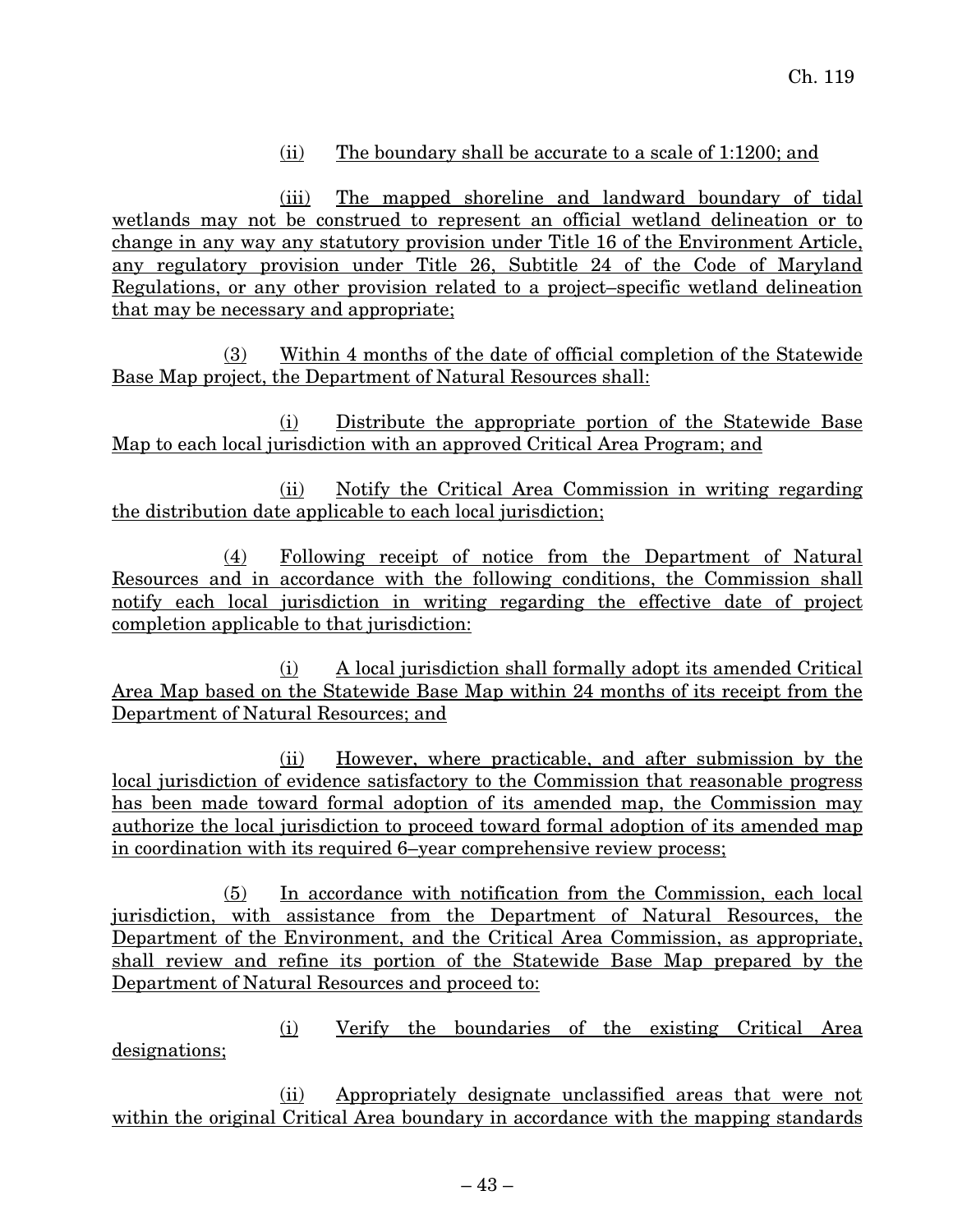## (ii) The boundary shall be accurate to a scale of 1:1200; and

(iii) The mapped shoreline and landward boundary of tidal wetlands may not be construed to represent an official wetland delineation or to change in any way any statutory provision under Title 16 of the Environment Article, any regulatory provision under Title 26, Subtitle 24 of the Code of Maryland Regulations, or any other provision related to a project–specific wetland delineation that may be necessary and appropriate;

(3) Within 4 months of the date of official completion of the Statewide Base Map project, the Department of Natural Resources shall:

(i) Distribute the appropriate portion of the Statewide Base Map to each local jurisdiction with an approved Critical Area Program; and

(ii) Notify the Critical Area Commission in writing regarding the distribution date applicable to each local jurisdiction;

(4) Following receipt of notice from the Department of Natural Resources and in accordance with the following conditions, the Commission shall notify each local jurisdiction in writing regarding the effective date of project completion applicable to that jurisdiction:

(i) A local jurisdiction shall formally adopt its amended Critical Area Map based on the Statewide Base Map within 24 months of its receipt from the Department of Natural Resources; and

(ii) However, where practicable, and after submission by the local jurisdiction of evidence satisfactory to the Commission that reasonable progress has been made toward formal adoption of its amended map, the Commission may authorize the local jurisdiction to proceed toward formal adoption of its amended map in coordination with its required 6–year comprehensive review process;

(5) In accordance with notification from the Commission, each local jurisdiction, with assistance from the Department of Natural Resources, the Department of the Environment, and the Critical Area Commission, as appropriate, shall review and refine its portion of the Statewide Base Map prepared by the Department of Natural Resources and proceed to:

(i) Verify the boundaries of the existing Critical Area designations;

(ii) Appropriately designate unclassified areas that were not within the original Critical Area boundary in accordance with the mapping standards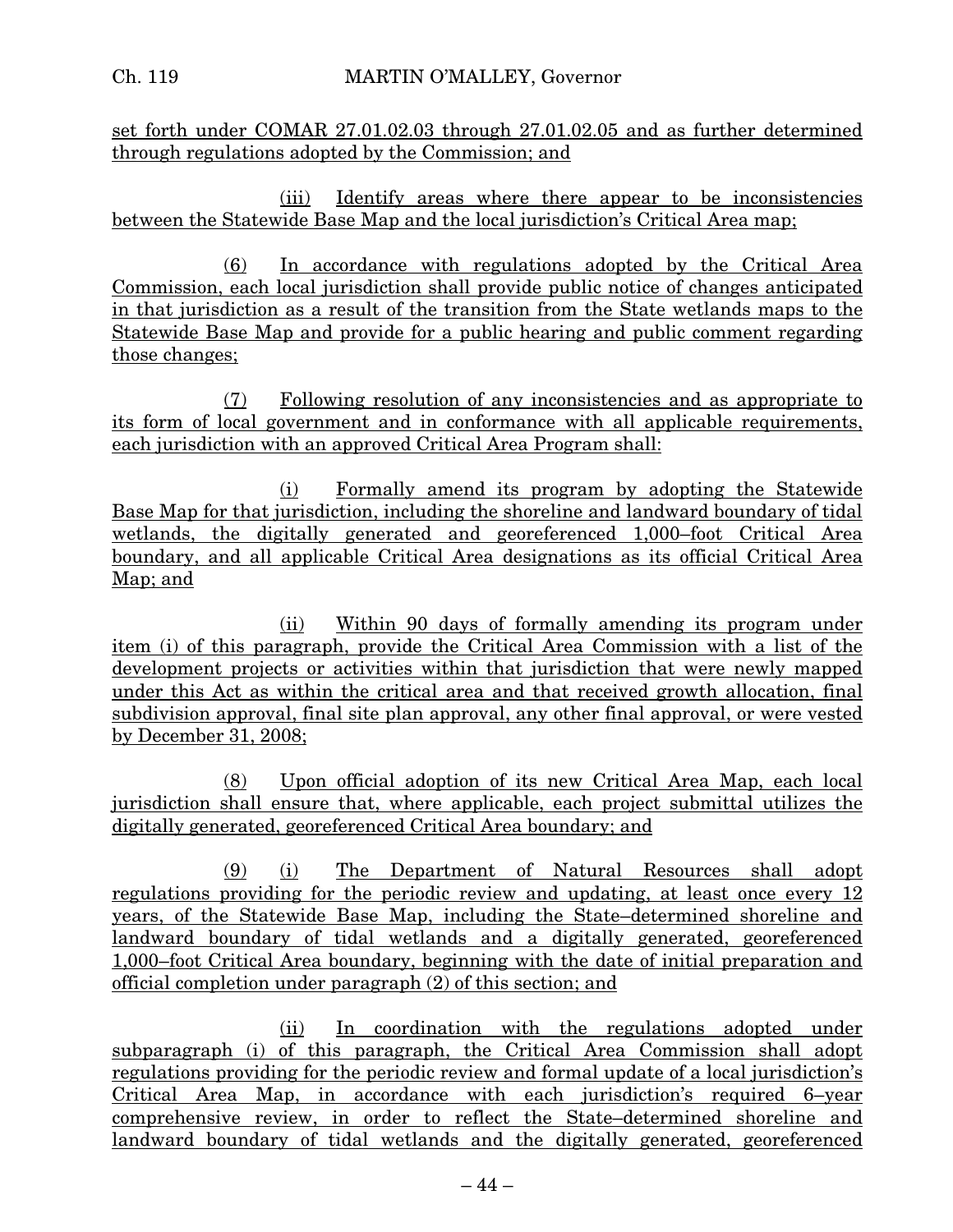set forth under COMAR 27.01.02.03 through 27.01.02.05 and as further determined through regulations adopted by the Commission; and

(iii) Identify areas where there appear to be inconsistencies between the Statewide Base Map and the local jurisdiction's Critical Area map;

(6) In accordance with regulations adopted by the Critical Area Commission, each local jurisdiction shall provide public notice of changes anticipated in that jurisdiction as a result of the transition from the State wetlands maps to the Statewide Base Map and provide for a public hearing and public comment regarding those changes;

(7) Following resolution of any inconsistencies and as appropriate to its form of local government and in conformance with all applicable requirements, each jurisdiction with an approved Critical Area Program shall:

(i) Formally amend its program by adopting the Statewide Base Map for that jurisdiction, including the shoreline and landward boundary of tidal wetlands, the digitally generated and georeferenced 1,000–foot Critical Area boundary, and all applicable Critical Area designations as its official Critical Area Map; and

(ii) Within 90 days of formally amending its program under item (i) of this paragraph, provide the Critical Area Commission with a list of the development projects or activities within that jurisdiction that were newly mapped under this Act as within the critical area and that received growth allocation, final subdivision approval, final site plan approval, any other final approval, or were vested by December 31, 2008;

(8) Upon official adoption of its new Critical Area Map, each local jurisdiction shall ensure that, where applicable, each project submittal utilizes the digitally generated, georeferenced Critical Area boundary; and

(9) (i) The Department of Natural Resources shall adopt regulations providing for the periodic review and updating, at least once every 12 years, of the Statewide Base Map, including the State–determined shoreline and landward boundary of tidal wetlands and a digitally generated, georeferenced 1,000–foot Critical Area boundary, beginning with the date of initial preparation and official completion under paragraph (2) of this section; and

(ii) In coordination with the regulations adopted under subparagraph (i) of this paragraph, the Critical Area Commission shall adopt regulations providing for the periodic review and formal update of a local jurisdiction's Critical Area Map, in accordance with each jurisdiction's required 6–year comprehensive review, in order to reflect the State–determined shoreline and landward boundary of tidal wetlands and the digitally generated, georeferenced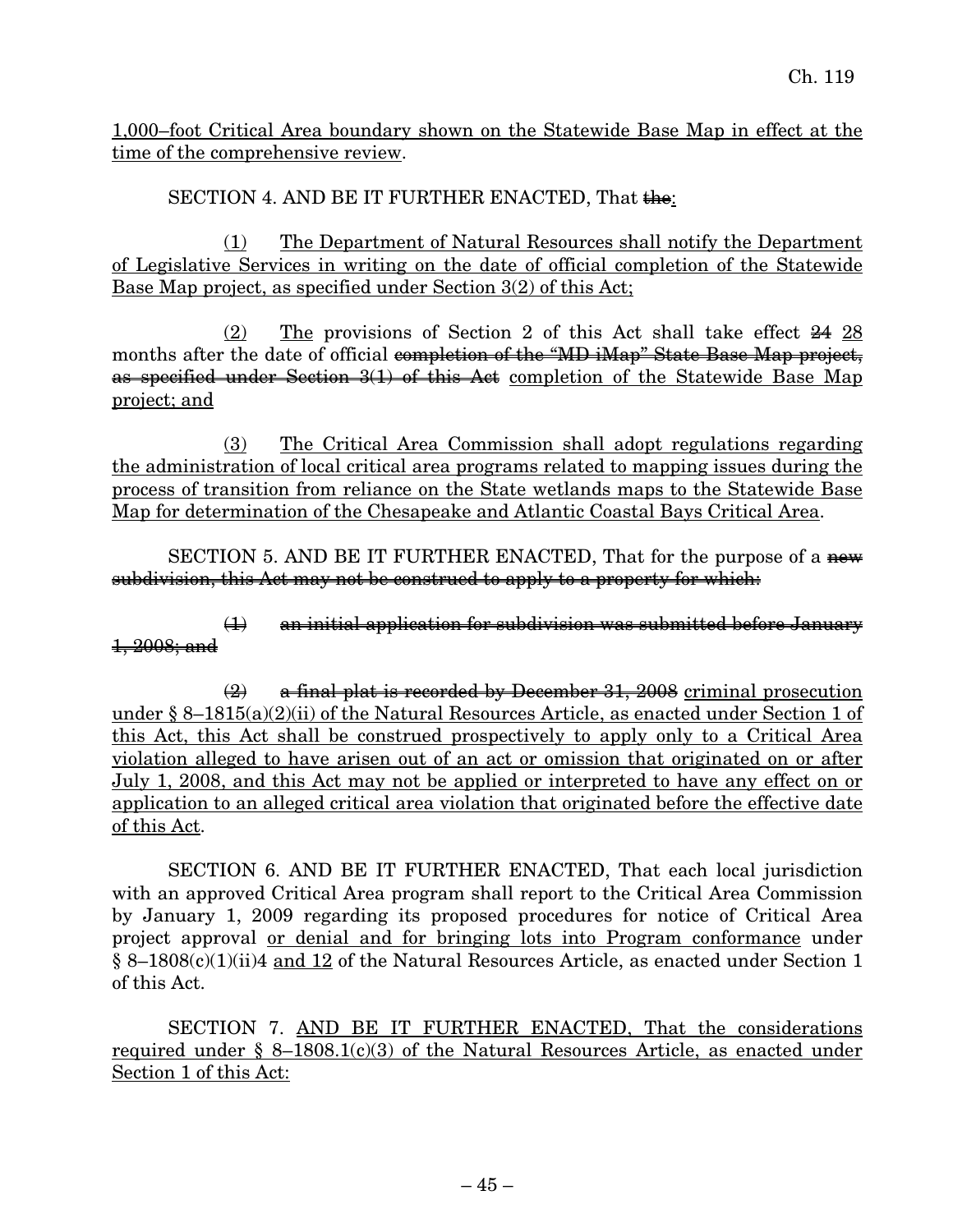1,000–foot Critical Area boundary shown on the Statewide Base Map in effect at the time of the comprehensive review.

SECTION 4. AND BE IT FURTHER ENACTED, That  $\frac{1}{2}$ 

(1) The Department of Natural Resources shall notify the Department of Legislative Services in writing on the date of official completion of the Statewide Base Map project, as specified under Section 3(2) of this Act;

(2) The provisions of Section 2 of this Act shall take effect 24 28 months after the date of official completion of the "MD iMap" State Base Map project, as specified under Section 3(1) of this Act completion of the Statewide Base Map project; and

(3) The Critical Area Commission shall adopt regulations regarding the administration of local critical area programs related to mapping issues during the process of transition from reliance on the State wetlands maps to the Statewide Base Map for determination of the Chesapeake and Atlantic Coastal Bays Critical Area.

SECTION 5. AND BE IT FURTHER ENACTED, That for the purpose of a new subdivision, this Act may not be construed to apply to a property for which:

(1) an initial application for subdivision was submitted before January 1, 2008; and

 $\left( \frac{1}{2} \right)$  a final plat is recorded by December 31, 2008 criminal prosecution under § 8–1815(a)(2)(ii) of the Natural Resources Article, as enacted under Section 1 of this Act, this Act shall be construed prospectively to apply only to a Critical Area violation alleged to have arisen out of an act or omission that originated on or after July 1, 2008, and this Act may not be applied or interpreted to have any effect on or application to an alleged critical area violation that originated before the effective date of this Act.

SECTION 6. AND BE IT FURTHER ENACTED, That each local jurisdiction with an approved Critical Area program shall report to the Critical Area Commission by January 1, 2009 regarding its proposed procedures for notice of Critical Area project approval or denial and for bringing lots into Program conformance under § 8–1808(c)(1)(ii)4 and 12 of the Natural Resources Article, as enacted under Section 1 of this Act.

SECTION 7. AND BE IT FURTHER ENACTED, That the considerations required under  $\S$  8–1808.1(c)(3) of the Natural Resources Article, as enacted under Section 1 of this Act: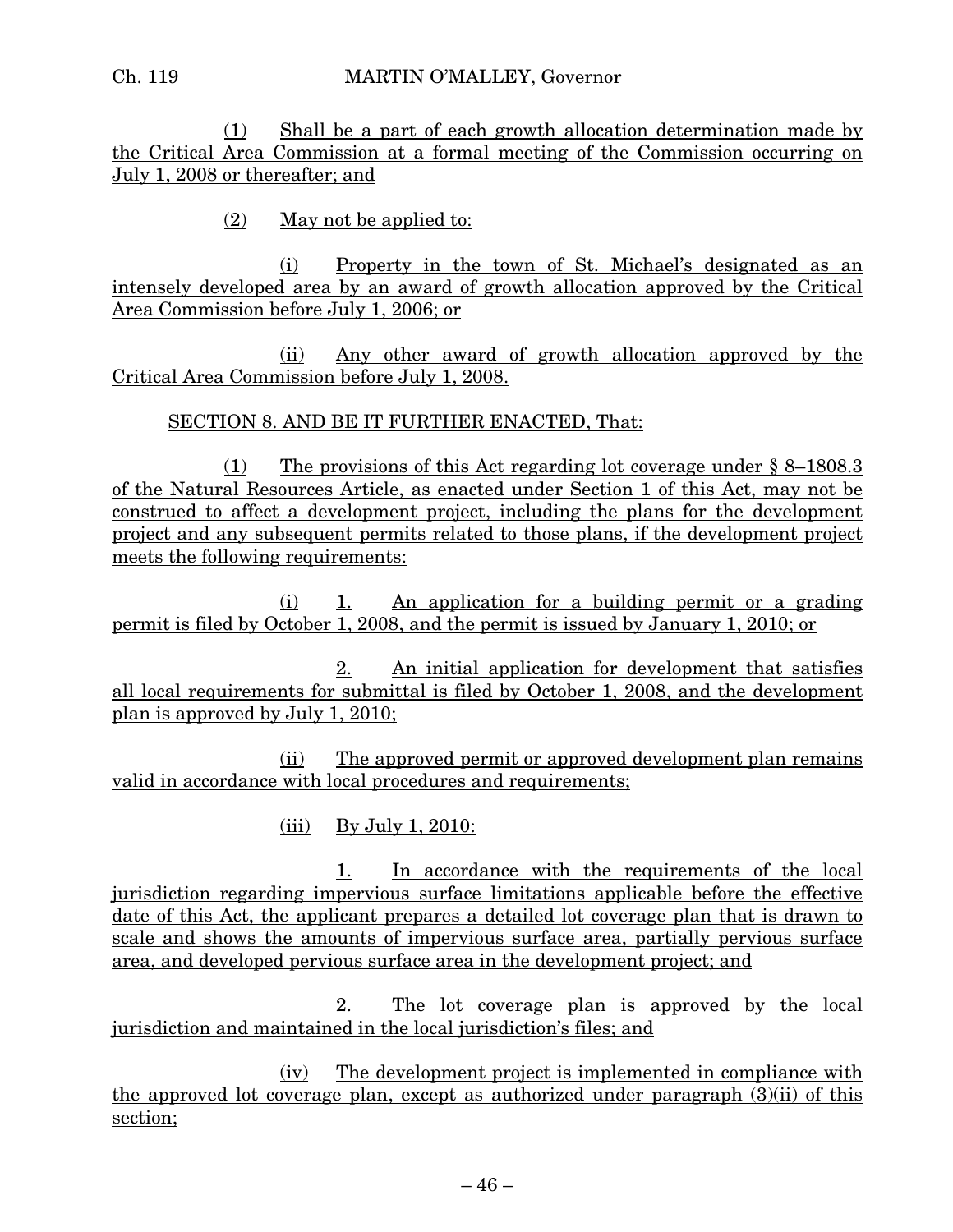(1) Shall be a part of each growth allocation determination made by the Critical Area Commission at a formal meeting of the Commission occurring on July 1, 2008 or thereafter; and

(2) May not be applied to:

(i) Property in the town of St. Michael's designated as an intensely developed area by an award of growth allocation approved by the Critical Area Commission before July 1, 2006; or

(ii) Any other award of growth allocation approved by the Critical Area Commission before July 1, 2008.

#### SECTION 8. AND BE IT FURTHER ENACTED, That:

(1) The provisions of this Act regarding lot coverage under § 8–1808.3 of the Natural Resources Article, as enacted under Section 1 of this Act, may not be construed to affect a development project, including the plans for the development project and any subsequent permits related to those plans, if the development project meets the following requirements:

(i) 1. An application for a building permit or a grading permit is filed by October 1, 2008, and the permit is issued by January 1, 2010; or

2. An initial application for development that satisfies all local requirements for submittal is filed by October 1, 2008, and the development plan is approved by July 1, 2010;

(ii) The approved permit or approved development plan remains valid in accordance with local procedures and requirements;

 $(iii)$  By July 1, 2010:

1. In accordance with the requirements of the local jurisdiction regarding impervious surface limitations applicable before the effective date of this Act, the applicant prepares a detailed lot coverage plan that is drawn to scale and shows the amounts of impervious surface area, partially pervious surface area, and developed pervious surface area in the development project; and

2. The lot coverage plan is approved by the local jurisdiction and maintained in the local jurisdiction's files; and

(iv) The development project is implemented in compliance with the approved lot coverage plan, except as authorized under paragraph (3)(ii) of this section;